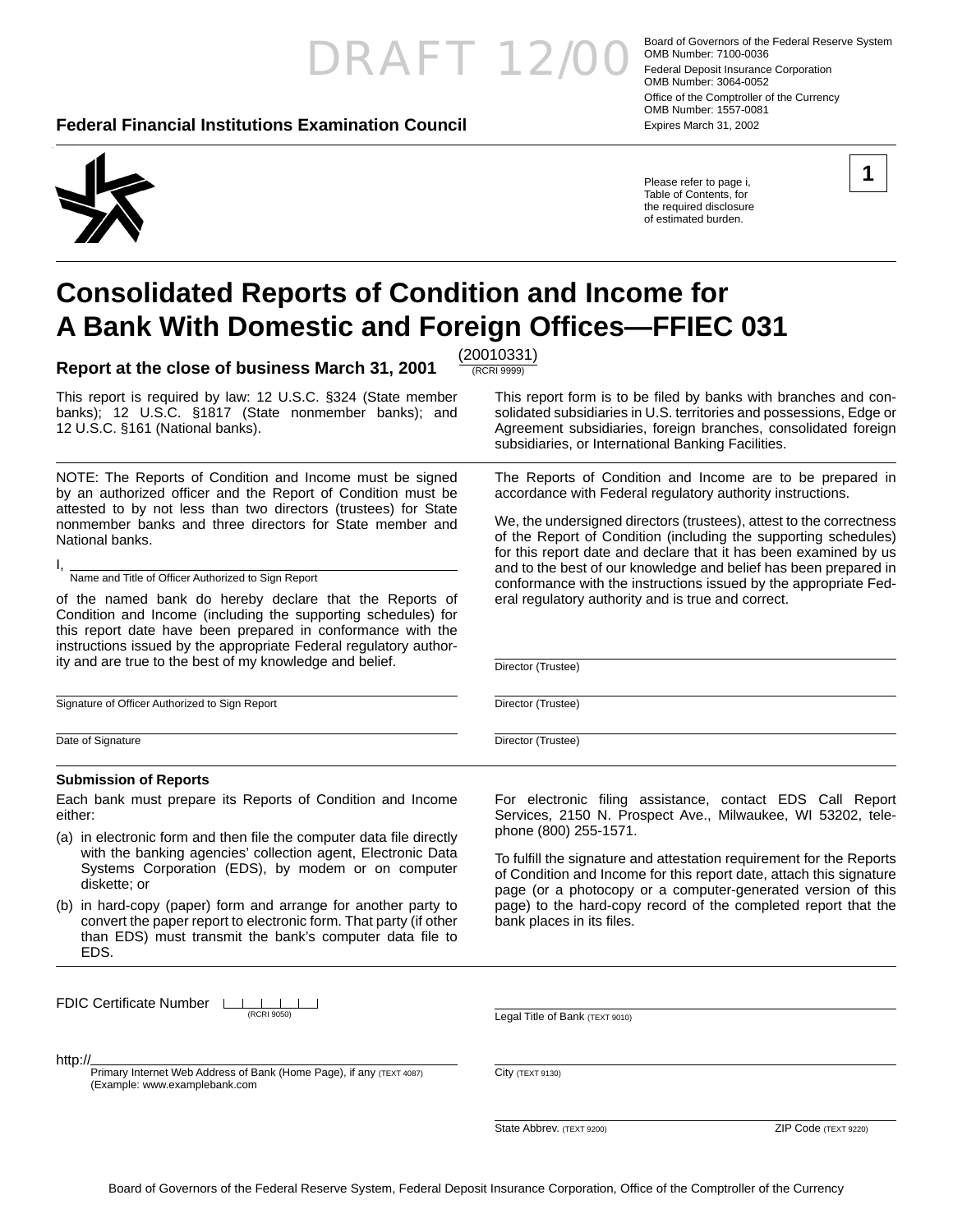## Board of Governors of the Federal Reserve System<br>
COMB Number: 7100-0036<br>
Federal Deposit Insurance Corporation

(RCRI 9999)

#### **Federal Financial Institutions Examination Council** Expires March 31, 2002

OMB Number: 7100-0036 Federal Deposit Insurance Corporation OMB Number: 3064-0052 Office of the Comptroller of the Currency OMB Number: 1557-0081

Please refer to page i, Table of Contents, for the required disclosure of estimated burden.

This report form is to be filed by banks with branches and consolidated subsidiaries in U.S. territories and possessions, Edge or Agreement subsidiaries, foreign branches, consolidated foreign

The Reports of Condition and Income are to be prepared in accordance with Federal regulatory authority instructions.

We, the undersigned directors (trustees), attest to the correctness of the Report of Condition (including the supporting schedules) for this report date and declare that it has been examined by us and to the best of our knowledge and belief has been prepared in conformance with the instructions issued by the appropriate Fed-

subsidiaries, or International Banking Facilities.

eral regulatory authority and is true and correct.

### **Consolidated Reports of Condition and Income for A Bank With Domestic and Foreign Offi ces—FFIEC 031**

**Report at the close of business March 31, 2001** (20010331)

This report is required by law: 12 U.S.C. §324 (State member banks); 12 U.S.C. §1817 (State nonmember banks); and 12 U.S.C. §161 (National banks).

NOTE: The Reports of Condition and Income must be signed by an authorized officer and the Report of Condition must be attested to by not less than two directors (trustees) for State nonmember banks and three directors for State member and National banks.

I, Name and Title of Officer Authorized to Sign Report

of the named bank do hereby declare that the Reports of Condition and Income (including the supporting schedules) for this report date have been prepared in conformance with the instructions issued by the appropriate Federal regulatory authority and are true to the best of my knowledge and belief.

Signature of Officer Authorized to Sign Report

Date of Signature

#### **Submission of Reports**

Each bank must prepare its Reports of Condition and Income either:

- (a) in electronic form and then file the computer data file directly with the banking agencies' collection agent, Electronic Data Systems Corporation (EDS), by modem or on computer diskette; or
- (b) in hard-copy (paper) form and arrange for another party to convert the paper report to electronic form. That party (if other than EDS) must transmit the bank's computer data file to EDS.

FDIC Certificate Number LILLI (RCRI 9050)

http://

Primary Internet Web Address of Bank (Home Page), if any (TEXT 4087) (Example: www.examplebank.com

For electronic filing assistance, contact EDS Call Report Services, 2150 N. Prospect Ave., Milwaukee, WI 53202, telephone (800) 255-1571.

To fulfill the signature and attestation requirement for the Reports of Condition and Income for this report date, attach this signature page (or a photocopy or a computer-generated version of this page) to the hard-copy record of the completed report that the bank places in its files.

Legal Title of Bank (TEXT 9010)

City (TEXT 9130)

State Abbrev. (TEXT 9200) 2IP Code (TEXT 9220)



Director (Trustee)

Director (Trustee)

Director (Trustee)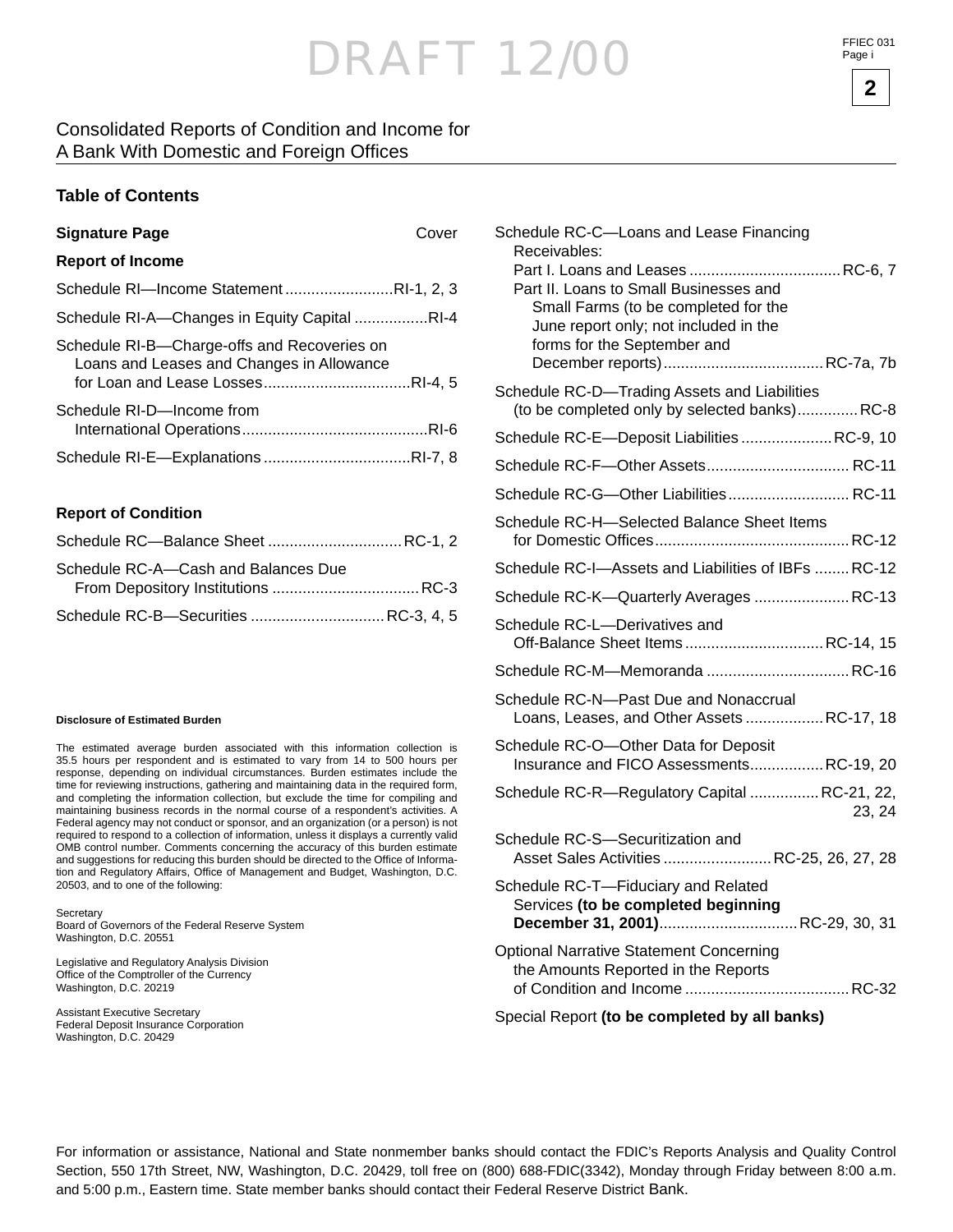#### Consolidated Reports of Condition and Income for A Bank With Domestic and Foreign Offices

#### **Table of Contents**

| <b>Signature Page</b>                                                                    | Cover |
|------------------------------------------------------------------------------------------|-------|
| <b>Report of Income</b>                                                                  |       |
| Schedule RI-Income StatementRI-1, 2, 3                                                   |       |
| Schedule RI-A-Changes in Equity Capital RI-4                                             |       |
| Schedule RI-B-Charge-offs and Recoveries on<br>Loans and Leases and Changes in Allowance |       |
| Schedule RI-D-Income from                                                                |       |
|                                                                                          |       |

#### **Report of Condition**

| Schedule RC-Balance Sheet  RC-1, 2   |  |
|--------------------------------------|--|
| Schedule RC-A-Cash and Balances Due  |  |
|                                      |  |
| Schedule RC-B-Securities  RC-3, 4, 5 |  |

#### **Disclosure of Estimated Burden**

The estimated average burden associated with this information collection is 35.5 hours per respondent and is estimated to vary from 14 to 500 hours per response, depending on individual circumstances. Burden estimates include the time for reviewing instructions, gathering and maintaining data in the required form, and completing the information collection, but exclude the time for compiling and maintaining business records in the normal course of a respondent's activities. A Federal agency may not conduct or sponsor, and an organization (or a person) is not required to respond to a collection of information, unless it displays a currently valid OMB control number. Comments concerning the accuracy of this burden estimate and suggestions for reducing this burden should be directed to the Office of Information and Regulatory Affairs, Office of Management and Budget, Washington, D.C. 20503, and to one of the following:

**Secretary** Board of Governors of the Federal Reserve System Washington, D.C. 20551

Legislative and Regulatory Analysis Division Office of the Comptroller of the Currency Washington, D.C. 20219

Assistant Executive Secretary Federal Deposit Insurance Corporation Washington, D.C. 20429

| Schedule RC-C-Loans and Lease Financing<br>Receivables:<br>Part II. Loans to Small Businesses and              |       |
|----------------------------------------------------------------------------------------------------------------|-------|
| Small Farms (to be completed for the<br>June report only; not included in the<br>forms for the September and   |       |
| Schedule RC-D-Trading Assets and Liabilities<br>(to be completed only by selected banks)RC-8                   |       |
| Schedule RC-E-Deposit Liabilities  RC-9, 10                                                                    |       |
|                                                                                                                |       |
| Schedule RC-G-Other Liabilities RC-11                                                                          |       |
| Schedule RC-H-Selected Balance Sheet Items                                                                     |       |
| Schedule RC-I-Assets and Liabilities of IBFs  RC-12                                                            |       |
| Schedule RC-K-Quarterly Averages  RC-13                                                                        |       |
| Schedule RC-L-Derivatives and<br>Off-Balance Sheet ItemsRC-14, 15                                              |       |
|                                                                                                                |       |
| Schedule RC-N-Past Due and Nonaccrual<br>Loans, Leases, and Other Assets RC-17, 18                             |       |
| Schedule RC-O-Other Data for Deposit<br>Insurance and FICO AssessmentsRC-19, 20                                |       |
| Schedule RC-R-Regulatory Capital  RC-21, 22,                                                                   | 23.24 |
| Schedule RC-S-Securitization and<br>Asset Sales Activities  RC-25, 26, 27, 28                                  |       |
| Schedule RC-T-Fiduciary and Related<br>Services (to be completed beginning<br>December 31, 2001) RC-29, 30, 31 |       |
| <b>Optional Narrative Statement Concerning</b><br>the Amounts Reported in the Reports                          |       |
| $\sim$ $\sim$ $\sim$                                                                                           |       |

Special Report **(to be completed by all banks)**

For information or assistance, National and State nonmember banks should contact the FDIC's Reports Analysis and Quality Control Section, 550 17th Street, NW, Washington, D.C. 20429, toll free on (800) 688-FDIC(3342), Monday through Friday between 8:00 a.m. and 5:00 p.m., Eastern time. State member banks should contact their Federal Reserve District Bank.

FFIEC 031 Page i

**2**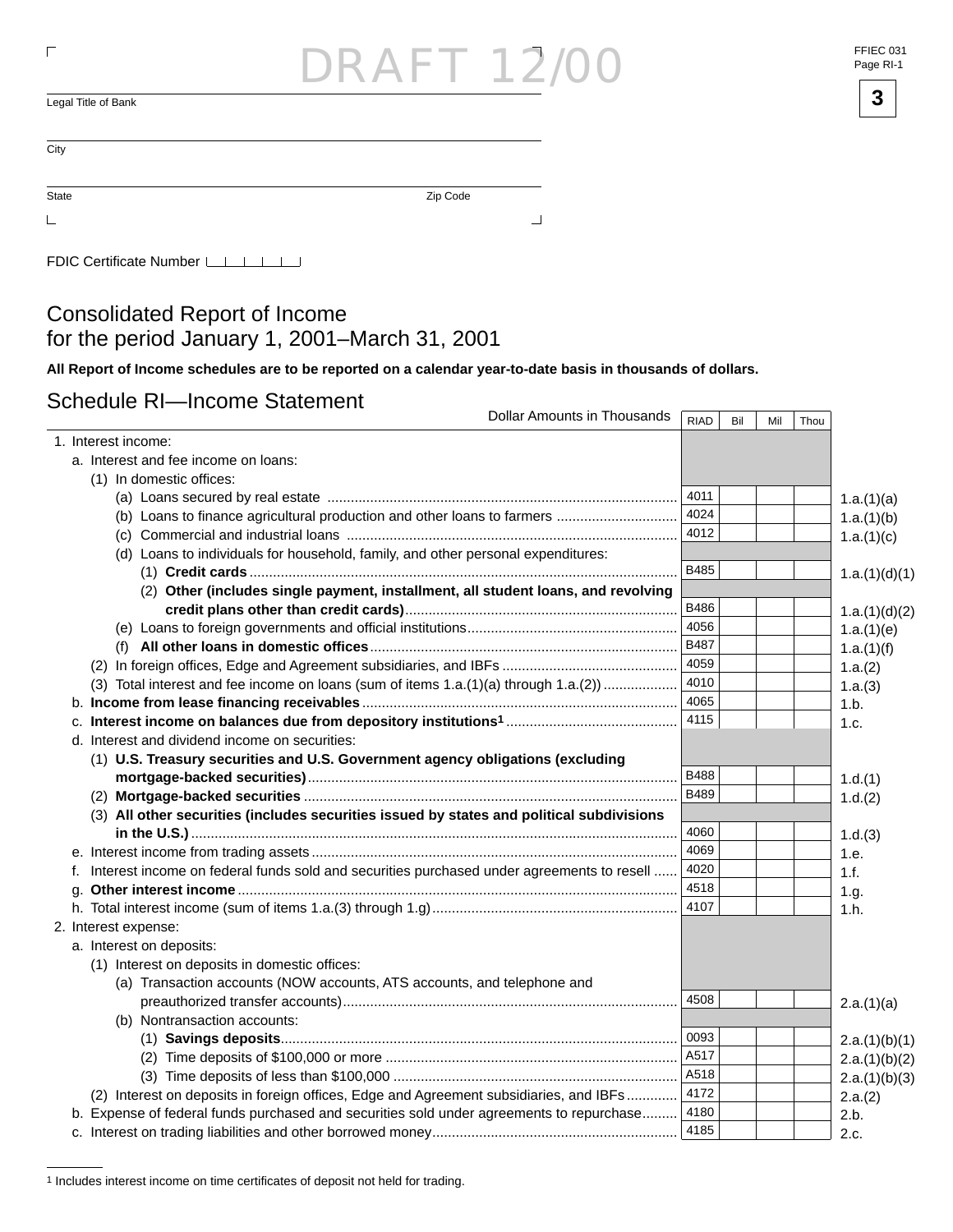# RAF 12

 $\overline{\mathsf{L}}$ egal Title of Bank  $\overline{\mathsf{3}}$ 

State Zip Code

 $\mathsf{L}% _{\mathcal{A}}^{\alpha}=\mathsf{L}_{\alpha}^{\alpha}$ 

 $\overline{a}$ 

 $\sqcup$ 

FDIC Certificate Number LILILI

#### Consolidated Report of Income for the period January 1, 2001 –March 31, 2001

**All Report of Income schedules are to be reported on a calendar year-to-date basis in thousands of dollars.**

#### Schedule RI—Income Statement

| Dollar Amounts in Thousands                                                                     | <b>RIAD</b> | Bil | Mil | Thou |               |
|-------------------------------------------------------------------------------------------------|-------------|-----|-----|------|---------------|
| 1. Interest income:                                                                             |             |     |     |      |               |
| a. Interest and fee income on loans:                                                            |             |     |     |      |               |
| (1) In domestic offices:                                                                        |             |     |     |      |               |
|                                                                                                 | 4011        |     |     |      | 1.a.(1)(a)    |
|                                                                                                 | 4024        |     |     |      | 1.a.(1)(b)    |
|                                                                                                 | 4012        |     |     |      | 1.a.(1)(c)    |
| (d) Loans to individuals for household, family, and other personal expenditures:                |             |     |     |      |               |
|                                                                                                 | B485        |     |     |      | 1.a.(1)(d)(1) |
| (2) Other (includes single payment, installment, all student loans, and revolving               |             |     |     |      |               |
|                                                                                                 | B486        |     |     |      | 1.a.(1)(d)(2) |
|                                                                                                 | 4056        |     |     |      | 1.a.(1)(e)    |
|                                                                                                 | <b>B487</b> |     |     |      | 1.a.(1)(f)    |
|                                                                                                 | 4059        |     |     |      | 1.a.(2)       |
| (3) Total interest and fee income on loans (sum of items 1.a.(1)(a) through 1.a.(2))            | 4010        |     |     |      | 1.a.(3)       |
|                                                                                                 | 4065        |     |     |      | 1.b.          |
|                                                                                                 | 4115        |     |     |      | 1.c.          |
| d. Interest and dividend income on securities:                                                  |             |     |     |      |               |
| (1) U.S. Treasury securities and U.S. Government agency obligations (excluding                  |             |     |     |      |               |
|                                                                                                 | B488        |     |     |      | 1.d.(1)       |
|                                                                                                 | <b>B489</b> |     |     |      | 1.d.(2)       |
| (3) All other securities (includes securities issued by states and political subdivisions       |             |     |     |      |               |
|                                                                                                 | 4060        |     |     |      | 1.d.(3)       |
|                                                                                                 | 4069        |     |     |      | 1.e.          |
| Interest income on federal funds sold and securities purchased under agreements to resell<br>f. | 4020        |     |     |      | 1.f.          |
|                                                                                                 | 4518        |     |     |      | 1.g.          |
|                                                                                                 | 4107        |     |     |      | 1.h.          |
| 2. Interest expense:                                                                            |             |     |     |      |               |
| a. Interest on deposits:                                                                        |             |     |     |      |               |
| (1) Interest on deposits in domestic offices:                                                   |             |     |     |      |               |
| (a) Transaction accounts (NOW accounts, ATS accounts, and telephone and                         |             |     |     |      |               |
|                                                                                                 | 4508        |     |     |      | 2.a.(1)(a)    |
| (b) Nontransaction accounts:                                                                    |             |     |     |      |               |
|                                                                                                 | 0093        |     |     |      | 2.a.(1)(b)(1) |
|                                                                                                 | A517        |     |     |      | 2.a.(1)(b)(2) |
|                                                                                                 | A518        |     |     |      | 2.a.(1)(b)(3) |
| (2) Interest on deposits in foreign offices, Edge and Agreement subsidiaries, and IBFs          | 4172        |     |     |      | 2.a.(2)       |
| b. Expense of federal funds purchased and securities sold under agreements to repurchase        | 4180        |     |     |      | 2.b.          |
|                                                                                                 | 4185        |     |     |      | 2.c.          |

<sup>&</sup>lt;sup>1</sup> Includes interest income on time certificates of deposit not held for trading.

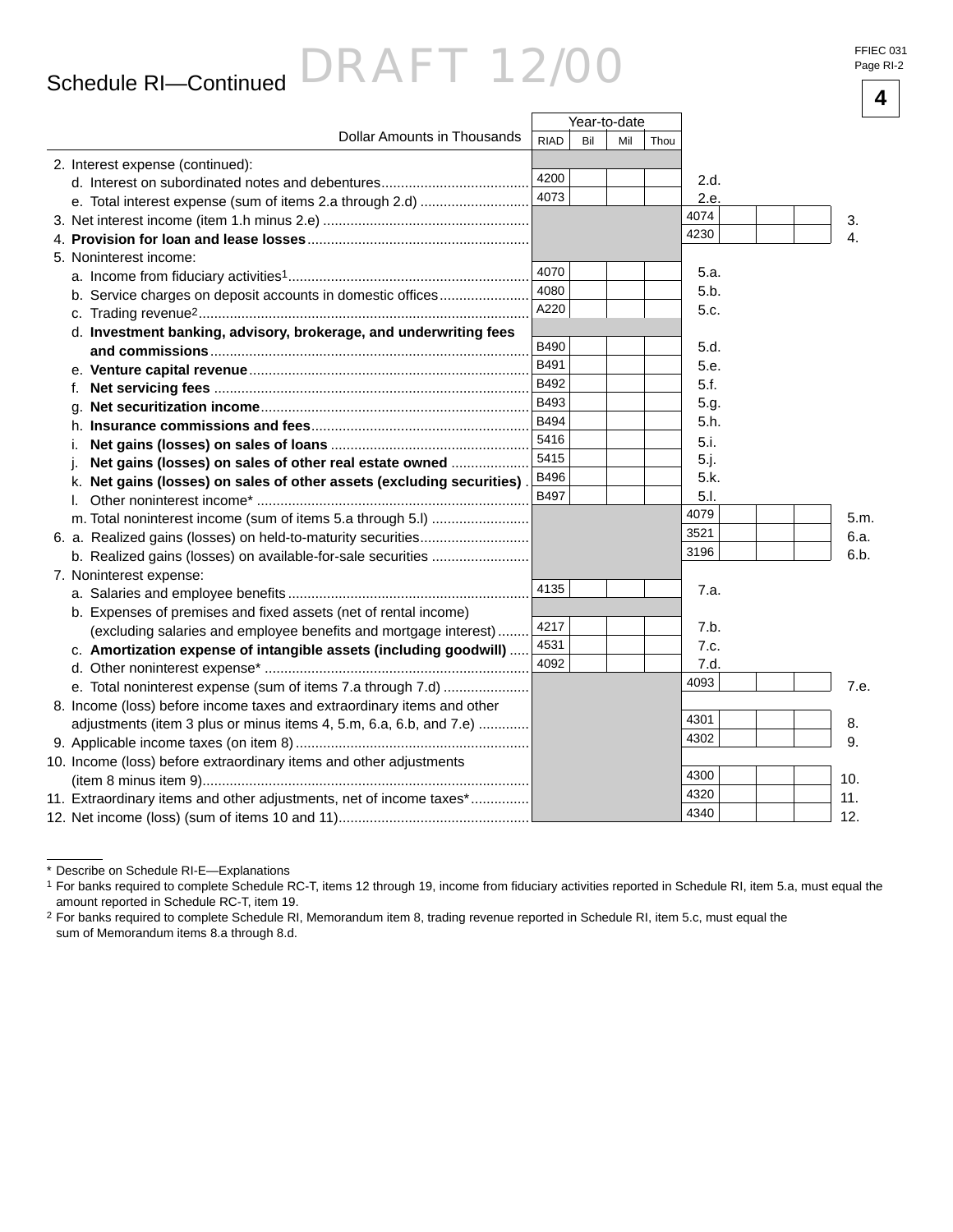### **<sup>4</sup>** Schedule RI—Continued

# DRAFT 12/00

|                                                                          |             | Year-to-date |     |      |      |      |
|--------------------------------------------------------------------------|-------------|--------------|-----|------|------|------|
| Dollar Amounts in Thousands                                              | <b>RIAD</b> | Bil          | Mil | Thou |      |      |
| 2. Interest expense (continued):                                         |             |              |     |      |      |      |
|                                                                          | 4200        |              |     |      | 2.d. |      |
|                                                                          | 4073        |              |     |      | 2.e. |      |
|                                                                          |             |              |     |      | 4074 | 3.   |
|                                                                          |             |              |     |      | 4230 | 4.   |
| 5. Noninterest income:                                                   |             |              |     |      |      |      |
|                                                                          | 4070        |              |     |      | 5.a. |      |
| b. Service charges on deposit accounts in domestic offices               | 4080        |              |     |      | 5.b. |      |
|                                                                          | A220        |              |     |      | 5.c. |      |
| d. Investment banking, advisory, brokerage, and underwriting fees        |             |              |     |      |      |      |
|                                                                          | B490        |              |     |      | 5.d. |      |
|                                                                          | B491        |              |     |      | 5.e. |      |
| f.                                                                       | B492        |              |     |      | 5.f. |      |
| a.                                                                       | B493        |              |     |      | 5.g. |      |
| h.                                                                       | <b>B494</b> |              |     |      | 5.h. |      |
| i.                                                                       | 5416        |              |     |      | 5.i. |      |
| Net gains (losses) on sales of other real estate owned                   | 5415        |              |     |      | 5.j. |      |
| Net gains (losses) on sales of other assets (excluding securities)<br>ĸ. | B496        |              |     |      | 5.k. |      |
| I.                                                                       | <b>B497</b> |              |     |      | 5.1. |      |
| m. Total noninterest income (sum of items 5.a through 5.l)               |             |              |     |      | 4079 | 5.m. |
| 6. a. Realized gains (losses) on held-to-maturity securities             |             |              |     |      | 3521 | 6.a. |
| b. Realized gains (losses) on available-for-sale securities              |             |              |     |      | 3196 | 6.b. |
| 7. Noninterest expense:                                                  |             |              |     |      |      |      |
|                                                                          | 4135        |              |     |      | 7.a. |      |
| b. Expenses of premises and fixed assets (net of rental income)          |             |              |     |      |      |      |
| (excluding salaries and employee benefits and mortgage interest)         | 4217        |              |     |      | 7.b. |      |
| c. Amortization expense of intangible assets (including goodwill)        | 4531        |              |     |      | 7.c. |      |
|                                                                          | 4092        |              |     |      | 7.d. |      |
| e. Total noninterest expense (sum of items 7.a through 7.d)              |             |              |     |      | 4093 | 7.e. |
| 8. Income (loss) before income taxes and extraordinary items and other   |             |              |     |      |      |      |
| adjustments (item 3 plus or minus items 4, 5.m, 6.a, 6.b, and 7.e)       |             |              |     |      | 4301 | 8.   |
|                                                                          |             |              |     |      | 4302 | 9.   |
| 10. Income (loss) before extraordinary items and other adjustments       |             |              |     |      |      |      |
|                                                                          |             |              |     |      | 4300 | 10.  |
| 11. Extraordinary items and other adjustments, net of income taxes*      |             |              |     |      | 4320 | 11.  |
|                                                                          |             |              |     |      | 4340 | 12.  |

<sup>\*</sup> Describe on Schedule RI-E—Explanations

<sup>1</sup> For banks required to complete Schedule RC-T, items 12 through 19, income from fiduciary activities reported in Schedule RI, item 5.a, must equal the amount reported in Schedule RC-T, item 19.

<sup>2</sup> For banks required to complete Schedule RI, Memorandum item 8, trading revenue reported in Schedule RI, item 5.c, must equal the sum of Memorandum items 8.a through 8.d.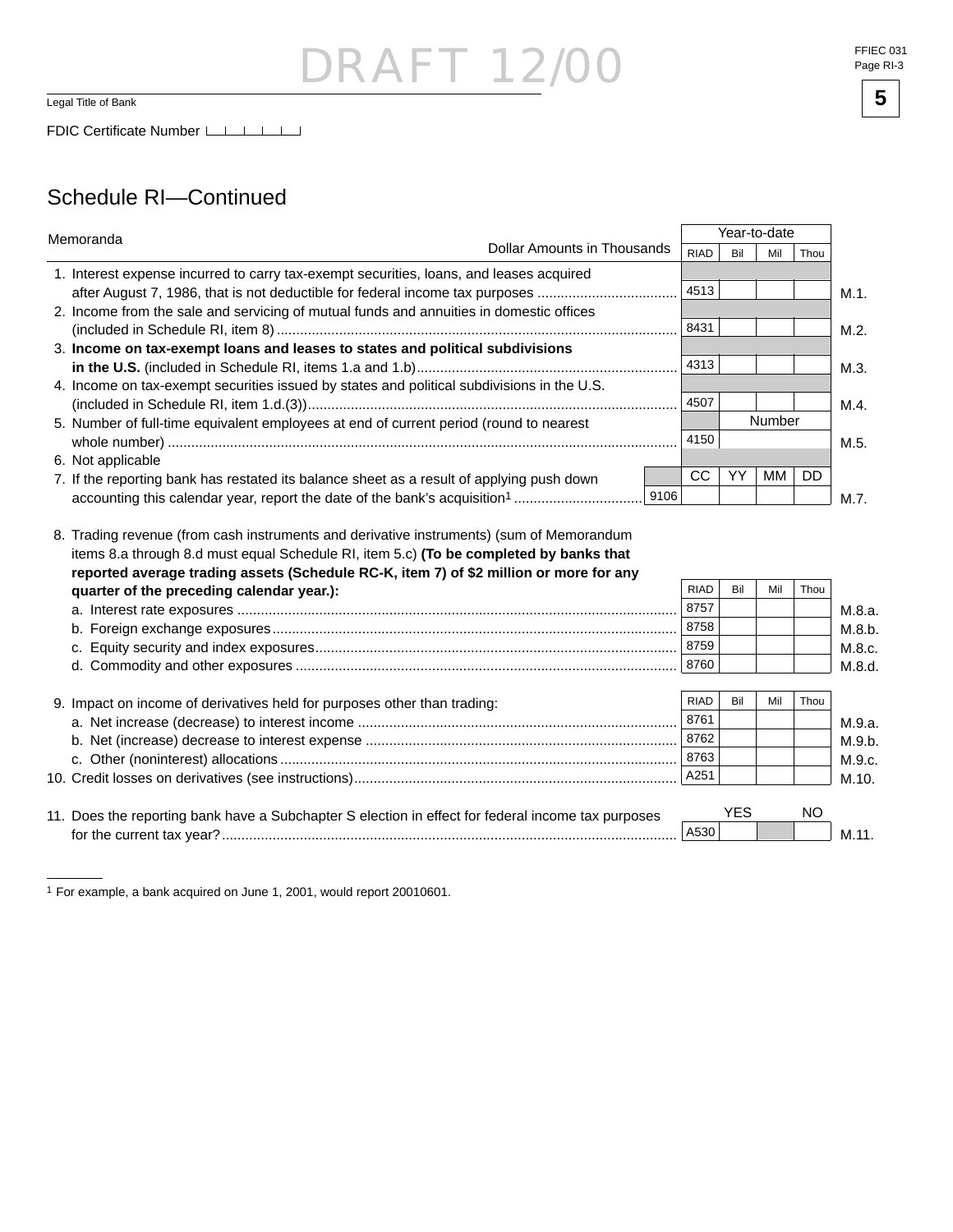### DRAFT 12/00 Legal Title of Bank **5**

#### Schedule RI—Continued

| Memoranda                                                                                                                           |             | Year-to-date |        |           |  |  |  |
|-------------------------------------------------------------------------------------------------------------------------------------|-------------|--------------|--------|-----------|--|--|--|
| <b>Dollar Amounts in Thousands</b>                                                                                                  | <b>RIAD</b> | Bil          | Mil    | Thou      |  |  |  |
| 1. Interest expense incurred to carry tax-exempt securities, loans, and leases acquired                                             |             |              |        |           |  |  |  |
| after August 7, 1986, that is not deductible for federal income tax purposes                                                        | 4513        |              |        |           |  |  |  |
| 2. Income from the sale and servicing of mutual funds and annuities in domestic offices                                             |             |              |        |           |  |  |  |
|                                                                                                                                     | 8431        |              |        |           |  |  |  |
| 3. Income on tax-exempt loans and leases to states and political subdivisions                                                       |             |              |        |           |  |  |  |
|                                                                                                                                     | 4313        |              |        |           |  |  |  |
| 4. Income on tax-exempt securities issued by states and political subdivisions in the U.S.                                          |             |              |        |           |  |  |  |
|                                                                                                                                     | 4507        |              |        |           |  |  |  |
| 5. Number of full-time equivalent employees at end of current period (round to nearest                                              |             |              | Number |           |  |  |  |
|                                                                                                                                     | 4150        |              |        |           |  |  |  |
| 6. Not applicable                                                                                                                   |             |              |        |           |  |  |  |
| 7. If the reporting bank has restated its balance sheet as a result of applying push down                                           | <b>CC</b>   | YY           | MМ     | <b>DD</b> |  |  |  |
|                                                                                                                                     | 9106        |              |        |           |  |  |  |
| reported average trading assets (Schedule RC-K, item 7) of \$2 million or more for any<br>quarter of the preceding calendar year.): | <b>RIAD</b> | Bil          | Mil    | Thou      |  |  |  |
|                                                                                                                                     | 8757        |              |        |           |  |  |  |
|                                                                                                                                     | 8758        |              |        |           |  |  |  |
|                                                                                                                                     | 8759        |              |        |           |  |  |  |
|                                                                                                                                     | 8760        |              |        |           |  |  |  |
|                                                                                                                                     |             |              |        |           |  |  |  |
| 9. Impact on income of derivatives held for purposes other than trading:                                                            | <b>RIAD</b> | Bil          | Mil    | Thou      |  |  |  |
|                                                                                                                                     | 8761        |              |        |           |  |  |  |
|                                                                                                                                     | 8762        |              |        |           |  |  |  |
|                                                                                                                                     | 8763        |              |        |           |  |  |  |
|                                                                                                                                     | A251        |              |        |           |  |  |  |
|                                                                                                                                     |             |              |        |           |  |  |  |
|                                                                                                                                     |             |              |        |           |  |  |  |
| 11. Does the reporting bank have a Subchapter S election in effect for federal income tax purposes                                  |             | <b>YES</b>   |        | NO        |  |  |  |



<sup>1</sup> For example, a bank acquired on June 1, 2001, would report 20010601.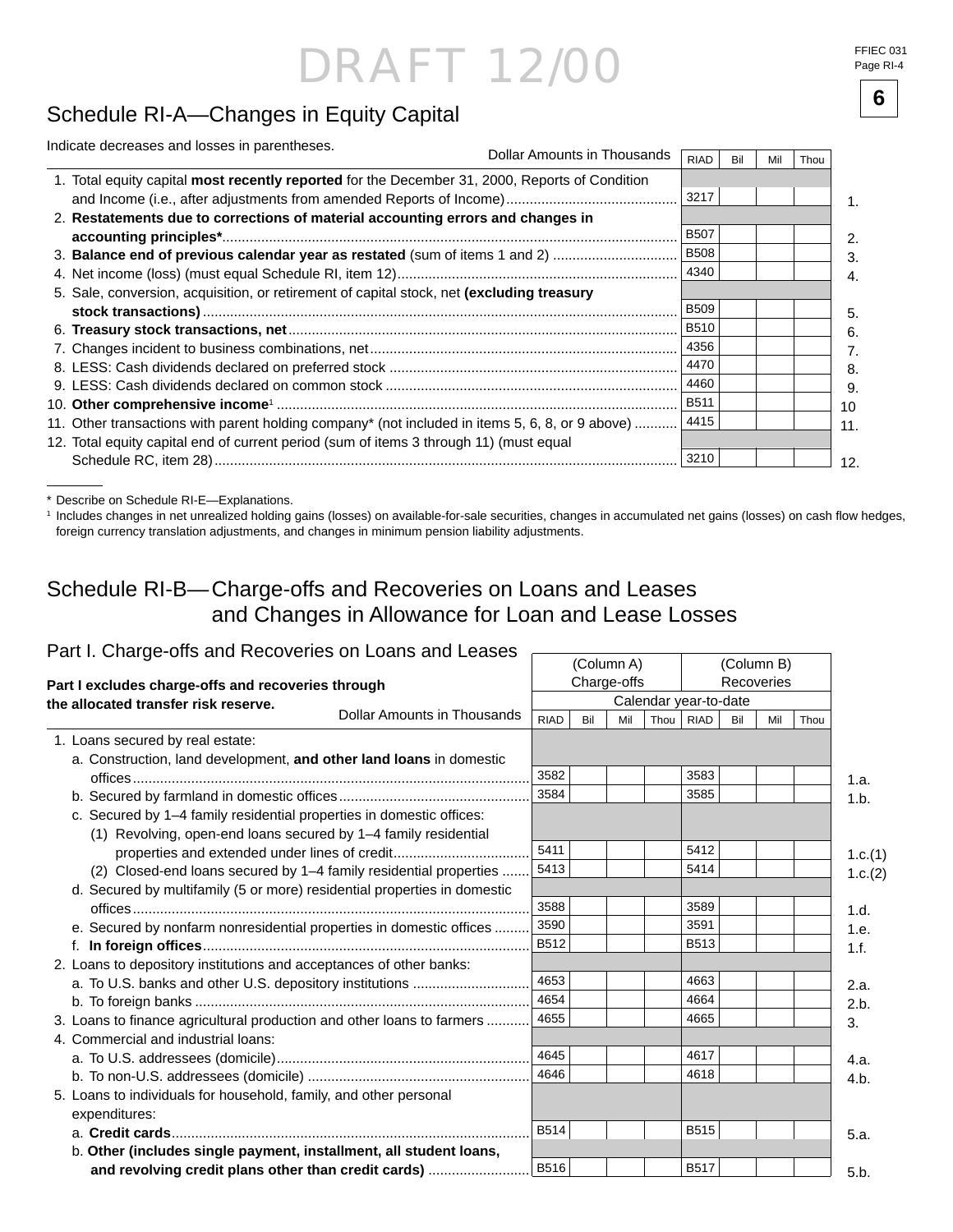FFIEC 031 Page RI-4

## **<sup>6</sup>** Schedule RI-A—Changes in Equity Capital

| Indicate decreases and losses in parentheses.                                                   |      |             |     |      |  |
|-------------------------------------------------------------------------------------------------|------|-------------|-----|------|--|
|                                                                                                 | RIAD | Bil         | Mil | Thou |  |
| 1. Total equity capital most recently reported for the December 31, 2000, Reports of Condition  |      |             |     |      |  |
|                                                                                                 |      | 3217        |     |      |  |
| 2. Restatements due to corrections of material accounting errors and changes in                 |      |             |     |      |  |
|                                                                                                 |      | <b>B507</b> |     |      |  |
| 3. Balance end of previous calendar year as restated (sum of items 1 and 2)                     |      | <b>B508</b> |     |      |  |
|                                                                                                 |      | 4340        |     |      |  |
| 5. Sale, conversion, acquisition, or retirement of capital stock, net (excluding treasury       |      |             |     |      |  |
|                                                                                                 |      | <b>B509</b> |     |      |  |
|                                                                                                 |      | <b>B510</b> |     |      |  |
|                                                                                                 |      | 4356        |     |      |  |
|                                                                                                 |      | 4470        |     |      |  |
|                                                                                                 |      | 4460        |     |      |  |
|                                                                                                 |      | <b>B511</b> |     |      |  |
| 11. Other transactions with parent holding company* (not included in items 5, 6, 8, or 9 above) |      | 4415        |     |      |  |
| 12. Total equity capital end of current period (sum of items 3 through 11) (must equal          |      |             |     |      |  |
|                                                                                                 |      | 3210        |     |      |  |

\* Describe on Schedule RI-E—Explanations.

<sup>1</sup> Includes changes in net unrealized holding gains (losses) on available-for-sale securities, changes in accumulated net gains (losses) on cash flow hedges, foreign currency translation adjustments, and changes in minimum pension liability adjustments.

### Schedule RI-B— Charge-offs and Recoveries on Loans and Leases and Changes in Allowance for Loan and Lease Losses

#### Part I. Charge-offs and Recoveries on Loans and Leases -

| <b>RIAD</b> | Bil | Mil         | <b>RIAD</b>               | Bil    | Mil                   | Thou |                          |
|-------------|-----|-------------|---------------------------|--------|-----------------------|------|--------------------------|
|             |     |             |                           |        |                       |      |                          |
|             |     |             |                           |        |                       |      |                          |
| 3582        |     |             | 3583                      |        |                       |      | 1.a.                     |
| 3584        |     |             | 3585                      |        |                       |      | 1.b.                     |
|             |     |             |                           |        |                       |      |                          |
|             |     |             |                           |        |                       |      |                          |
| 5411        |     |             | 5412                      |        |                       |      | 1.c.(1)                  |
| 5413        |     |             | 5414                      |        |                       |      | 1.c.(2)                  |
|             |     |             |                           |        |                       |      |                          |
| 3588        |     |             | 3589                      |        |                       |      | 1.d.                     |
| 3590        |     |             | 3591                      |        |                       |      | 1.e.                     |
| <b>B512</b> |     |             | B513                      |        |                       |      | 1.f.                     |
|             |     |             |                           |        |                       |      |                          |
| 4653        |     |             | 4663                      |        |                       |      | 2.a.                     |
| 4654        |     |             | 4664                      |        |                       |      | 2.b.                     |
| 4655        |     |             | 4665                      |        |                       |      | 3.                       |
|             |     |             |                           |        |                       |      |                          |
| 4645        |     |             | 4617                      |        |                       |      | 4.a.                     |
| 4646        |     |             | 4618                      |        |                       |      | 4.b.                     |
|             |     |             |                           |        |                       |      |                          |
|             |     |             |                           |        |                       |      |                          |
| <b>B514</b> |     |             | B515                      |        |                       |      | 5.a.                     |
|             |     |             |                           |        |                       |      |                          |
|             |     |             | <b>B517</b>               |        |                       |      | 5.b.                     |
|             |     | <b>B516</b> | (Column A)<br>Charge-offs | Thou I | Calendar year-to-date |      | (Column B)<br>Recoveries |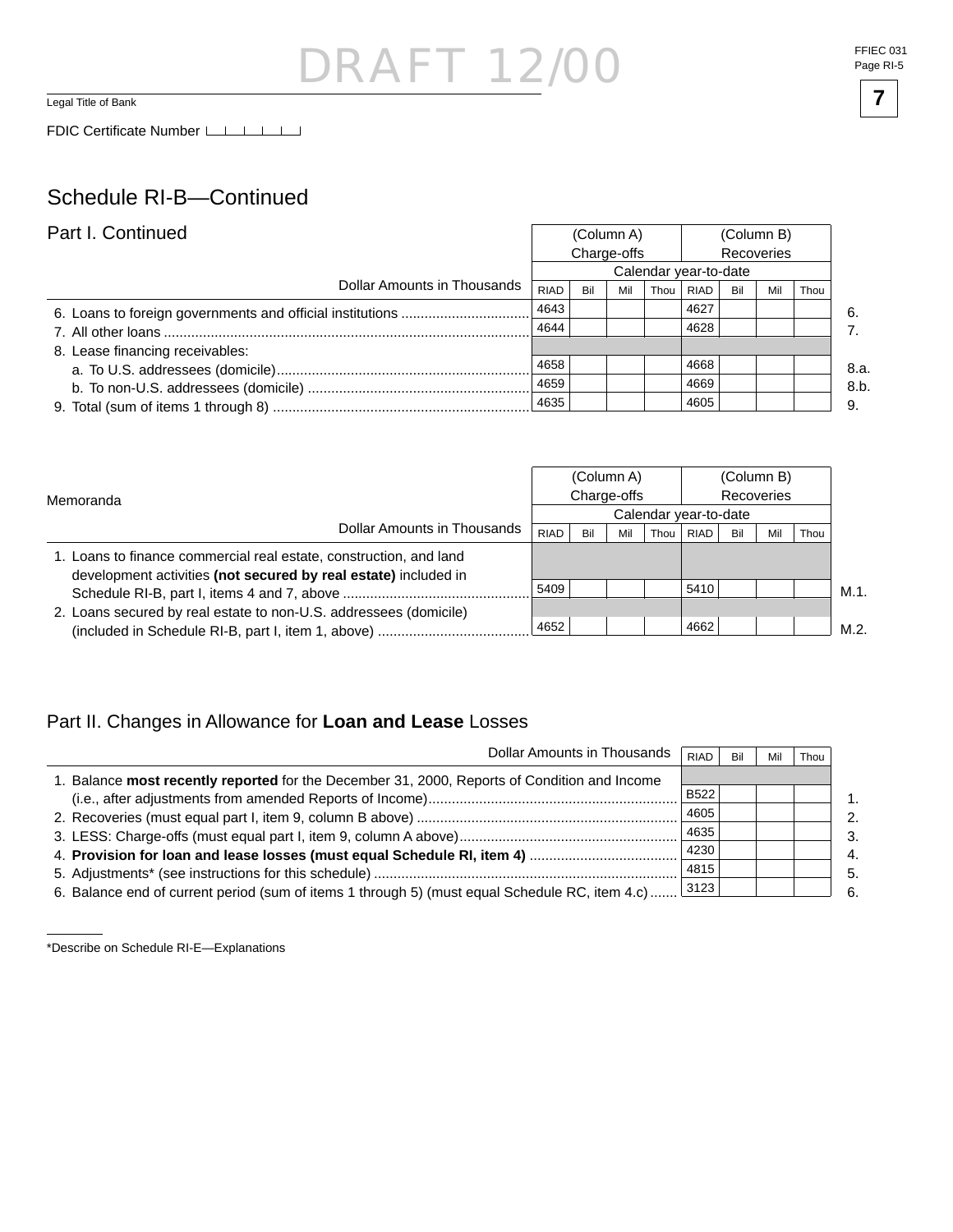### DRAFT 12 Legal Title of Bank **7**

#### Schedule RI-B—Continued

| Part I. Continued               |             |             | (Column A)            |      |            | (Column B) |     |      |      |  |  |  |  |  |
|---------------------------------|-------------|-------------|-----------------------|------|------------|------------|-----|------|------|--|--|--|--|--|
|                                 |             | Charge-offs |                       |      | Recoveries |            |     |      |      |  |  |  |  |  |
|                                 |             |             | Calendar year-to-date |      |            |            |     |      |      |  |  |  |  |  |
| Dollar Amounts in Thousands     | <b>RIAD</b> | Bil         | Mil                   | Thou | RIAD       | Bil        | Mil | Thou |      |  |  |  |  |  |
|                                 | 4643        |             |                       |      | 4627       |            |     |      | -6.  |  |  |  |  |  |
|                                 | 4644        |             |                       |      | 4628       |            |     |      |      |  |  |  |  |  |
| 8. Lease financing receivables: |             |             |                       |      |            |            |     |      |      |  |  |  |  |  |
|                                 | 4658        |             |                       |      | 4668       |            |     |      | 8.a. |  |  |  |  |  |
|                                 | 4659        |             |                       |      | 4669       |            |     |      | 8.b. |  |  |  |  |  |
|                                 | 4635        |             |                       |      | 4605       |            |     |      | 9.   |  |  |  |  |  |

|                                                                                                                                       |             |     | (Column A)  |      | (Column B)            |     |     |      |      |
|---------------------------------------------------------------------------------------------------------------------------------------|-------------|-----|-------------|------|-----------------------|-----|-----|------|------|
| Memoranda                                                                                                                             |             |     | Charge-offs |      | Recoveries            |     |     |      |      |
|                                                                                                                                       |             |     |             |      | Calendar year-to-date |     |     |      |      |
| Dollar Amounts in Thousands                                                                                                           | <b>RIAD</b> | Bil | Mil         | Thou | <b>RIAD</b>           | Bil | Mil | Thou |      |
| 1. Loans to finance commercial real estate, construction, and land<br>development activities (not secured by real estate) included in |             |     |             |      |                       |     |     |      |      |
|                                                                                                                                       | 5409        |     |             |      | 5410                  |     |     |      | M.1. |
| 2. Loans secured by real estate to non-U.S. addressees (domicile)                                                                     |             |     |             |      |                       |     |     |      |      |
| (included in Schedule RI-B, part I, item 1, above)                                                                                    | 4652        |     |             |      | 4662                  |     |     |      | M.2. |

#### Part II. Changes in Allowance for **Loan and Lease** Losses

| Dollar Amounts in Thousands                                                                          | <b>RIAD</b> | Bil | Mil | Thou |
|------------------------------------------------------------------------------------------------------|-------------|-----|-----|------|
| 1. Balance most recently reported for the December 31, 2000, Reports of Condition and Income         |             |     |     |      |
|                                                                                                      | <b>B522</b> |     |     |      |
|                                                                                                      | 4605        |     |     |      |
|                                                                                                      | 4635        |     |     |      |
|                                                                                                      | 4230        |     |     |      |
|                                                                                                      | 4815        |     |     |      |
| 6. Balance end of current period (sum of items 1 through 5) (must equal Schedule RC, item 4.c)  3123 |             |     |     |      |

<sup>\*</sup>Describe on Schedule RI-E—Explanations

FFIEC 031 Page RI-5

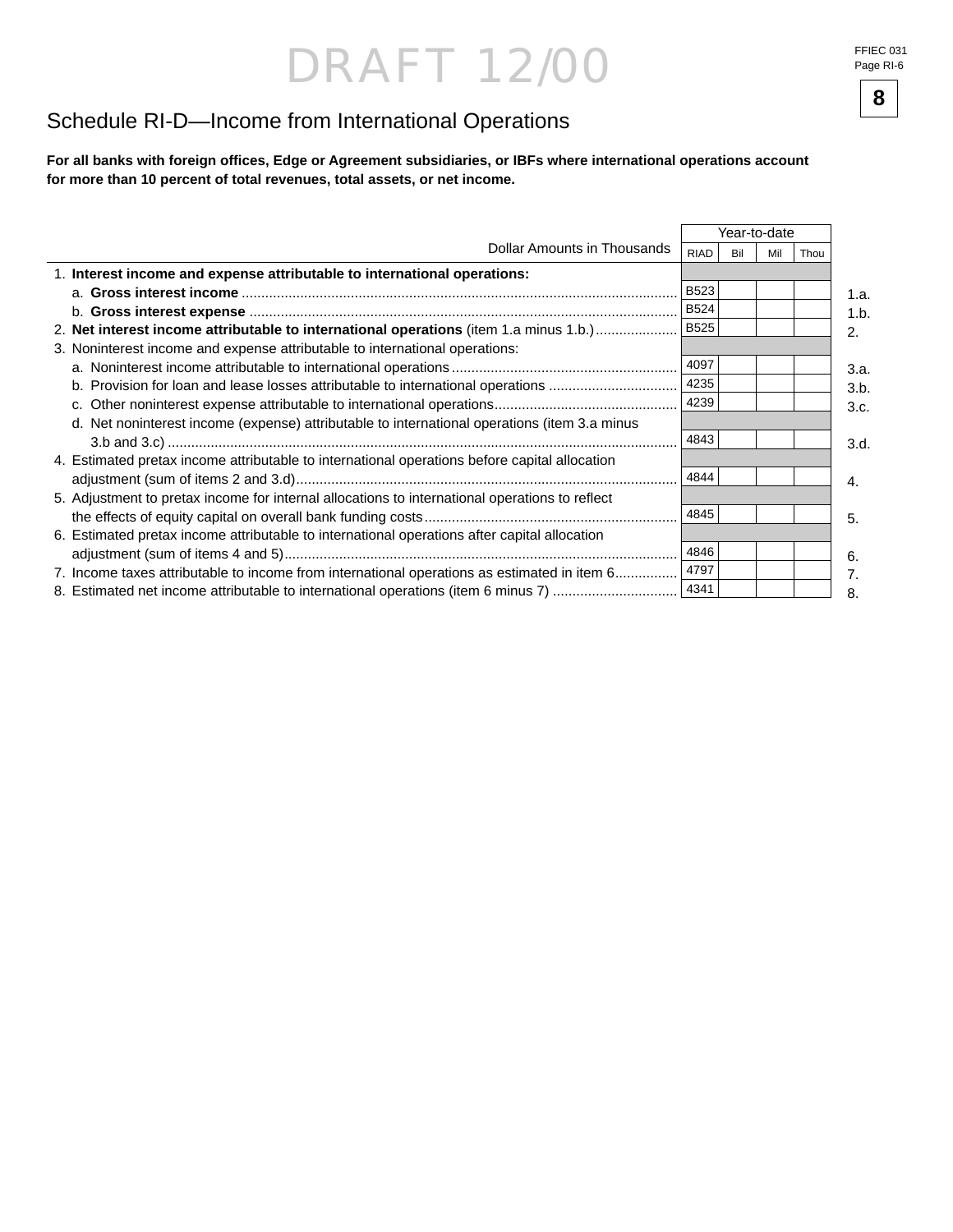## DRAFT 12/00 FFIEC 031

Page RI-6

### Schedule RI-D—Income from International Operations

**For all banks with foreign offi ces, Edge or Agreement subsidiaries, or IBFs where international operations account for more than 10 percent of total revenues, total assets, or net income.**

|                                                                                                |             |     | Year-to-date |      |      |
|------------------------------------------------------------------------------------------------|-------------|-----|--------------|------|------|
| Dollar Amounts in Thousands                                                                    | <b>RIAD</b> | Bil | Mil          | Thou |      |
| 1. Interest income and expense attributable to international operations:                       |             |     |              |      |      |
|                                                                                                | <b>B523</b> |     |              |      | 1.a. |
|                                                                                                | <b>B524</b> |     |              |      | 1.b  |
| 2. Net interest income attributable to international operations (item 1.a minus 1.b.)          | <b>B525</b> |     |              |      | 2.   |
| 3. Noninterest income and expense attributable to international operations:                    |             |     |              |      |      |
|                                                                                                | 4097        |     |              |      | 3.a. |
| b. Provision for loan and lease losses attributable to international operations                | 4235        |     |              |      | 3.b. |
|                                                                                                | 4239        |     |              |      | 3.c. |
| d. Net noninterest income (expense) attributable to international operations (item 3.a minus   |             |     |              |      |      |
|                                                                                                | 4843        |     |              |      | 3.d. |
| 4. Estimated pretax income attributable to international operations before capital allocation  |             |     |              |      |      |
|                                                                                                | 4844        |     |              |      | 4.   |
| 5. Adjustment to pretax income for internal allocations to international operations to reflect |             |     |              |      |      |
|                                                                                                | 4845        |     |              |      | 5.   |
| 6. Estimated pretax income attributable to international operations after capital allocation   |             |     |              |      |      |
|                                                                                                | 4846        |     |              |      | 6.   |
| 7. Income taxes attributable to income from international operations as estimated in item 6    | 4797        |     |              |      | 7.   |
| 8. Estimated net income attributable to international operations (item 6 minus 7)              | 4341        |     |              |      | 8.   |

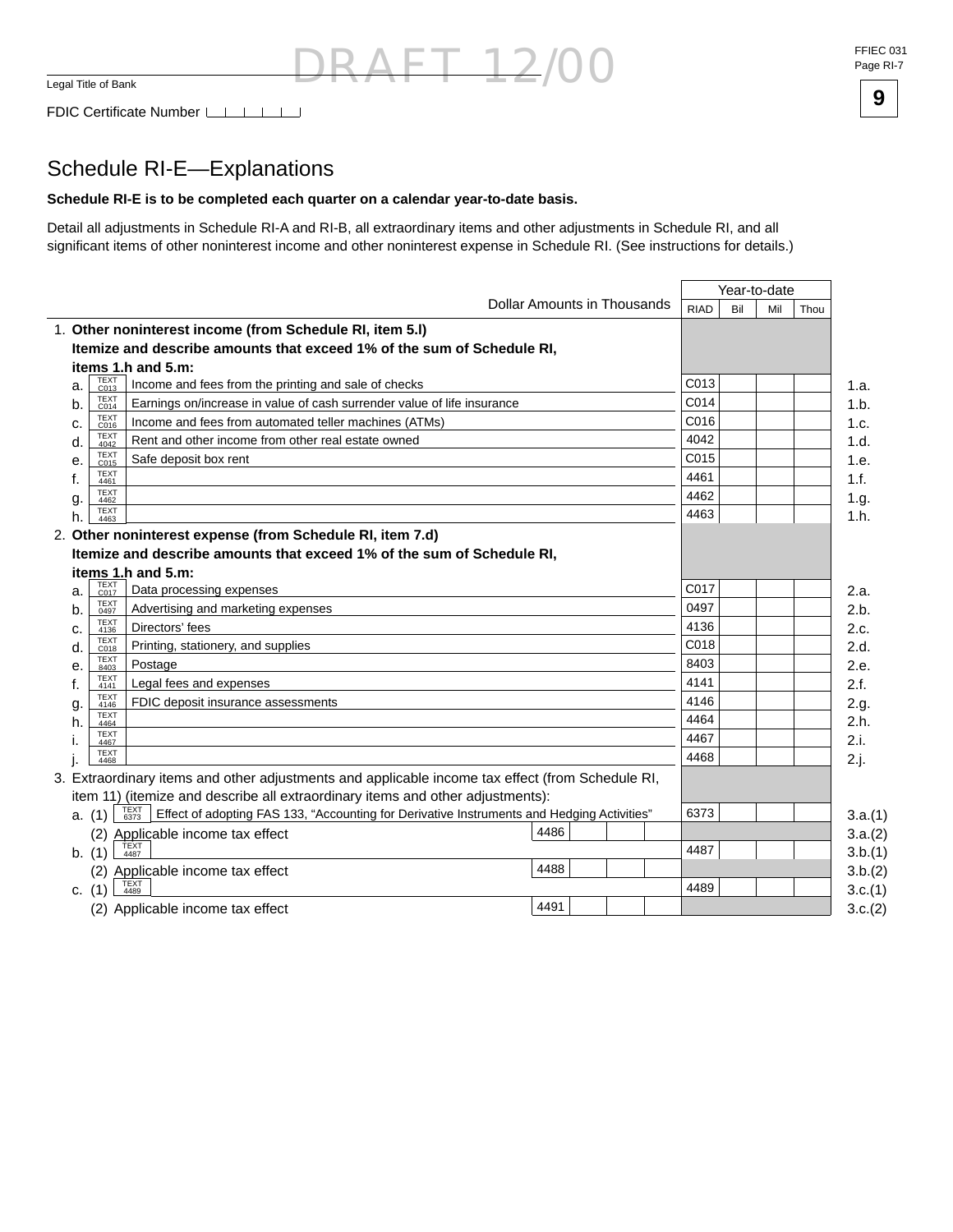DRAFT 12/00 FFIEC 031 Page RI-7



### Schedule RI-E—Explanations

#### **Schedule RI-E is to be completed each quarter on a calendar year-to-date basis.**

Detail all adjustments in Schedule RI-A and RI-B, all extraordinary items and other adjustments in Schedule RI, and all significant items of other noninterest income and other noninterest expense in Schedule RI. (See instructions for details.)

|    |                     |                                                                                                            |                             |             |     | Year-to-date |         |
|----|---------------------|------------------------------------------------------------------------------------------------------------|-----------------------------|-------------|-----|--------------|---------|
|    |                     |                                                                                                            | Dollar Amounts in Thousands | <b>RIAD</b> | Bil | Mil          | Thou    |
|    |                     | 1. Other noninterest income (from Schedule RI, item 5.I)                                                   |                             |             |     |              |         |
|    |                     | Itemize and describe amounts that exceed 1% of the sum of Schedule RI,                                     |                             |             |     |              |         |
|    |                     | items 1.h and 5.m:                                                                                         |                             |             |     |              |         |
| a. | TEXT<br>C013        | Income and fees from the printing and sale of checks                                                       |                             | C013        |     |              |         |
| b. | <b>TEXT</b><br>C014 | Earnings on/increase in value of cash surrender value of life insurance                                    |                             | C014        |     |              |         |
| c. | <b>TEXT</b><br>C016 | Income and fees from automated teller machines (ATMs)                                                      |                             | C016        |     |              |         |
| d. | <b>TEXT</b><br>4042 | Rent and other income from other real estate owned                                                         |                             | 4042        |     |              |         |
| е. | <b>TEXT</b><br>C015 | Safe deposit box rent                                                                                      |                             | C015        |     |              |         |
| f. | <b>TEXT</b><br>4461 |                                                                                                            |                             | 4461        |     |              |         |
| g. | <b>TEXT</b><br>4462 |                                                                                                            |                             | 4462        |     |              |         |
| h. | <b>TEXT</b><br>4463 |                                                                                                            |                             | 4463        |     |              |         |
|    |                     | 2. Other noninterest expense (from Schedule RI, item 7.d)                                                  |                             |             |     |              |         |
|    |                     | Itemize and describe amounts that exceed 1% of the sum of Schedule RI.                                     |                             |             |     |              |         |
|    |                     | items 1.h and 5.m:                                                                                         |                             |             |     |              |         |
| a. | TEXT<br>C017        | Data processing expenses                                                                                   |                             | C017        |     |              | 2.a.    |
| b. | <b>TEXT</b><br>0497 | Advertising and marketing expenses                                                                         |                             | 0497        |     |              |         |
| c. | <b>TEXT</b><br>4136 | Directors' fees                                                                                            |                             | 4136        |     |              |         |
| d. | <b>TEXT</b><br>C018 | Printing, stationery, and supplies                                                                         |                             | C018        |     |              |         |
| е. | <b>TEXT</b><br>8403 | Postage                                                                                                    |                             | 8403        |     |              |         |
| f. | TEXT<br>4141        | Legal fees and expenses                                                                                    |                             | 4141        |     |              |         |
| g. | <b>TEXT</b><br>4146 | FDIC deposit insurance assessments                                                                         |                             | 4146        |     |              |         |
| h. | <b>TEXT</b><br>4464 |                                                                                                            |                             | 4464        |     |              |         |
|    | <b>TEXT</b><br>4467 |                                                                                                            |                             | 4467        |     |              |         |
|    | <b>TEXT</b><br>4468 |                                                                                                            |                             | 4468        |     |              |         |
|    |                     | 3. Extraordinary items and other adjustments and applicable income tax effect (from Schedule RI,           |                             |             |     |              |         |
|    |                     | item 11) (itemize and describe all extraordinary items and other adjustments):                             |                             |             |     |              |         |
|    | a. (1)              | TEXT<br>6373<br>Effect of adopting FAS 133, "Accounting for Derivative Instruments and Hedging Activities" |                             | 6373        |     |              | 3.a.(1) |
|    |                     | 4486<br>(2) Applicable income tax effect                                                                   |                             |             |     |              |         |
|    | b. (1)              | TEXT<br>4487                                                                                               |                             | 4487        |     |              |         |
|    | (2)                 | 4488<br>Applicable income tax effect                                                                       |                             |             |     |              |         |
|    | c. $(1)$            | 4489                                                                                                       |                             | 4489        |     |              |         |
|    |                     | 4491<br>(2) Applicable income tax effect                                                                   |                             |             |     |              |         |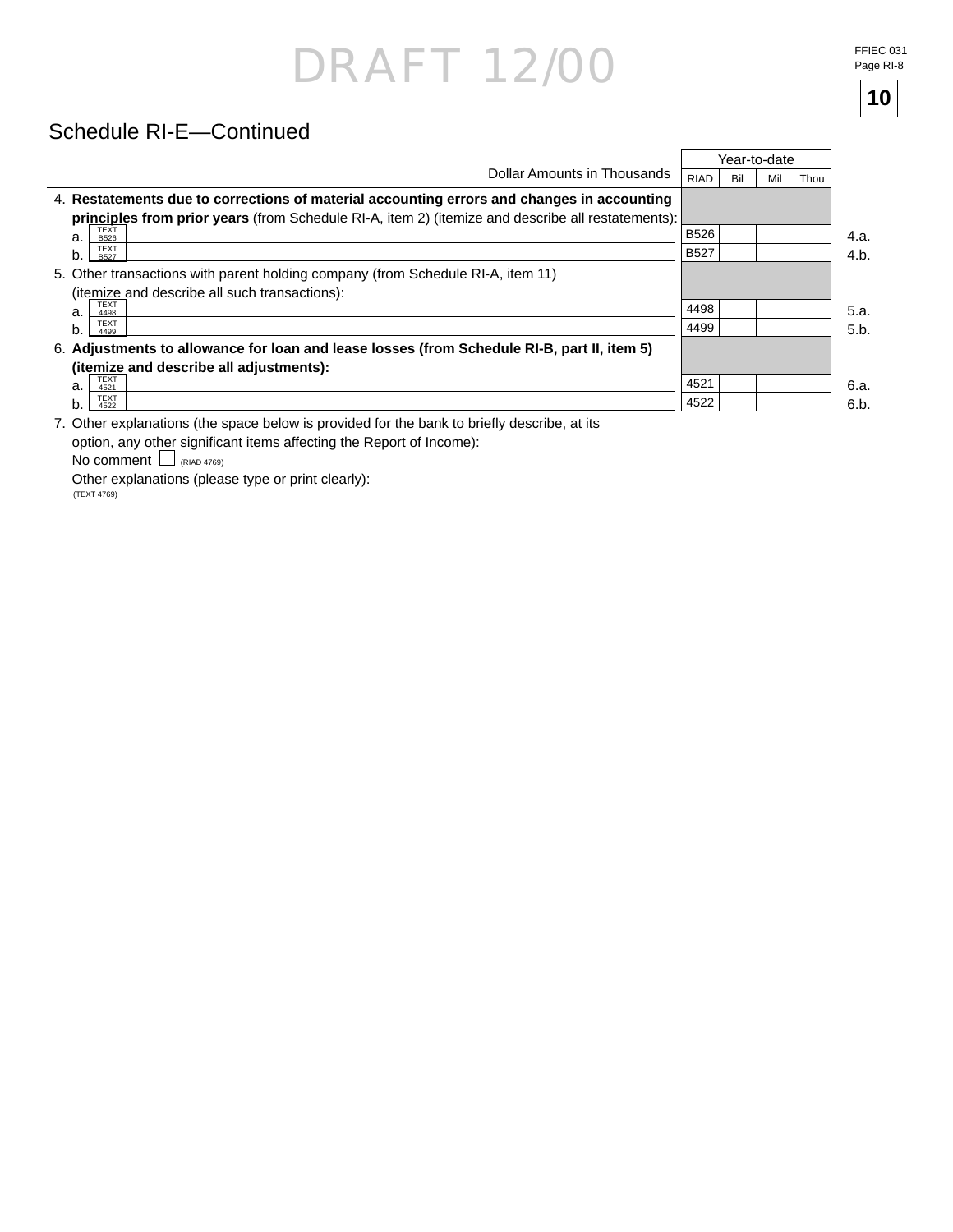# DRAFT 12/00 FFIEC 031

**10**

### Schedule RI-E—Continued

|                                                                                                                                                                                                                                    |             |     | Year-to-date |      |
|------------------------------------------------------------------------------------------------------------------------------------------------------------------------------------------------------------------------------------|-------------|-----|--------------|------|
| Dollar Amounts in Thousands                                                                                                                                                                                                        | <b>RIAD</b> | Bil | Mil          | Thou |
| 4. Restatements due to corrections of material accounting errors and changes in accounting                                                                                                                                         |             |     |              |      |
| principles from prior years (from Schedule RI-A, item 2) (itemize and describe all restatements):                                                                                                                                  |             |     |              |      |
| TEXT<br>B526<br>a.                                                                                                                                                                                                                 | <b>B526</b> |     |              |      |
| <b>TEXT</b><br>b.<br><b>B527</b>                                                                                                                                                                                                   | <b>B527</b> |     |              |      |
| 5. Other transactions with parent holding company (from Schedule RI-A, item 11)                                                                                                                                                    |             |     |              |      |
| (itemize and describe all such transactions):                                                                                                                                                                                      |             |     |              |      |
| <b>TEXT</b><br>a.<br>4498                                                                                                                                                                                                          | 4498        |     |              |      |
| <b>TEXT</b><br>b.<br>4499                                                                                                                                                                                                          | 4499        |     |              |      |
| 6. Adjustments to allowance for loan and lease losses (from Schedule RI-B, part II, item 5)                                                                                                                                        |             |     |              |      |
| (itemize and describe all adjustments):                                                                                                                                                                                            |             |     |              |      |
| <b>TEXT</b><br>a.<br>4521                                                                                                                                                                                                          | 4521        |     |              |      |
| <b>TEXT</b><br>b.<br>4522                                                                                                                                                                                                          | 4522        |     |              |      |
| $\bullet$ d le alle la stronger de la stronger de la stronger de la stronger de la stronger de la stronger de la stronger de la stronger de la stronger de la stronger de la stronger de la stronger de la stronger de la stronger |             |     |              |      |

7. Other explanations (the space below is provided for the bank to briefly describe, at its option, any other significant items affecting the Report of Income):

No comment Lo (RIAD 4769)

 Other explanations (please type or print clearly): (TEXT 4769)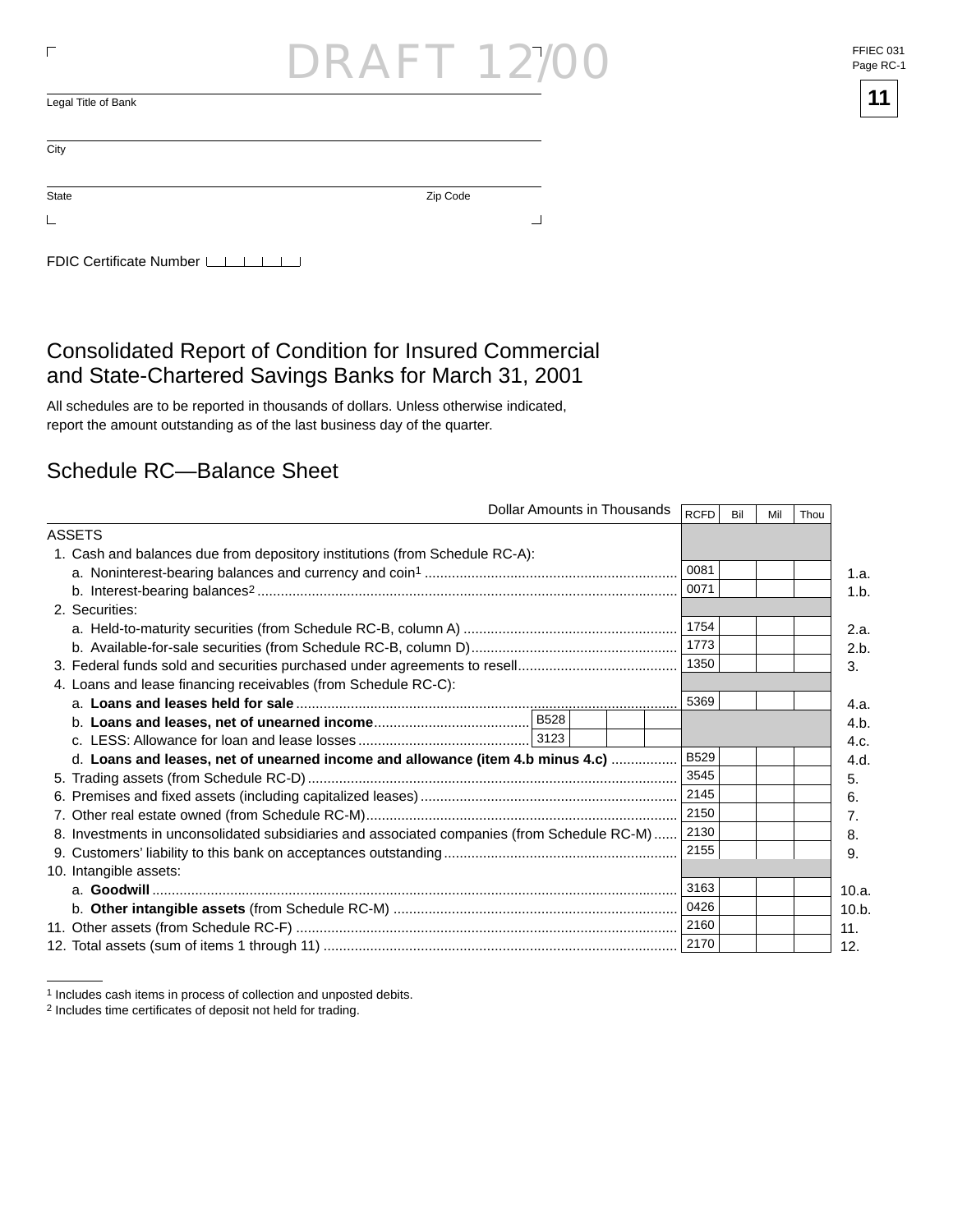| ┍                         | <b>DRAFT 12/00</b> | FFIEC (<br>Page R |
|---------------------------|--------------------|-------------------|
| Legal Title of Bank       |                    | 11                |
| City                      |                    |                   |
| State                     | Zip Code           |                   |
| └                         | -                  |                   |
| FDIC Certificate Number L |                    |                   |

### Consolidated Report of Condition for Insured Commercial and State-Chartered Savings Banks for March 31, 2001

All schedules are to be reported in thousands of dollars. Unless otherwise indicated, report the amount outstanding as of the last business day of the quarter.

#### Schedule RC—Balance Sheet

|                                                                                             | Dollar Amounts in Thousands |  | <b>RCFD</b> | Bil | Mil | Thou |       |
|---------------------------------------------------------------------------------------------|-----------------------------|--|-------------|-----|-----|------|-------|
| ASSETS                                                                                      |                             |  |             |     |     |      |       |
| 1. Cash and balances due from depository institutions (from Schedule RC-A):                 |                             |  |             |     |     |      |       |
|                                                                                             |                             |  | 0081        |     |     |      | 1.a.  |
|                                                                                             |                             |  | 0071        |     |     |      | 1.b.  |
| 2. Securities:                                                                              |                             |  |             |     |     |      |       |
|                                                                                             |                             |  | 1754        |     |     |      | 2.a.  |
|                                                                                             |                             |  | 1773        |     |     |      | 2.b.  |
|                                                                                             |                             |  | 1350        |     |     |      | 3.    |
| 4. Loans and lease financing receivables (from Schedule RC-C):                              |                             |  |             |     |     |      |       |
|                                                                                             |                             |  | 5369        |     |     |      | 4.a.  |
|                                                                                             |                             |  |             |     |     |      | 4.b.  |
|                                                                                             |                             |  |             |     |     |      | 4.c.  |
| d. Loans and leases, net of unearned income and allowance (item 4.b minus 4.c)              |                             |  | <b>B529</b> |     |     |      | 4.d.  |
|                                                                                             |                             |  | 3545        |     |     |      | 5.    |
|                                                                                             |                             |  | 2145        |     |     |      | 6.    |
|                                                                                             |                             |  | 2150        |     |     |      | 7.    |
| 8. Investments in unconsolidated subsidiaries and associated companies (from Schedule RC-M) |                             |  | 2130        |     |     |      | 8.    |
|                                                                                             |                             |  | 2155        |     |     |      | 9.    |
| 10. Intangible assets:                                                                      |                             |  |             |     |     |      |       |
|                                                                                             |                             |  | 3163        |     |     |      | 10.a. |
|                                                                                             |                             |  | 0426        |     |     |      | 10.b. |
|                                                                                             |                             |  | 2160        |     |     |      | 11.   |
|                                                                                             |                             |  | 2170        |     |     |      | 12.   |

 $\overline{a}$ 



<sup>1</sup> Includes cash items in process of collection and unposted debits.

<sup>&</sup>lt;sup>2</sup> Includes time certificates of deposit not held for trading.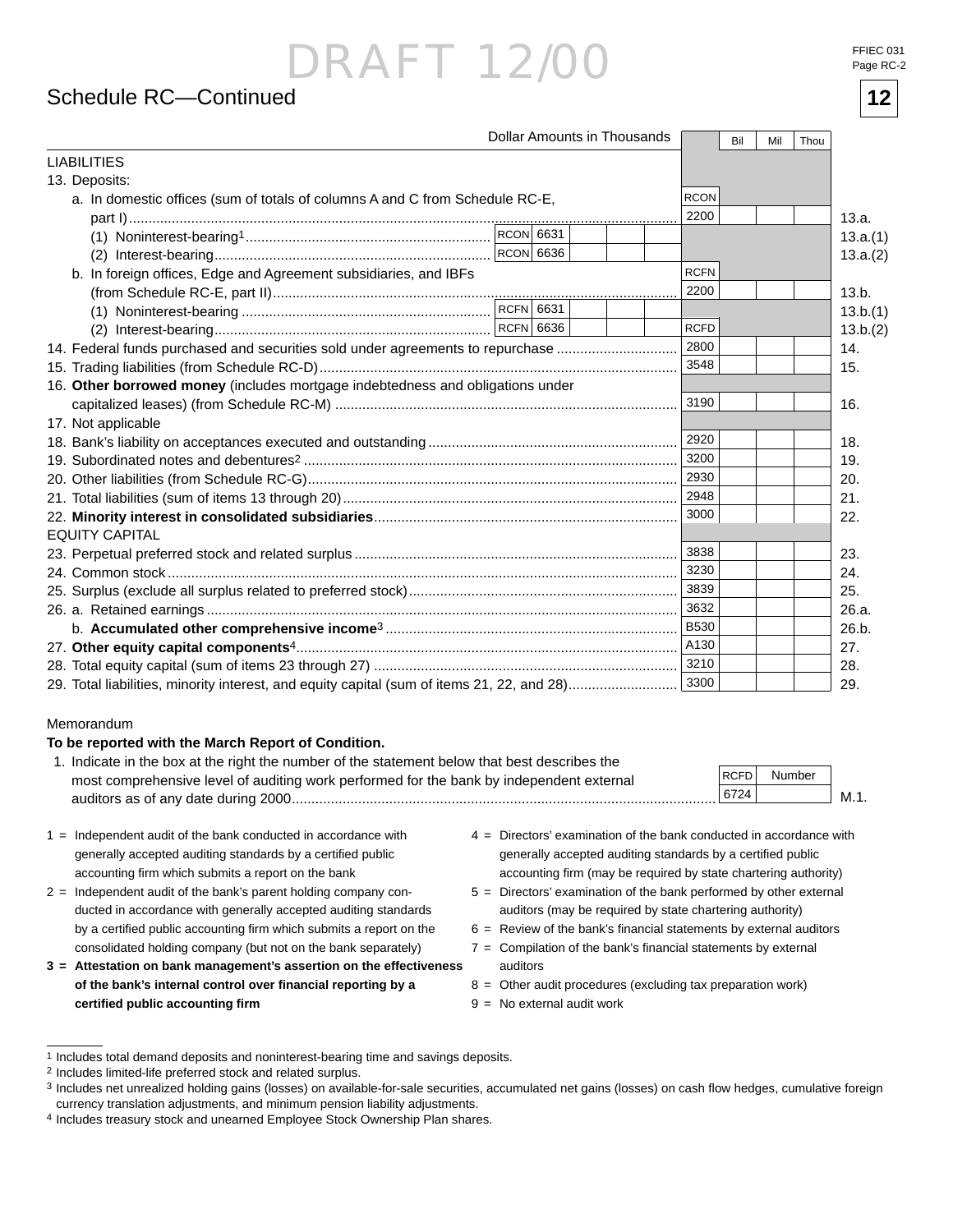#### Schedule RC—Continued **12**

| FFIEC 031 |           |
|-----------|-----------|
|           | Page RC-2 |

|                                                                                |           | Dollar Amounts in Thousands |             | Bil | Mil | Thou |          |
|--------------------------------------------------------------------------------|-----------|-----------------------------|-------------|-----|-----|------|----------|
| <b>LIABILITIES</b>                                                             |           |                             |             |     |     |      |          |
| 13. Deposits:                                                                  |           |                             |             |     |     |      |          |
| a. In domestic offices (sum of totals of columns A and C from Schedule RC-E,   |           |                             | <b>RCON</b> |     |     |      |          |
|                                                                                |           |                             | 2200        |     |     |      | 13.a.    |
|                                                                                |           |                             |             |     |     |      | 13.a.(1) |
|                                                                                | RCON 6636 |                             |             |     |     |      | 13.a.(2) |
| b. In foreign offices, Edge and Agreement subsidiaries, and IBFs               |           |                             | <b>RCFN</b> |     |     |      |          |
|                                                                                |           |                             | 2200        |     |     |      | 13.b.    |
|                                                                                |           |                             |             |     |     |      | 13.b.(1) |
|                                                                                |           |                             | <b>RCFD</b> |     |     |      | 13.b.(2) |
| 14. Federal funds purchased and securities sold under agreements to repurchase |           |                             | 2800        |     |     |      | 14.      |
|                                                                                |           |                             | 3548        |     |     |      | 15.      |
| 16. Other borrowed money (includes mortgage indebtedness and obligations under |           |                             |             |     |     |      |          |
|                                                                                |           |                             | 3190        |     |     |      | 16.      |
| 17. Not applicable                                                             |           |                             |             |     |     |      |          |
|                                                                                |           |                             | 2920        |     |     |      | 18.      |
|                                                                                |           |                             | 3200        |     |     |      | 19.      |
|                                                                                |           |                             |             |     |     |      | 20.      |
|                                                                                |           |                             | 2948        |     |     |      | 21.      |
|                                                                                |           |                             | 3000        |     |     |      | 22.      |
| <b>EQUITY CAPITAL</b>                                                          |           |                             |             |     |     |      |          |
|                                                                                |           |                             | 3838        |     |     |      | 23.      |
|                                                                                |           |                             | 3230        |     |     |      | 24.      |
|                                                                                |           |                             | 3839        |     |     |      | 25.      |
|                                                                                |           |                             | 3632        |     |     |      | 26.a.    |
|                                                                                |           |                             | <b>B530</b> |     |     |      | 26.b.    |
|                                                                                |           |                             |             |     |     |      | 27.      |
|                                                                                |           |                             | 3210        |     |     |      | 28.      |
|                                                                                |           |                             | 3300        |     |     |      | 29.      |

#### Memorandum

#### **To be reported with the March Report of Condition.**

| 1. Indicate in the box at the right the number of the statement below that best describes the |        |        |        |
|-----------------------------------------------------------------------------------------------|--------|--------|--------|
| most comprehensive level of auditing work performed for the bank by independent external      | RCFD I | Number |        |
| auditors as of any date during 2000                                                           | 6724   |        | – M. . |
|                                                                                               |        |        |        |

- 1 = Independent audit of the bank conducted in accordance with generally accepted auditing standards by a certified public accounting firm which submits a report on the bank
- 2 = Independent audit of the bank's parent holding company conducted in accordance with generally accepted auditing standards by a certified public accounting firm which submits a report on the consolidated holding company (but not on the bank separately)
- **3 = Attestation on bank management's assertion on the effectiveness of the bank's internal control over fi nancial reporting by a certifi ed public accounting fi rm**
- 4 = Directors' examination of the bank conducted in accordance with generally accepted auditing standards by a certified public accounting firm (may be required by state chartering authority)
- 5 = Directors' examination of the bank performed by other external auditors (may be required by state chartering authority)
- $6$  = Review of the bank's financial statements by external auditors
- $7 =$  Compilation of the bank's financial statements by external auditors
- 8 = Other audit procedures (excluding tax preparation work)
- $9 = No$  external audit work

<sup>1</sup> Includes total demand deposits and noninterest-bearing time and savings deposits.

<sup>2</sup> Includes limited-life preferred stock and related surplus.

<sup>3</sup> Includes net unrealized holding gains (losses) on available-for-sale securities, accumulated net gains (losses) on cash flow hedges, cumulative foreign currency translation adjustments, and minimum pension liability adjustments.

<sup>4</sup> Includes treasury stock and unearned Employee Stock Ownership Plan shares.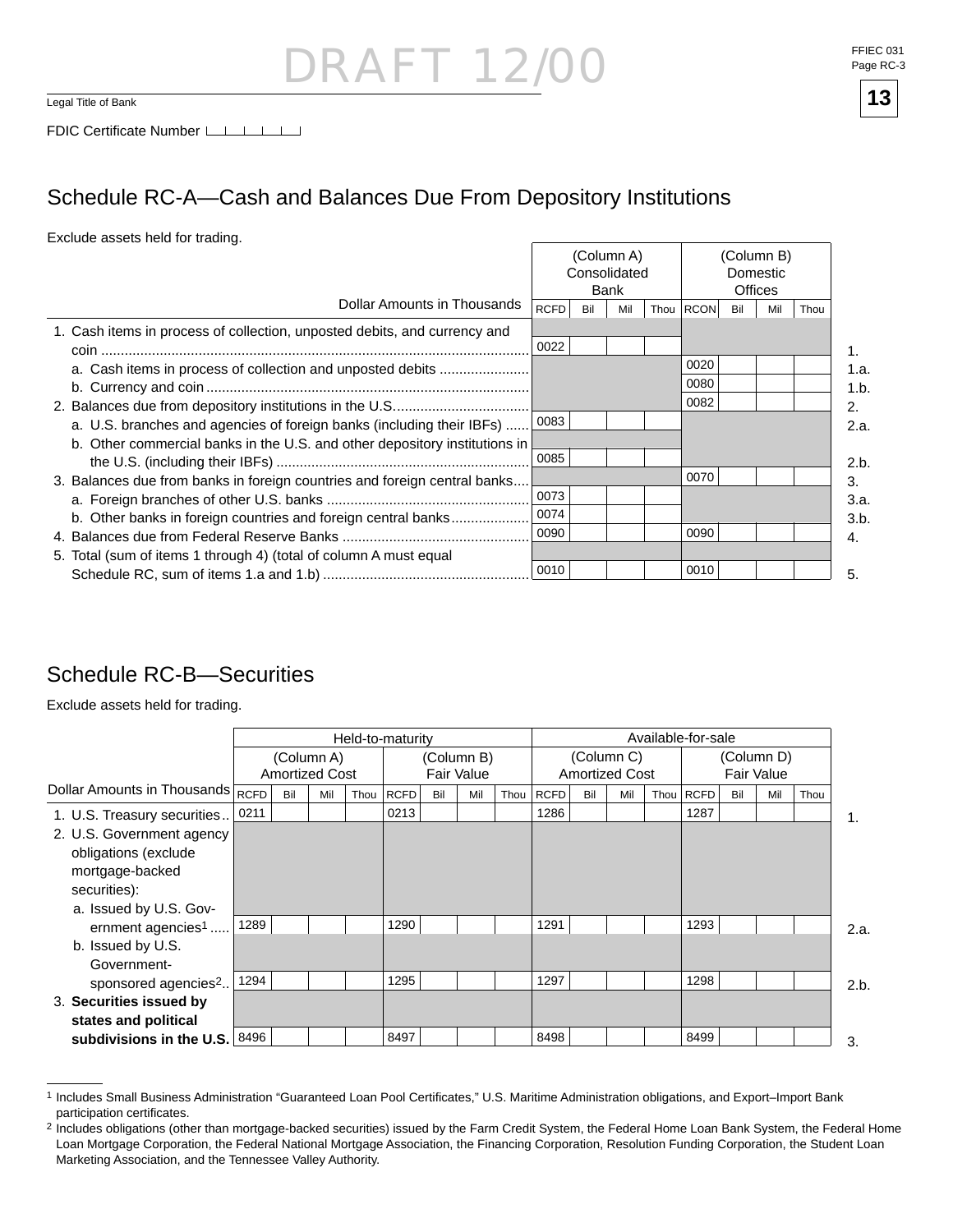### RAF 1 1  $\frac{1}{\log n}$  Title of Bank **13**

### Schedule RC-A—Cash and Balances Due From Depository Institutions

#### Exclude assets held for trading.

|                                                                            |             | Consolidated | (Column A)<br>Bank |           |     | (Column B)<br>Domestic<br><b>Offices</b> |      |
|----------------------------------------------------------------------------|-------------|--------------|--------------------|-----------|-----|------------------------------------------|------|
| Dollar Amounts in Thousands                                                | <b>RCFD</b> | Bil          | Mil                | Thou RCON | Bil | Mil                                      | Thou |
| 1. Cash items in process of collection, unposted debits, and currency and  | 0022        |              |                    |           |     |                                          |      |
| a. Cash items in process of collection and unposted debits                 |             |              |                    | 0020      |     |                                          |      |
|                                                                            |             |              |                    | 0080      |     |                                          |      |
|                                                                            |             |              |                    | 0082      |     |                                          |      |
| a. U.S. branches and agencies of foreign banks (including their IBFs)      | 0083        |              |                    |           |     |                                          |      |
| b. Other commercial banks in the U.S. and other depository institutions in |             |              |                    |           |     |                                          |      |
|                                                                            | 0085        |              |                    |           |     |                                          |      |
| 3. Balances due from banks in foreign countries and foreign central banks  |             |              |                    | 0070      |     |                                          |      |
|                                                                            | 0073        |              |                    |           |     |                                          |      |
| b. Other banks in foreign countries and foreign central banks              | 0074        |              |                    |           |     |                                          |      |
|                                                                            | 0090        |              |                    | 0090      |     |                                          |      |
| 5. Total (sum of items 1 through 4) (total of column A must equal          |             |              |                    |           |     |                                          |      |
|                                                                            | 0010        |              |                    | 0010      |     |                                          |      |

### Schedule RC-B—Securities

Exclude assets held for trading.

|                                                        |                                                                 |     |     |      | Held-to-maturity |     |     |                                     | Available-for-sale |     |            |      |      |     |     |      |      |  |
|--------------------------------------------------------|-----------------------------------------------------------------|-----|-----|------|------------------|-----|-----|-------------------------------------|--------------------|-----|------------|------|------|-----|-----|------|------|--|
|                                                        | (Column A)<br>(Column B)<br><b>Amortized Cost</b><br>Fair Value |     |     |      |                  |     |     | (Column C)<br><b>Amortized Cost</b> |                    |     | (Column D) |      |      |     |     |      |      |  |
| Dollar Amounts in Thousands $\overline{\mathsf{RCFD}}$ |                                                                 | Bil | Mil | Thou | <b>RCFD</b>      | Bil | Mil | Thou                                | RCFD               | Bil | Mil        | Thou | RCFD | Bil | Mil | Thou |      |  |
| 1. U.S. Treasury securities                            | 0211                                                            |     |     |      | 0213             |     |     |                                     | 1286               |     |            |      | 1287 |     |     |      | 1.   |  |
| 2. U.S. Government agency                              |                                                                 |     |     |      |                  |     |     |                                     |                    |     |            |      |      |     |     |      |      |  |
| obligations (exclude                                   |                                                                 |     |     |      |                  |     |     |                                     |                    |     |            |      |      |     |     |      |      |  |
| mortgage-backed                                        |                                                                 |     |     |      |                  |     |     |                                     |                    |     |            |      |      |     |     |      |      |  |
| securities):                                           |                                                                 |     |     |      |                  |     |     |                                     |                    |     |            |      |      |     |     |      |      |  |
| a. Issued by U.S. Gov-                                 |                                                                 |     |     |      |                  |     |     |                                     |                    |     |            |      |      |     |     |      |      |  |
| ernment agencies <sup>1</sup>                          | 1289                                                            |     |     |      | 1290             |     |     |                                     | 1291               |     |            |      | 1293 |     |     |      | 2.a. |  |
| b. Issued by U.S.                                      |                                                                 |     |     |      |                  |     |     |                                     |                    |     |            |      |      |     |     |      |      |  |
| Government-                                            |                                                                 |     |     |      |                  |     |     |                                     |                    |     |            |      |      |     |     |      |      |  |
| sponsored agencies <sup>2</sup>                        | 1294                                                            |     |     |      | 1295             |     |     |                                     | 1297               |     |            |      | 1298 |     |     |      | 2.b. |  |
| 3. Securities issued by                                |                                                                 |     |     |      |                  |     |     |                                     |                    |     |            |      |      |     |     |      |      |  |
| states and political                                   |                                                                 |     |     |      |                  |     |     |                                     |                    |     |            |      |      |     |     |      |      |  |
| subdivisions in the U.S. $ 8496 $                      |                                                                 |     |     |      | 8497             |     |     |                                     | 8498               |     |            |      | 8499 |     |     |      | 3.   |  |

<sup>1</sup> Includes Small Business Administration "Guaranteed Loan Pool Certificates," U.S. Maritime Administration obligations, and Export–Import Bank participation certificates.



<sup>&</sup>lt;sup>2</sup> Includes obligations (other than mortgage-backed securities) issued by the Farm Credit System, the Federal Home Loan Bank System, the Federal Home Loan Mortgage Corporation, the Federal National Mortgage Association, the Financing Corporation, Resolution Funding Corporation, the Student Loan Marketing Association, and the Tennessee Valley Authority.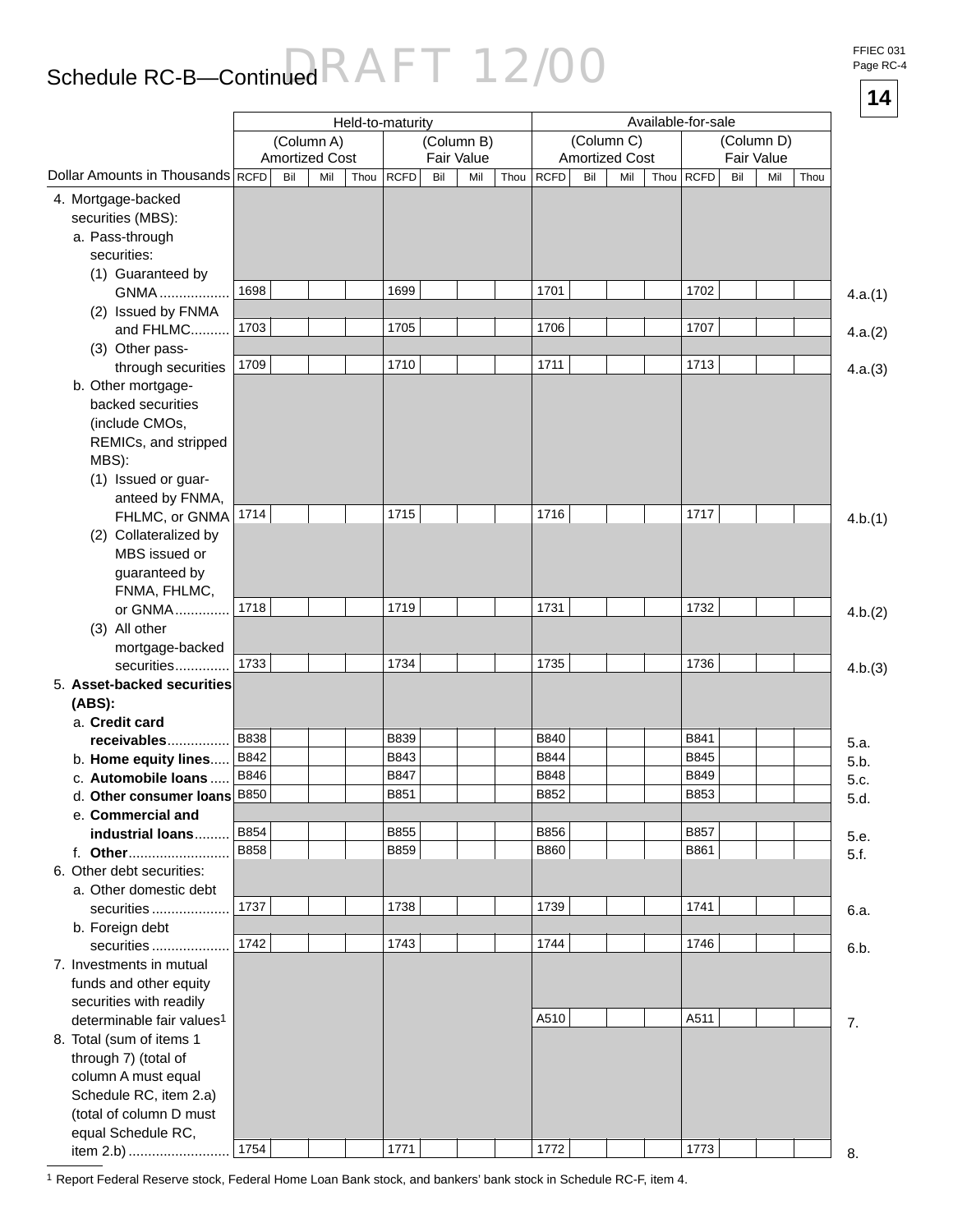## Schedule RC-B—Continued  $\mathsf{RAFT}$  12/00

FFIEC 031 Page RC-4

|                                         |             |     |                       |      |                  |     |            |      |             |     |                       |                    |             |     |            |      | 14      |
|-----------------------------------------|-------------|-----|-----------------------|------|------------------|-----|------------|------|-------------|-----|-----------------------|--------------------|-------------|-----|------------|------|---------|
|                                         |             |     |                       |      | Held-to-maturity |     |            |      |             |     |                       | Available-for-sale |             |     |            |      |         |
|                                         |             |     | (Column A)            |      |                  |     | (Column B) |      |             |     | (Column C)            |                    |             |     | (Column D) |      |         |
|                                         |             |     | <b>Amortized Cost</b> |      |                  |     | Fair Value |      |             |     | <b>Amortized Cost</b> |                    |             |     | Fair Value |      |         |
| Dollar Amounts in Thousands RCFD        |             | Bil | Mil                   | Thou | <b>RCFD</b>      | Bil | Mil        | Thou | <b>RCFD</b> | Bil | Mil                   | Thou               | <b>RCFD</b> | Bil | Mil        | Thou |         |
| 4. Mortgage-backed                      |             |     |                       |      |                  |     |            |      |             |     |                       |                    |             |     |            |      |         |
| securities (MBS):                       |             |     |                       |      |                  |     |            |      |             |     |                       |                    |             |     |            |      |         |
| a. Pass-through                         |             |     |                       |      |                  |     |            |      |             |     |                       |                    |             |     |            |      |         |
| securities:                             |             |     |                       |      |                  |     |            |      |             |     |                       |                    |             |     |            |      |         |
| (1) Guaranteed by                       |             |     |                       |      |                  |     |            |      |             |     |                       |                    |             |     |            |      |         |
| <b>GNMA</b>                             | 1698        |     |                       |      | 1699             |     |            |      | 1701        |     |                       |                    | 1702        |     |            |      | 4.a.(1) |
| (2) Issued by FNMA                      |             |     |                       |      |                  |     |            |      |             |     |                       |                    |             |     |            |      |         |
| and FHLMC                               | 1703        |     |                       |      | 1705             |     |            |      | 1706        |     |                       |                    | 1707        |     |            |      | 4.a.(2) |
| (3) Other pass-                         | 1709        |     |                       |      | 1710             |     |            |      | 1711        |     |                       |                    | 1713        |     |            |      |         |
| through securities                      |             |     |                       |      |                  |     |            |      |             |     |                       |                    |             |     |            |      | 4.a.(3) |
| b. Other mortgage-<br>backed securities |             |     |                       |      |                  |     |            |      |             |     |                       |                    |             |     |            |      |         |
| (include CMOs,                          |             |     |                       |      |                  |     |            |      |             |     |                       |                    |             |     |            |      |         |
| REMICs, and stripped                    |             |     |                       |      |                  |     |            |      |             |     |                       |                    |             |     |            |      |         |
| MBS):                                   |             |     |                       |      |                  |     |            |      |             |     |                       |                    |             |     |            |      |         |
| (1) Issued or guar-                     |             |     |                       |      |                  |     |            |      |             |     |                       |                    |             |     |            |      |         |
| anteed by FNMA,                         |             |     |                       |      |                  |     |            |      |             |     |                       |                    |             |     |            |      |         |
| FHLMC, or GNMA                          | 1714        |     |                       |      | 1715             |     |            |      | 1716        |     |                       |                    | 1717        |     |            |      | 4.b.(1) |
| (2) Collateralized by                   |             |     |                       |      |                  |     |            |      |             |     |                       |                    |             |     |            |      |         |
| MBS issued or                           |             |     |                       |      |                  |     |            |      |             |     |                       |                    |             |     |            |      |         |
| guaranteed by                           |             |     |                       |      |                  |     |            |      |             |     |                       |                    |             |     |            |      |         |
| FNMA, FHLMC,                            |             |     |                       |      |                  |     |            |      |             |     |                       |                    |             |     |            |      |         |
| or GNMA                                 | 1718        |     |                       |      | 1719             |     |            |      | 1731        |     |                       |                    | 1732        |     |            |      | 4.b.(2) |
| (3) All other                           |             |     |                       |      |                  |     |            |      |             |     |                       |                    |             |     |            |      |         |
| mortgage-backed                         |             |     |                       |      |                  |     |            |      |             |     |                       |                    |             |     |            |      |         |
| securities                              | 1733        |     |                       |      | 1734             |     |            |      | 1735        |     |                       |                    | 1736        |     |            |      | 4.b.(3) |
| 5. Asset-backed securities              |             |     |                       |      |                  |     |            |      |             |     |                       |                    |             |     |            |      |         |
| (ABS):                                  |             |     |                       |      |                  |     |            |      |             |     |                       |                    |             |     |            |      |         |
| a. Credit card                          |             |     |                       |      |                  |     |            |      |             |     |                       |                    |             |     |            |      |         |
| receivables                             | B838        |     |                       |      | <b>B839</b>      |     |            |      | B840        |     |                       |                    | B841        |     |            |      | 5.a.    |
| b. Home equity lines                    | B842        |     |                       |      | B843             |     |            |      | B844        |     |                       |                    | B845        |     |            |      | 5.b.    |
| c. Automobile loans                     | <b>B846</b> |     |                       |      | <b>B847</b>      |     |            |      | B848        |     |                       |                    | <b>B849</b> |     |            |      | 5.c.    |
| d. Other consumer loans                 | <b>B850</b> |     |                       |      | B851             |     |            |      | B852        |     |                       |                    | B853        |     |            |      | 5.d.    |
| e. Commercial and                       | B854        |     |                       |      | B855             |     |            |      | B856        |     |                       |                    | B857        |     |            |      |         |
| industrial loans<br>f. Other            | <b>B858</b> |     |                       |      | B859             |     |            |      | <b>B860</b> |     |                       |                    | B861        |     |            |      | 5.e.    |
| 6. Other debt securities:               |             |     |                       |      |                  |     |            |      |             |     |                       |                    |             |     |            |      | 5.f.    |
| a. Other domestic debt                  |             |     |                       |      |                  |     |            |      |             |     |                       |                    |             |     |            |      |         |
| securities                              | 1737        |     |                       |      | 1738             |     |            |      | 1739        |     |                       |                    | 1741        |     |            |      | 6.a.    |
| b. Foreign debt                         |             |     |                       |      |                  |     |            |      |             |     |                       |                    |             |     |            |      |         |
| securities                              | 1742        |     |                       |      | 1743             |     |            |      | 1744        |     |                       |                    | 1746        |     |            |      | 6.b.    |
| 7. Investments in mutual                |             |     |                       |      |                  |     |            |      |             |     |                       |                    |             |     |            |      |         |
| funds and other equity                  |             |     |                       |      |                  |     |            |      |             |     |                       |                    |             |     |            |      |         |
| securities with readily                 |             |     |                       |      |                  |     |            |      |             |     |                       |                    |             |     |            |      |         |
| determinable fair values <sup>1</sup>   |             |     |                       |      |                  |     |            |      | A510        |     |                       |                    | A511        |     |            |      | 7.      |
| 8. Total (sum of items 1                |             |     |                       |      |                  |     |            |      |             |     |                       |                    |             |     |            |      |         |
| through 7) (total of                    |             |     |                       |      |                  |     |            |      |             |     |                       |                    |             |     |            |      |         |
| column A must equal                     |             |     |                       |      |                  |     |            |      |             |     |                       |                    |             |     |            |      |         |
| Schedule RC, item 2.a)                  |             |     |                       |      |                  |     |            |      |             |     |                       |                    |             |     |            |      |         |
| (total of column D must                 |             |     |                       |      |                  |     |            |      |             |     |                       |                    |             |     |            |      |         |
| equal Schedule RC,                      |             |     |                       |      |                  |     |            |      |             |     |                       |                    |             |     |            |      |         |
| item 2.b)                               | 1754        |     |                       |      | 1771             |     |            |      | 1772        |     |                       |                    | 1773        |     |            |      | 8.      |

1 Report Federal Reserve stock, Federal Home Loan Bank stock, and bankers' bank stock in Schedule RC-F, item 4.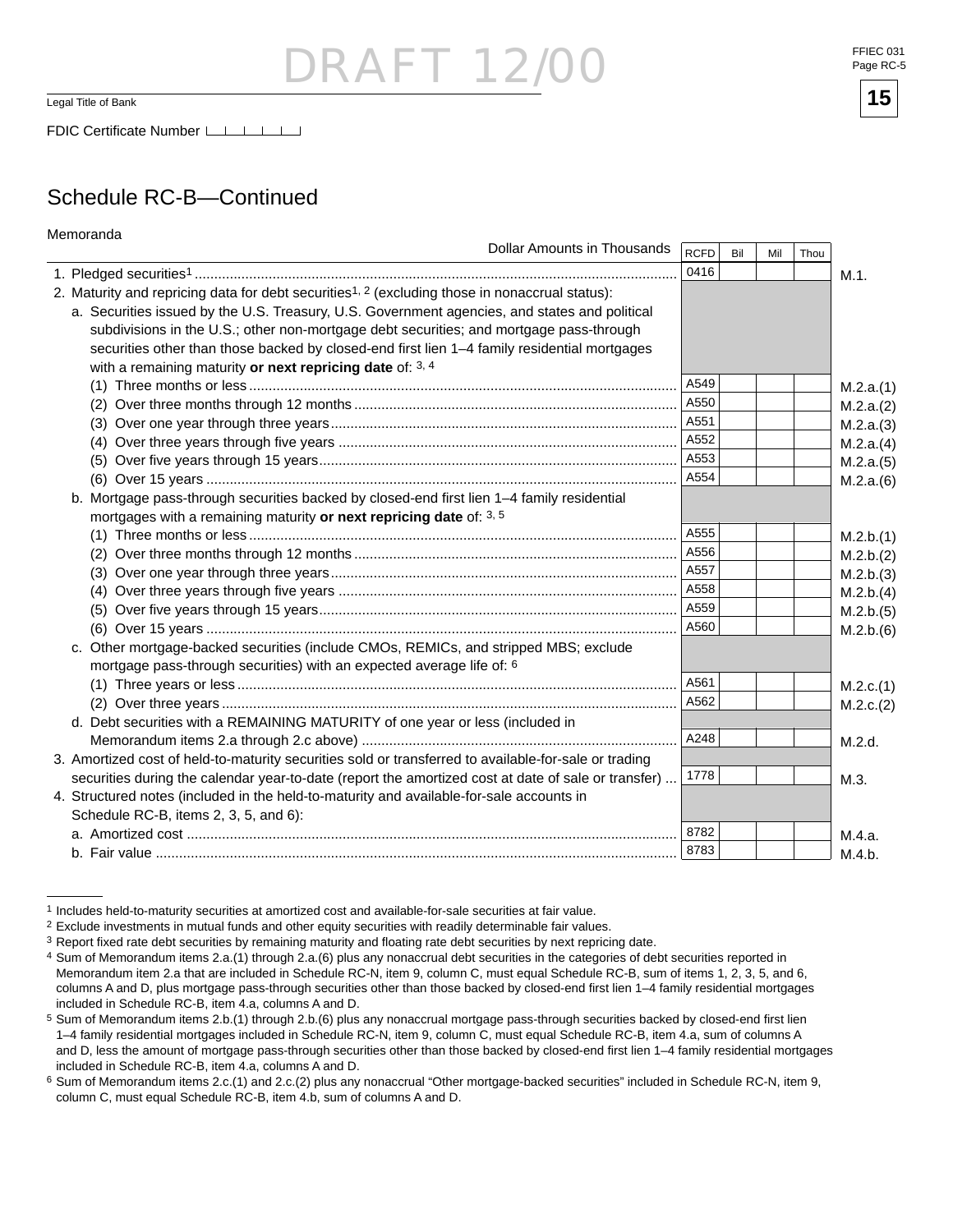## $-1$

 $\overline{\mathsf{Legal\text{-}Title\ of\ Bank}}$  .  $\overline{\mathsf{15}}$ 

FDIC Certificate Number LATA

### Schedule RC-B—Continued

| Memoranda                                                                                                  |             |     |     |      |           |
|------------------------------------------------------------------------------------------------------------|-------------|-----|-----|------|-----------|
| <b>Dollar Amounts in Thousands</b>                                                                         | <b>RCFD</b> | Bil | Mil | Thou |           |
|                                                                                                            | 0416        |     |     |      | M.1.      |
| 2. Maturity and repricing data for debt securities <sup>1, 2</sup> (excluding those in nonaccrual status): |             |     |     |      |           |
| a. Securities issued by the U.S. Treasury, U.S. Government agencies, and states and political              |             |     |     |      |           |
| subdivisions in the U.S.; other non-mortgage debt securities; and mortgage pass-through                    |             |     |     |      |           |
| securities other than those backed by closed-end first lien 1-4 family residential mortgages               |             |     |     |      |           |
| with a remaining maturity or next repricing date of: 3, 4                                                  |             |     |     |      |           |
|                                                                                                            | A549        |     |     |      | M.2.a.(1) |
|                                                                                                            | A550        |     |     |      | M.2.a.(2) |
|                                                                                                            | A551        |     |     |      | M.2.a.(3) |
|                                                                                                            | A552        |     |     |      | M.2.a.(4) |
|                                                                                                            | A553        |     |     |      | M.2.a.(5) |
|                                                                                                            | A554        |     |     |      | M.2.a.(6) |
| b. Mortgage pass-through securities backed by closed-end first lien 1-4 family residential                 |             |     |     |      |           |
| mortgages with a remaining maturity or next repricing date of: 3, 5                                        |             |     |     |      |           |
|                                                                                                            | A555        |     |     |      | M.2.b.(1) |
|                                                                                                            | A556        |     |     |      | M.2.b.(2) |
|                                                                                                            | A557        |     |     |      | M.2.b.(3) |
|                                                                                                            | A558        |     |     |      | M.2.b.(4) |
|                                                                                                            | A559        |     |     |      | M.2.b.(5) |
|                                                                                                            | A560        |     |     |      | M.2.b.(6) |
| c. Other mortgage-backed securities (include CMOs, REMICs, and stripped MBS; exclude                       |             |     |     |      |           |
| mortgage pass-through securities) with an expected average life of: 6                                      |             |     |     |      |           |
|                                                                                                            | A561        |     |     |      | M.2.c.(1) |
|                                                                                                            | A562        |     |     |      | M.2.c.(2) |
| d. Debt securities with a REMAINING MATURITY of one year or less (included in                              |             |     |     |      |           |
|                                                                                                            | A248        |     |     |      | M.2.d.    |
| 3. Amortized cost of held-to-maturity securities sold or transferred to available-for-sale or trading      |             |     |     |      |           |
| securities during the calendar year-to-date (report the amortized cost at date of sale or transfer)        | 1778        |     |     |      | M.3.      |
| 4. Structured notes (included in the held-to-maturity and available-for-sale accounts in                   |             |     |     |      |           |
| Schedule RC-B, items 2, 3, 5, and 6):                                                                      |             |     |     |      |           |
|                                                                                                            | 8782        |     |     |      | M.4.a.    |
|                                                                                                            | 8783        |     |     |      | M.4.b.    |

<sup>1</sup> Includes held-to-maturity securities at amortized cost and available-for-sale securities at fair value.

FFIEC 031 Page RC-5



<sup>2</sup> Exclude investments in mutual funds and other equity securities with readily determinable fair values.

<sup>3</sup> Report fixed rate debt securities by remaining maturity and floating rate debt securities by next repricing date.

<sup>4</sup> Sum of Memorandum items 2.a.(1) through 2.a.(6) plus any nonaccrual debt securities in the categories of debt securities reported in Memorandum item 2.a that are included in Schedule RC-N, item 9, column C, must equal Schedule RC-B, sum of items 1, 2, 3, 5, and 6, columns A and D, plus mortgage pass-through securities other than those backed by closed-end first lien 1-4 family residential mortgages included in Schedule RC-B, item 4.a, columns A and D.

 $5$  Sum of Memorandum items 2.b.(1) through 2.b.(6) plus any nonaccrual mortgage pass-through securities backed by closed-end first lien 1–4 family residential mortgages included in Schedule RC-N, item 9, column C, must equal Schedule RC-B, item 4.a, sum of columns A and D, less the amount of mortgage pass-through securities other than those backed by closed-end first lien 1-4 family residential mortgages included in Schedule RC-B, item 4.a, columns A and D.

<sup>6</sup> Sum of Memorandum items 2.c.(1) and 2.c.(2) plus any nonaccrual "Other mortgage-backed securities" included in Schedule RC-N, item 9, column C, must equal Schedule RC-B, item 4.b, sum of columns A and D.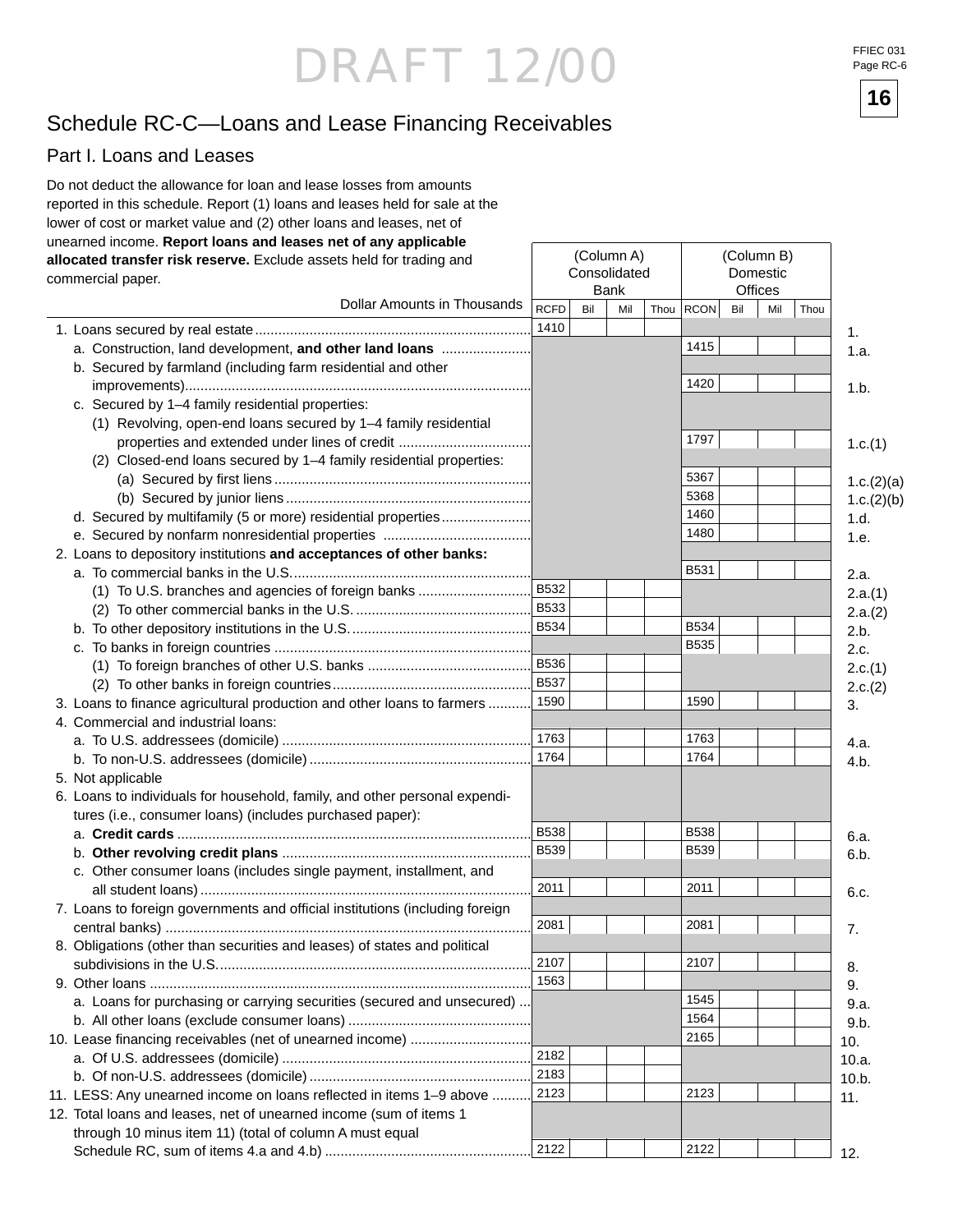FFIEC 031 Page RC-6

**16**

### Schedule RC-C—Loans and Lease Financing Receivables

#### Part I. Loans and Leases

| Do not deduct the allowance for loan and lease losses from amounts<br>reported in this schedule. Report (1) loans and leases held for sale at the<br>lower of cost or market value and (2) other loans and leases, net of<br>unearned income. Report loans and leases net of any applicable |             |     |              |      |             |     |                |      |            |
|---------------------------------------------------------------------------------------------------------------------------------------------------------------------------------------------------------------------------------------------------------------------------------------------|-------------|-----|--------------|------|-------------|-----|----------------|------|------------|
|                                                                                                                                                                                                                                                                                             |             |     | (Column A)   |      |             |     | (Column B)     |      |            |
| allocated transfer risk reserve. Exclude assets held for trading and                                                                                                                                                                                                                        |             |     | Consolidated |      |             |     | Domestic       |      |            |
| commercial paper.                                                                                                                                                                                                                                                                           |             |     | <b>Bank</b>  |      |             |     | <b>Offices</b> |      |            |
| Dollar Amounts in Thousands                                                                                                                                                                                                                                                                 | <b>RCFD</b> | Bil | Mil          | Thou | <b>RCON</b> | Bil | Mil            | Thou |            |
|                                                                                                                                                                                                                                                                                             | 1410        |     |              |      |             |     |                |      | 1.         |
| a. Construction, land development, and other land loans                                                                                                                                                                                                                                     |             |     |              |      | 1415        |     |                |      | 1.a.       |
| b. Secured by farmland (including farm residential and other                                                                                                                                                                                                                                |             |     |              |      |             |     |                |      |            |
|                                                                                                                                                                                                                                                                                             |             |     |              |      | 1420        |     |                |      | 1.b.       |
| c. Secured by 1-4 family residential properties:                                                                                                                                                                                                                                            |             |     |              |      |             |     |                |      |            |
| (1) Revolving, open-end loans secured by 1-4 family residential                                                                                                                                                                                                                             |             |     |              |      |             |     |                |      |            |
| properties and extended under lines of credit                                                                                                                                                                                                                                               |             |     |              |      | 1797        |     |                |      |            |
| (2) Closed-end loans secured by 1-4 family residential properties:                                                                                                                                                                                                                          |             |     |              |      |             |     |                |      | 1.c.(1)    |
|                                                                                                                                                                                                                                                                                             |             |     |              |      | 5367        |     |                |      |            |
|                                                                                                                                                                                                                                                                                             |             |     |              |      | 5368        |     |                |      | 1.c.(2)(a) |
|                                                                                                                                                                                                                                                                                             |             |     |              |      | 1460        |     |                |      | 1.c.(2)(b) |
| d. Secured by multifamily (5 or more) residential properties                                                                                                                                                                                                                                |             |     |              |      | 1480        |     |                |      | 1.d.       |
|                                                                                                                                                                                                                                                                                             |             |     |              |      |             |     |                |      | 1.e.       |
| 2. Loans to depository institutions and acceptances of other banks:                                                                                                                                                                                                                         |             |     |              |      |             |     |                |      |            |
|                                                                                                                                                                                                                                                                                             |             |     |              |      | <b>B531</b> |     |                |      | 2.a.       |
| (1) To U.S. branches and agencies of foreign banks                                                                                                                                                                                                                                          | B532        |     |              |      |             |     |                |      | 2.a.(1)    |
|                                                                                                                                                                                                                                                                                             | B533        |     |              |      |             |     |                |      | 2.a.(2)    |
|                                                                                                                                                                                                                                                                                             | B534        |     |              |      | <b>B534</b> |     |                |      | 2.b.       |
|                                                                                                                                                                                                                                                                                             |             |     |              |      | <b>B535</b> |     |                |      | 2.c.       |
|                                                                                                                                                                                                                                                                                             | <b>B536</b> |     |              |      |             |     |                |      | 2.c.(1)    |
|                                                                                                                                                                                                                                                                                             | B537        |     |              |      |             |     |                |      | 2.c.(2)    |
| 3. Loans to finance agricultural production and other loans to farmers                                                                                                                                                                                                                      | 1590        |     |              |      | 1590        |     |                |      | 3.         |
| 4. Commercial and industrial loans:                                                                                                                                                                                                                                                         |             |     |              |      |             |     |                |      |            |
|                                                                                                                                                                                                                                                                                             | 1763        |     |              |      | 1763        |     |                |      | 4.a.       |
|                                                                                                                                                                                                                                                                                             | 1764        |     |              |      | 1764        |     |                |      | 4.b.       |
| 5. Not applicable                                                                                                                                                                                                                                                                           |             |     |              |      |             |     |                |      |            |
| 6. Loans to individuals for household, family, and other personal expendi-                                                                                                                                                                                                                  |             |     |              |      |             |     |                |      |            |
| tures (i.e., consumer loans) (includes purchased paper):                                                                                                                                                                                                                                    |             |     |              |      |             |     |                |      |            |
|                                                                                                                                                                                                                                                                                             | <b>B538</b> |     |              |      | <b>B538</b> |     |                |      | 6.a.       |
|                                                                                                                                                                                                                                                                                             | <b>B539</b> |     |              |      | <b>B539</b> |     |                |      | 6.b.       |
| c. Other consumer loans (includes single payment, installment, and                                                                                                                                                                                                                          |             |     |              |      |             |     |                |      |            |
|                                                                                                                                                                                                                                                                                             | 2011        |     |              |      | 2011        |     |                |      | 6.c.       |
| 7. Loans to foreign governments and official institutions (including foreign                                                                                                                                                                                                                |             |     |              |      |             |     |                |      |            |
|                                                                                                                                                                                                                                                                                             | 2081        |     |              |      | 2081        |     |                |      | 7.         |
| 8. Obligations (other than securities and leases) of states and political                                                                                                                                                                                                                   |             |     |              |      |             |     |                |      |            |
|                                                                                                                                                                                                                                                                                             | 2107        |     |              |      | 2107        |     |                |      | 8.         |
|                                                                                                                                                                                                                                                                                             | 1563        |     |              |      |             |     |                |      | 9.         |
| a. Loans for purchasing or carrying securities (secured and unsecured)                                                                                                                                                                                                                      |             |     |              |      | 1545        |     |                |      | 9.a.       |
|                                                                                                                                                                                                                                                                                             |             |     |              |      | 1564        |     |                |      | 9.b.       |
| 10. Lease financing receivables (net of unearned income)                                                                                                                                                                                                                                    |             |     |              |      | 2165        |     |                |      | 10.        |
|                                                                                                                                                                                                                                                                                             | 2182        |     |              |      |             |     |                |      | 10.a.      |
|                                                                                                                                                                                                                                                                                             | 2183        |     |              |      |             |     |                |      | 10.b.      |
| 11. LESS: Any unearned income on loans reflected in items 1-9 above                                                                                                                                                                                                                         | 2123        |     |              |      | 2123        |     |                |      | 11.        |
| 12. Total loans and leases, net of unearned income (sum of items 1                                                                                                                                                                                                                          |             |     |              |      |             |     |                |      |            |
| through 10 minus item 11) (total of column A must equal                                                                                                                                                                                                                                     |             |     |              |      |             |     |                |      |            |
|                                                                                                                                                                                                                                                                                             | 2122        |     |              |      | 2122        |     |                |      | 12.        |
|                                                                                                                                                                                                                                                                                             |             |     |              |      |             |     |                |      |            |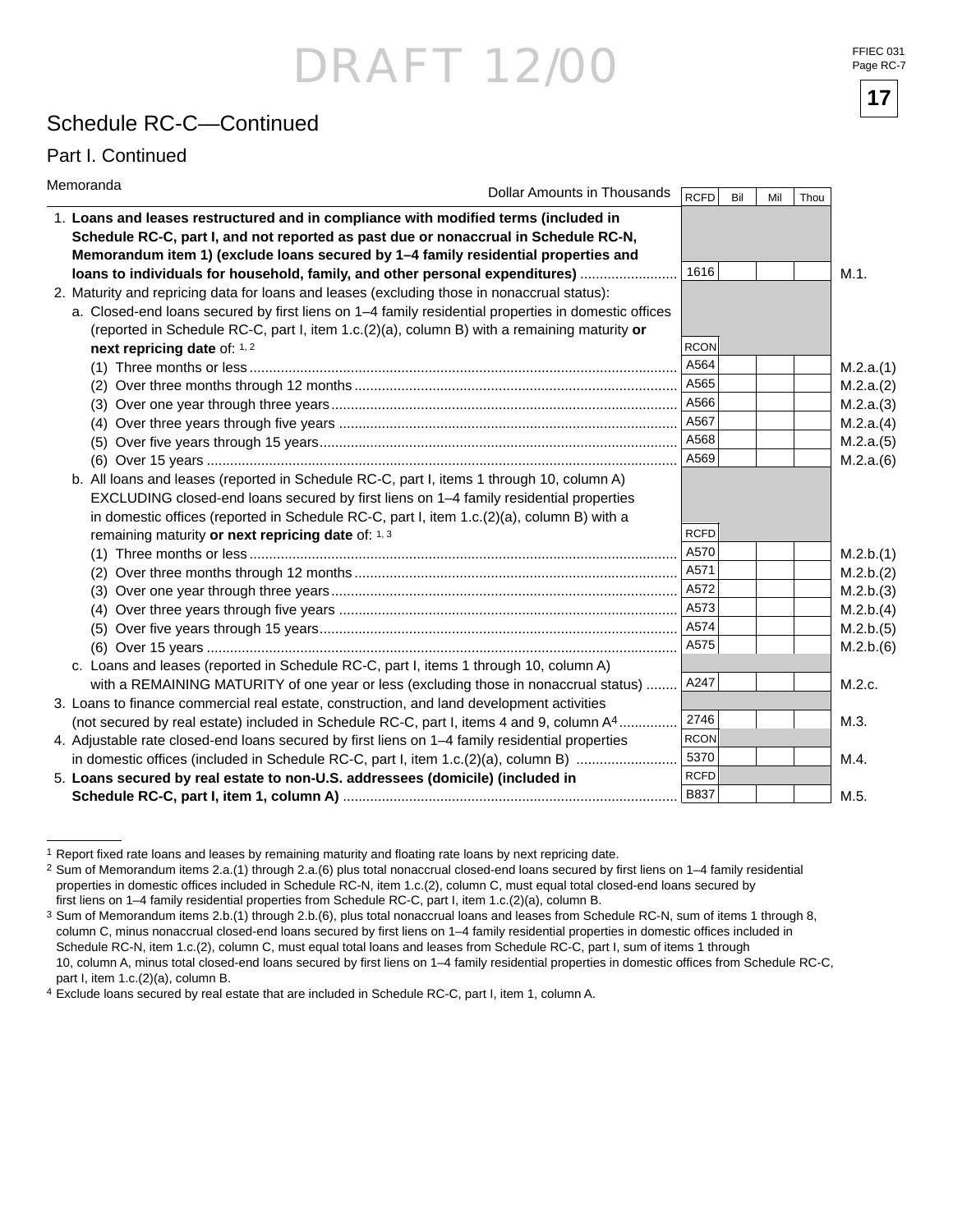#### Schedule RC-C—Continued

#### Part I. Continued

| Memoranda                                                                                           | Dollar Amounts in Thousands | RCFD        | Bil | Mil | Thou |           |
|-----------------------------------------------------------------------------------------------------|-----------------------------|-------------|-----|-----|------|-----------|
| 1. Loans and leases restructured and in compliance with modified terms (included in                 |                             |             |     |     |      |           |
| Schedule RC-C, part I, and not reported as past due or nonaccrual in Schedule RC-N,                 |                             |             |     |     |      |           |
| Memorandum item 1) (exclude loans secured by 1-4 family residential properties and                  |                             |             |     |     |      |           |
| loans to individuals for household, family, and other personal expenditures)                        |                             | 1616        |     |     |      | M.1.      |
| 2. Maturity and repricing data for loans and leases (excluding those in nonaccrual status):         |                             |             |     |     |      |           |
| a. Closed-end loans secured by first liens on 1-4 family residential properties in domestic offices |                             |             |     |     |      |           |
| (reported in Schedule RC-C, part I, item $1.c.(2)(a)$ , column B) with a remaining maturity or      |                             |             |     |     |      |           |
| next repricing date of: 1, 2                                                                        |                             | <b>RCON</b> |     |     |      |           |
|                                                                                                     |                             | A564        |     |     |      | M.2.a.(1) |
| (2)                                                                                                 |                             | A565        |     |     |      | M.2.a.(2) |
|                                                                                                     |                             |             |     |     |      | M.2.a.(3) |
|                                                                                                     |                             | A567        |     |     |      | M.2.a.(4) |
|                                                                                                     |                             | A568        |     |     |      | M.2.a.(5) |
|                                                                                                     |                             | A569        |     |     |      | M.2.a.(6) |
| b. All loans and leases (reported in Schedule RC-C, part I, items 1 through 10, column A)           |                             |             |     |     |      |           |
| EXCLUDING closed-end loans secured by first liens on 1–4 family residential properties              |                             |             |     |     |      |           |
| in domestic offices (reported in Schedule RC-C, part I, item 1.c.(2)(a), column B) with a           |                             |             |     |     |      |           |
| remaining maturity or next repricing date of: 1, 3                                                  |                             | <b>RCFD</b> |     |     |      |           |
|                                                                                                     |                             | A570        |     |     |      | M.2.b.(1) |
|                                                                                                     |                             |             |     |     |      | M.2.b.(2) |
|                                                                                                     |                             | A572        |     |     |      | M.2.b.(3) |
|                                                                                                     |                             | A573        |     |     |      | M.2.b.(4) |
|                                                                                                     |                             | A574        |     |     |      | M.2.b.(5) |
|                                                                                                     |                             | A575        |     |     |      | M.2.b.(6) |
| c. Loans and leases (reported in Schedule RC-C, part I, items 1 through 10, column A)               |                             |             |     |     |      |           |
| with a REMAINING MATURITY of one year or less (excluding those in nonaccrual status)                |                             | A247        |     |     |      | M.2.c.    |
| 3. Loans to finance commercial real estate, construction, and land development activities           |                             |             |     |     |      |           |
| (not secured by real estate) included in Schedule RC-C, part I, items 4 and 9, column A4            |                             | 2746        |     |     |      | M.3.      |
| 4. Adjustable rate closed-end loans secured by first liens on 1-4 family residential properties     |                             | <b>RCON</b> |     |     |      |           |
| in domestic offices (included in Schedule RC-C, part I, item 1.c.(2)(a), column B)                  |                             | 5370        |     |     |      | M.4.      |
| 5. Loans secured by real estate to non-U.S. addressees (domicile) (included in                      |                             | <b>RCFD</b> |     |     |      |           |
|                                                                                                     |                             | <b>B837</b> |     |     |      | M.5.      |

<sup>&</sup>lt;sup>1</sup> Report fixed rate loans and leases by remaining maturity and floating rate loans by next repricing date.

FFIEC 031 Page RC-7



<sup>&</sup>lt;sup>2</sup> Sum of Memorandum items 2.a.(1) through 2.a.(6) plus total nonaccrual closed-end loans secured by first liens on 1–4 family residential properties in domestic offices included in Schedule RC-N, item 1.c.(2), column C, must equal total closed-end loans secured by first liens on 1–4 family residential properties from Schedule RC-C, part I, item 1.c.(2)(a), column B.

<sup>3</sup> Sum of Memorandum items 2.b.(1) through 2.b.(6), plus total nonaccrual loans and leases from Schedule RC-N, sum of items 1 through 8, column C, minus nonaccrual closed-end loans secured by first liens on 1-4 family residential properties in domestic offices included in Schedule RC-N, item 1.c.(2), column C, must equal total loans and leases from Schedule RC-C, part I, sum of items 1 through 10, column A, minus total closed-end loans secured by first liens on 1-4 family residential properties in domestic offices from Schedule RC-C, part I, item 1.c.(2)(a), column B.

<sup>4</sup> Exclude loans secured by real estate that are included in Schedule RC-C, part I, item 1, column A.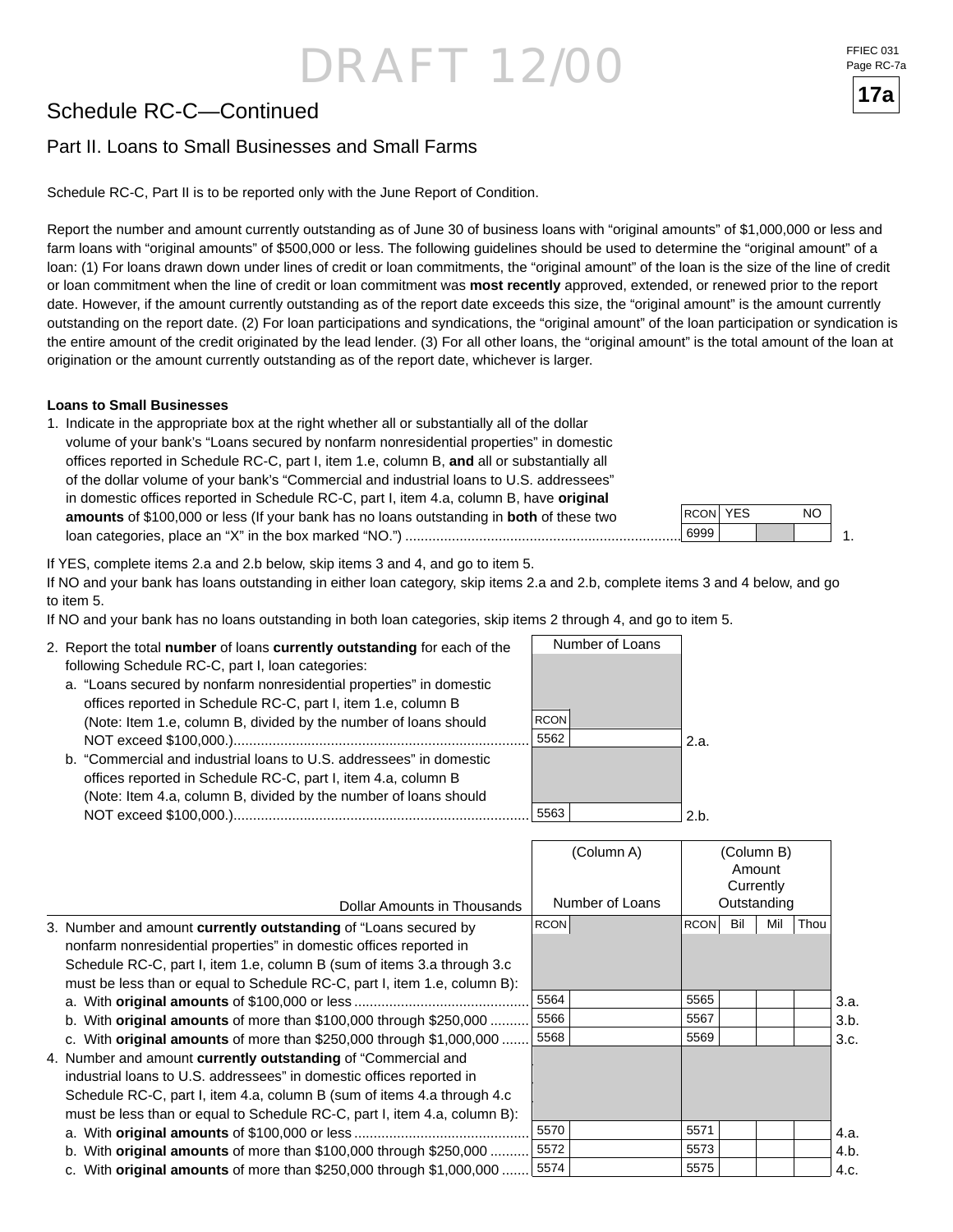### Schedule RC-C—Continued

#### Part II. Loans to Small Businesses and Small Farms

Schedule RC-C, Part II is to be reported only with the June Report of Condition.

Report the number and amount currently outstanding as of June 30 of business loans with "original amounts" of \$1,000,000 or less and farm loans with "original amounts" of \$500,000 or less. The following guidelines should be used to determine the "original amount" of a loan: (1) For loans drawn down under lines of credit or loan commitments, the "original amount" of the loan is the size of the line of credit or loan commitment when the line of credit or loan commitment was **most recently** approved, extended, or renewed prior to the report date. However, if the amount currently outstanding as of the report date exceeds this size, the "original amount" is the amount currently outstanding on the report date. (2) For loan participations and syndications, the "original amount" of the loan participation or syndication is the entire amount of the credit originated by the lead lender. (3) For all other loans, the "original amount" is the total amount of the loan at origination or the amount currently outstanding as of the report date, whichever is larger.

#### **Loans to Small Businesses**

1. Indicate in the appropriate box at the right whether all or substantially all of the dollar volume of your bank's "Loans secured by nonfarm nonresidential properties" in domestic offices reported in Schedule RC-C, part I, item 1.e, column B, and all or substantially all of the dollar volume of your bank's "Commercial and industrial loans to U.S. addressees" in domestic offices reported in Schedule RC-C, part I, item 4.a, column B, have **original amounts** of \$100,000 or less (If your bank has no loans outstanding in **both** of these two loan categories, place an "X" in the box marked "NO.") .......................................................................

 1. YES NO 6999 RCON

If YES, complete items 2.a and 2.b below, skip items 3 and 4, and go to item 5.

If NO and your bank has loans outstanding in either loan category, skip items 2.a and 2.b, complete items 3 and 4 below, and go to item 5.

If NO and your bank has no loans outstanding in both loan categories, skip items 2 through 4, and go to item 5.

| 2. Report the total number of loans currently outstanding for each of the |             | Number of Loans |      |
|---------------------------------------------------------------------------|-------------|-----------------|------|
| following Schedule RC-C, part I, loan categories:                         |             |                 |      |
| a. "Loans secured by nonfarm nonresidential properties" in domestic       |             |                 |      |
| offices reported in Schedule RC-C, part I, item 1.e, column B             |             |                 |      |
| (Note: Item 1.e, column B, divided by the number of loans should          | <b>RCON</b> |                 |      |
|                                                                           | 5562        |                 | 2.а. |
| b. "Commercial and industrial loans to U.S. addressees" in domestic       |             |                 |      |
| offices reported in Schedule RC-C, part I, item 4.a, column B             |             |                 |      |
| (Note: Item 4.a, column B, divided by the number of loans should          |             |                 |      |
|                                                                           | 5563        |                 | 2 h. |

|                                                                           | (Column A)      |                    | (Column B)<br>Amount<br>Currently |      |      |
|---------------------------------------------------------------------------|-----------------|--------------------|-----------------------------------|------|------|
| Dollar Amounts in Thousands                                               | Number of Loans |                    | Outstanding                       |      |      |
| 3. Number and amount currently outstanding of "Loans secured by           | <b>RCON</b>     | Bil<br><b>RCON</b> | Mil                               | Thou |      |
| nonfarm nonresidential properties" in domestic offices reported in        |                 |                    |                                   |      |      |
| Schedule RC-C, part I, item 1.e, column B (sum of items 3.a through 3.c   |                 |                    |                                   |      |      |
| must be less than or equal to Schedule RC-C, part I, item 1.e, column B): |                 |                    |                                   |      |      |
|                                                                           | 5564            | 5565               |                                   |      | 3.a. |
| b. With original amounts of more than $$100,000$ through $$250,000$       | 5566            | 5567               |                                   |      | 3.b. |
| c. With original amounts of more than \$250,000 through \$1,000,000       | 5568            | 5569               |                                   |      | 3.c. |
| 4. Number and amount currently outstanding of "Commercial and             |                 |                    |                                   |      |      |
| industrial loans to U.S. addressees" in domestic offices reported in      |                 |                    |                                   |      |      |
| Schedule RC-C, part I, item 4.a, column B (sum of items 4.a through 4.c   |                 |                    |                                   |      |      |
| must be less than or equal to Schedule RC-C, part I, item 4.a, column B): |                 |                    |                                   |      |      |
|                                                                           | 5570            | 5571               |                                   |      | 4.a. |
| b. With original amounts of more than $$100,000$ through $$250,000$       | 5572            | 5573               |                                   |      | 4.b. |
| c. With original amounts of more than \$250,000 through \$1,000,000       | 5574            | 5575               |                                   |      | 4.c. |

FFIEC 031 Page RC-7a

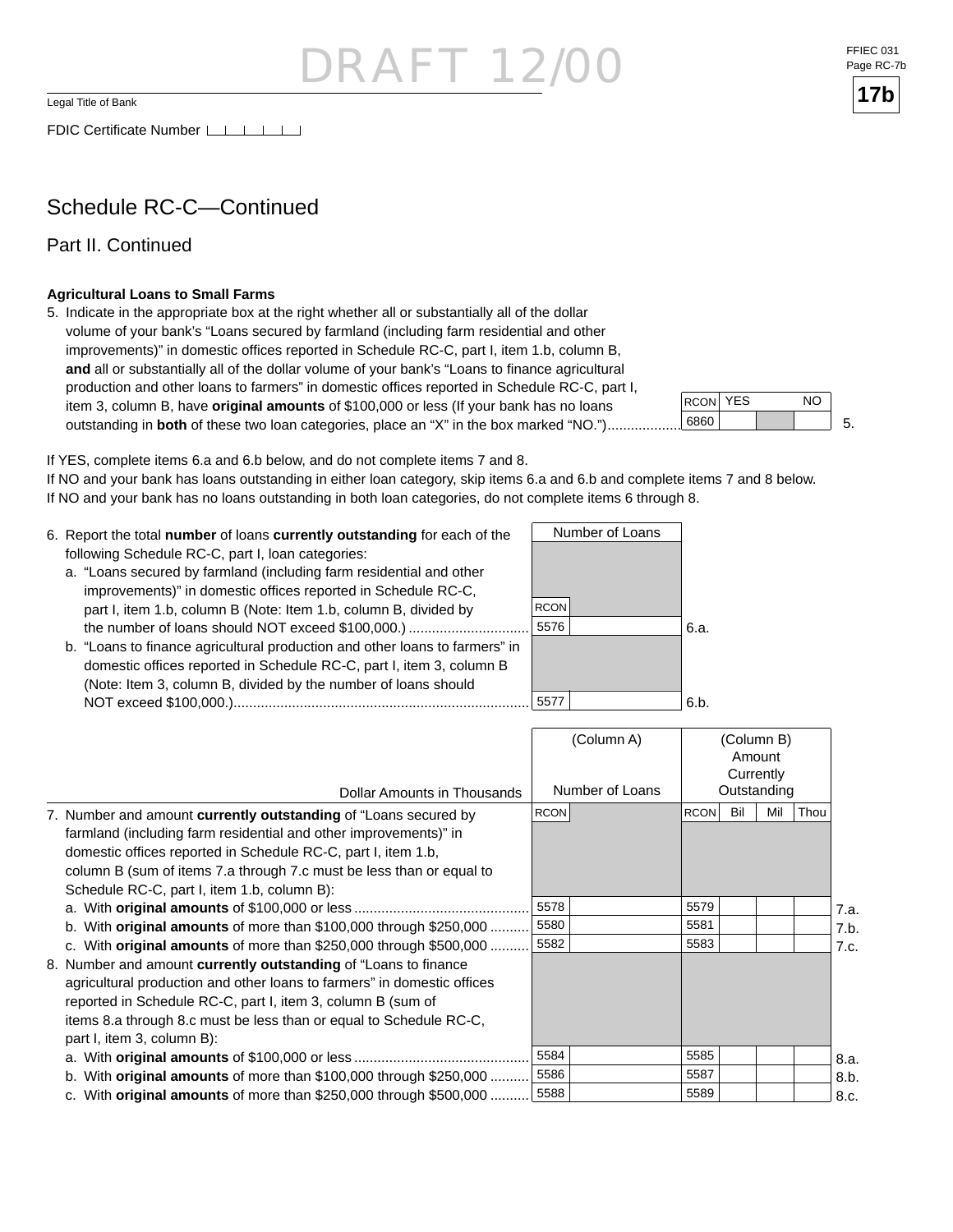Legal Title of Bank

FDIC Certificate Number

### Schedule RC-C—Continued

Part II. Continued

#### **Agricultural Loans to Small Farms**

5. Indicate in the appropriate box at the right whether all or substantially all of the dollar volume of your bank's "Loans secured by farmland (including farm residential and other improvements)" in domestic offices reported in Schedule RC-C, part I, item 1.b, column B, and all or substantially all of the dollar volume of your bank's "Loans to finance agricultural production and other loans to farmers" in domestic offices reported in Schedule RC-C, part I, item 3, column B, have **original amounts** of \$100,000 or less (If your bank has no loans outstanding in **both** of these two loan categories, place an "X" in the box marked "NO.")...............



If YES, complete items 6.a and 6.b below, and do not complete items 7 and 8.

If NO and your bank has loans outstanding in either loan category, skip items 6.a and 6.b and complete items 7 and 8 below. If NO and your bank has no loans outstanding in both loan categories, do not complete items 6 through 8.

 5576 5577 Number of Loans 6. Report the total **number** of loans **currently outstanding** for each of the following Schedule RC-C, part I, loan categories: a. "Loans secured by farmland (including farm residential and other improvements)" in domestic offices reported in Schedule RC-C, part I, item 1.b, column B (Note: Item 1.b, column B, divided by the number of loans should NOT exceed \$100,000.) ............................... b. "Loans to finance agricultural production and other loans to farmers" in domestic offices reported in Schedule RC-C, part I, item 3, column B (Note: Item 3, column B, divided by the number of loans should NOT exceed \$100,000.)............................................................................ 6.a. 6.b. **RCON** 

|                                                                            | (Column A)      | (Column B)<br>Amount<br>Currently |      |
|----------------------------------------------------------------------------|-----------------|-----------------------------------|------|
| Dollar Amounts in Thousands                                                | Number of Loans | Outstanding                       |      |
| 7. Number and amount currently outstanding of "Loans secured by            | <b>RCON</b>     | Bil<br>Mil<br>Thou<br><b>RCON</b> |      |
| farmland (including farm residential and other improvements)" in           |                 |                                   |      |
| domestic offices reported in Schedule RC-C, part I, item 1.b,              |                 |                                   |      |
| column B (sum of items 7.a through 7.c must be less than or equal to       |                 |                                   |      |
| Schedule RC-C, part I, item 1.b, column B):                                |                 |                                   |      |
|                                                                            | 5578            | 5579                              | 7.a. |
| b. With <b>original amounts</b> of more than $$100,000$ through $$250,000$ | 5580            | 5581                              | 7.b. |
| c. With original amounts of more than \$250,000 through \$500,000          | 5582            | 5583                              | 7.c. |
| 8. Number and amount currently outstanding of "Loans to finance            |                 |                                   |      |
| agricultural production and other loans to farmers" in domestic offices    |                 |                                   |      |
| reported in Schedule RC-C, part I, item 3, column B (sum of                |                 |                                   |      |
| items 8.a through 8.c must be less than or equal to Schedule RC-C,         |                 |                                   |      |
| part I, item 3, column B):                                                 |                 |                                   |      |
|                                                                            | 5584            | 5585                              | 8.a. |
| b. With original amounts of more than $$100,000$ through $$250,000$        | 5586            | 5587                              | 8.b. |
| c. With original amounts of more than \$250,000 through \$500,000          | 5588            | 5589                              | 8.c. |

FFIEC 031 Page RC-7b

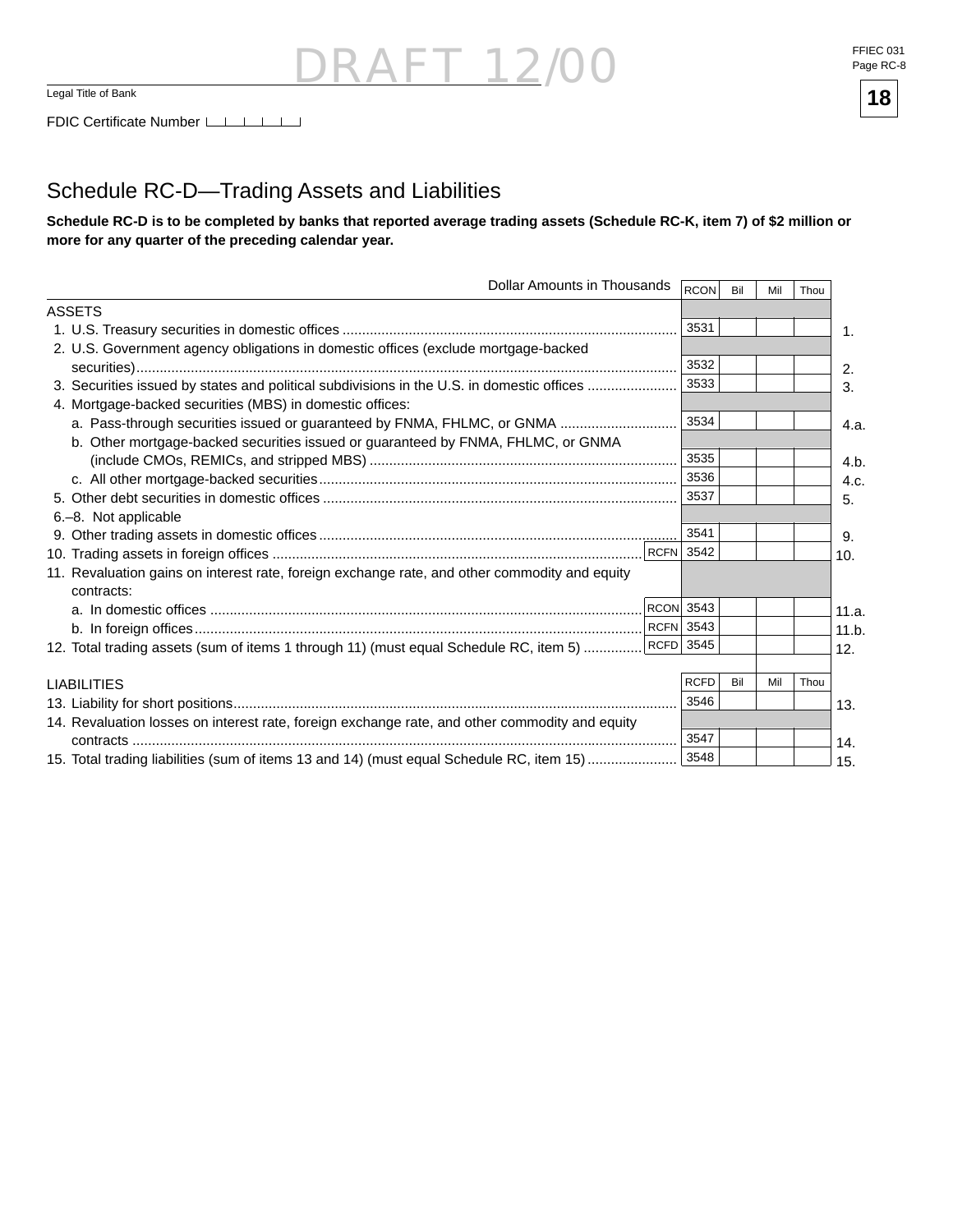#### Schedule RC-D—Trading Assets and Liabilities

**Schedule RC-D is to be completed by banks that reported average trading assets (Schedule RC-K, item 7) of \$2 million or more for any quarter of the preceding calendar year.**

| Dollar Amounts in Thousands                                                                                 | RCON             | Bil | Mil | Thou |       |
|-------------------------------------------------------------------------------------------------------------|------------------|-----|-----|------|-------|
| <b>ASSETS</b>                                                                                               |                  |     |     |      |       |
|                                                                                                             | 3531             |     |     |      | 1.    |
| 2. U.S. Government agency obligations in domestic offices (exclude mortgage-backed                          |                  |     |     |      |       |
|                                                                                                             | 3532             |     |     |      | 2.    |
| 3. Securities issued by states and political subdivisions in the U.S. in domestic offices                   | 3533             |     |     |      | 3.    |
| 4. Mortgage-backed securities (MBS) in domestic offices:                                                    |                  |     |     |      |       |
| a. Pass-through securities issued or guaranteed by FNMA, FHLMC, or GNMA                                     | 3534             |     |     |      | 4.a.  |
| b. Other mortgage-backed securities issued or guaranteed by FNMA, FHLMC, or GNMA                            |                  |     |     |      |       |
|                                                                                                             | 3535             |     |     |      | 4.b.  |
|                                                                                                             | 3536             |     |     |      | 4.c.  |
|                                                                                                             | 3537             |     |     |      | 5.    |
| 6.-8. Not applicable                                                                                        |                  |     |     |      |       |
|                                                                                                             | 3541             |     |     |      | 9.    |
|                                                                                                             |                  |     |     |      | 10.   |
| 11. Revaluation gains on interest rate, foreign exchange rate, and other commodity and equity<br>contracts: |                  |     |     |      |       |
|                                                                                                             | <b>RCON</b> 3543 |     |     |      | 11.a. |
|                                                                                                             | <b>RCFN</b> 3543 |     |     |      | 11.b. |
| 12. Total trading assets (sum of items 1 through 11) (must equal Schedule RC, item 5)  [RCFD 3545           |                  |     |     |      | 12.   |
|                                                                                                             |                  |     |     |      |       |
| <b>LIABILITIES</b>                                                                                          | <b>RCFD</b>      | Bil | Mil | Thou |       |
|                                                                                                             | 3546             |     |     |      | 13.   |
| 14. Revaluation losses on interest rate, foreign exchange rate, and other commodity and equity              |                  |     |     |      |       |
|                                                                                                             | 3547             |     |     |      | 14.   |
| 15. Total trading liabilities (sum of items 13 and 14) (must equal Schedule RC, item 15)                    | 3548             |     |     |      | 15.   |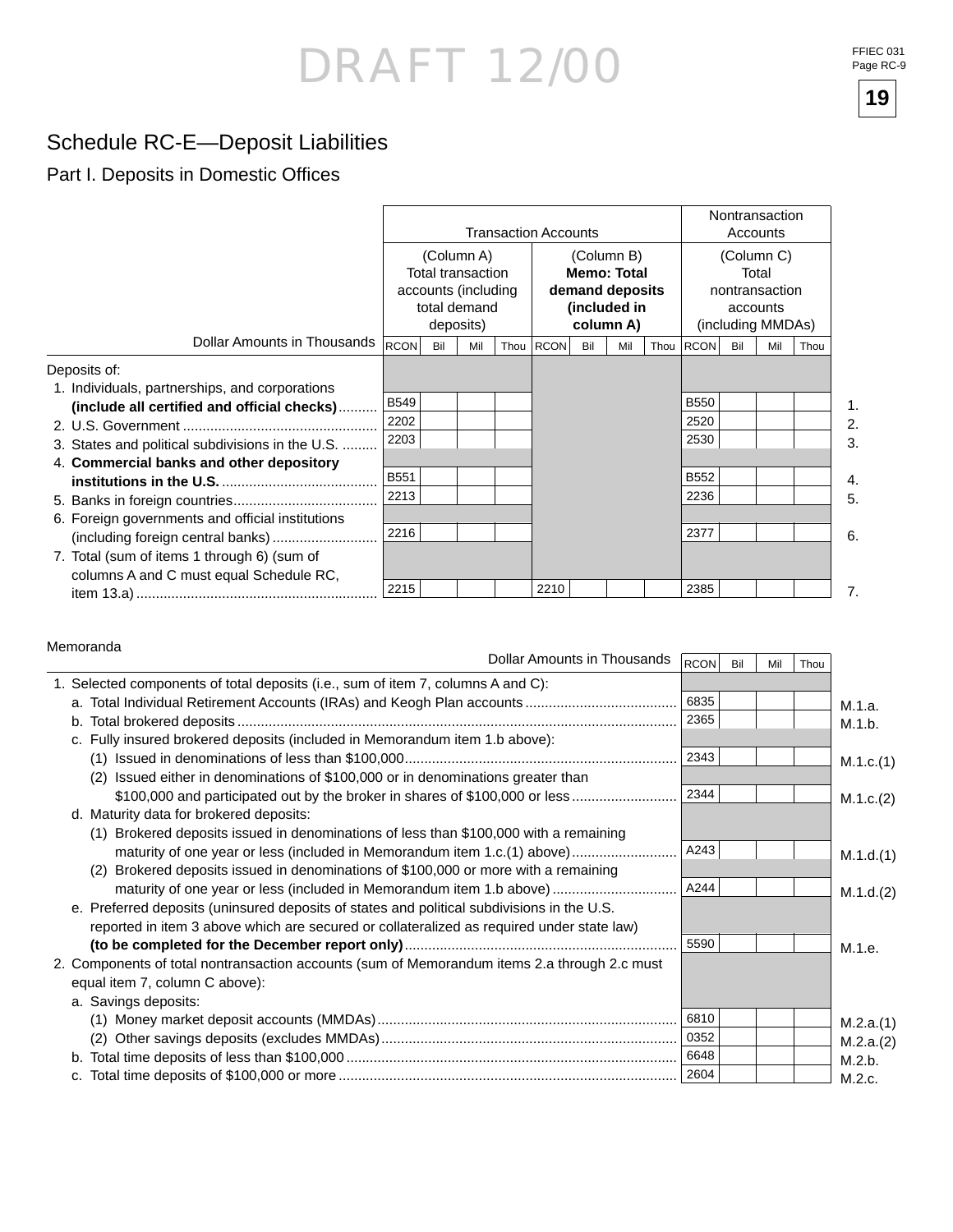### Schedule RC-E—Deposit Liabilities

#### Part I. Deposits in Domestic Offices

|                                                                                        |                                                                                     | <b>Transaction Accounts</b> |     |                                                                                  |           |     |     |                                                                        |             | Nontransaction<br>Accounts |     |      |  |
|----------------------------------------------------------------------------------------|-------------------------------------------------------------------------------------|-----------------------------|-----|----------------------------------------------------------------------------------|-----------|-----|-----|------------------------------------------------------------------------|-------------|----------------------------|-----|------|--|
|                                                                                        | (Column A)<br>Total transaction<br>accounts (including<br>total demand<br>deposits) |                             |     | (Column B)<br><b>Memo: Total</b><br>demand deposits<br>(included in<br>column A) |           |     |     | (Column C)<br>Total<br>nontransaction<br>accounts<br>(including MMDAs) |             |                            |     |      |  |
| Dollar Amounts in Thousands                                                            | <b>RCON</b>                                                                         | Bil                         | Mil |                                                                                  | Thou RCON | Bil | Mil |                                                                        | Thou RCON   | Bil                        | Mil | Thou |  |
| Deposits of:<br>1. Individuals, partnerships, and corporations                         |                                                                                     |                             |     |                                                                                  |           |     |     |                                                                        |             |                            |     |      |  |
| (include all certified and official checks)                                            | <b>B549</b>                                                                         |                             |     |                                                                                  |           |     |     |                                                                        | <b>B550</b> |                            |     |      |  |
|                                                                                        | 2202                                                                                |                             |     |                                                                                  |           |     |     |                                                                        | 2520        |                            |     |      |  |
| 3. States and political subdivisions in the U.S.                                       | 2203                                                                                |                             |     |                                                                                  |           |     |     |                                                                        | 2530        |                            |     |      |  |
| 4. Commercial banks and other depository                                               |                                                                                     |                             |     |                                                                                  |           |     |     |                                                                        |             |                            |     |      |  |
|                                                                                        | <b>B551</b>                                                                         |                             |     |                                                                                  |           |     |     |                                                                        | B552        |                            |     |      |  |
|                                                                                        | 2213                                                                                |                             |     |                                                                                  |           |     |     |                                                                        | 2236        |                            |     |      |  |
| 6. Foreign governments and official institutions                                       | 2216                                                                                |                             |     |                                                                                  |           |     |     |                                                                        | 2377        |                            |     |      |  |
| 7. Total (sum of items 1 through 6) (sum of<br>columns A and C must equal Schedule RC, |                                                                                     |                             |     |                                                                                  |           |     |     |                                                                        |             |                            |     |      |  |
|                                                                                        | 2215                                                                                |                             |     |                                                                                  | 2210      |     |     |                                                                        | 2385        |                            |     |      |  |

#### Memoranda

| סטוווטומווע<br>Dollar Amounts in Thousands                                                   | RCON | Bil | Mil | Thou |           |
|----------------------------------------------------------------------------------------------|------|-----|-----|------|-----------|
| 1. Selected components of total deposits (i.e., sum of item 7, columns A and C):             |      |     |     |      |           |
|                                                                                              | 6835 |     |     |      | M.1.a.    |
|                                                                                              | 2365 |     |     |      | M.1.b.    |
| c. Fully insured brokered deposits (included in Memorandum item 1.b above):                  |      |     |     |      |           |
|                                                                                              | 2343 |     |     |      | M.1.c.(1) |
| Issued either in denominations of \$100,000 or in denominations greater than<br>(2)          |      |     |     |      |           |
| \$100,000 and participated out by the broker in shares of \$100,000 or less                  | 2344 |     |     |      | M.1.c.(2) |
| d. Maturity data for brokered deposits:                                                      |      |     |     |      |           |
| (1) Brokered deposits issued in denominations of less than \$100,000 with a remaining        |      |     |     |      |           |
| maturity of one year or less (included in Memorandum item 1.c.(1) above)                     | A243 |     |     |      | M.1.d.(1) |
| Brokered deposits issued in denominations of \$100,000 or more with a remaining<br>(2)       |      |     |     |      |           |
| maturity of one year or less (included in Memorandum item 1.b above)                         | A244 |     |     |      | M.1.d.(2) |
| e. Preferred deposits (uninsured deposits of states and political subdivisions in the U.S.   |      |     |     |      |           |
| reported in item 3 above which are secured or collateralized as required under state law)    |      |     |     |      |           |
|                                                                                              | 5590 |     |     |      | M.1.e.    |
| 2. Components of total nontransaction accounts (sum of Memorandum items 2.a through 2.c must |      |     |     |      |           |
| equal item 7, column C above):                                                               |      |     |     |      |           |
| a. Savings deposits:                                                                         |      |     |     |      |           |
|                                                                                              | 6810 |     |     |      | M.2.a.(1) |
|                                                                                              | 0352 |     |     |      | M.2.a.(2) |
|                                                                                              | 6648 |     |     |      | M.2.b.    |
|                                                                                              |      |     |     |      | M.2.c.    |

FFIEC 031 Page RC-9

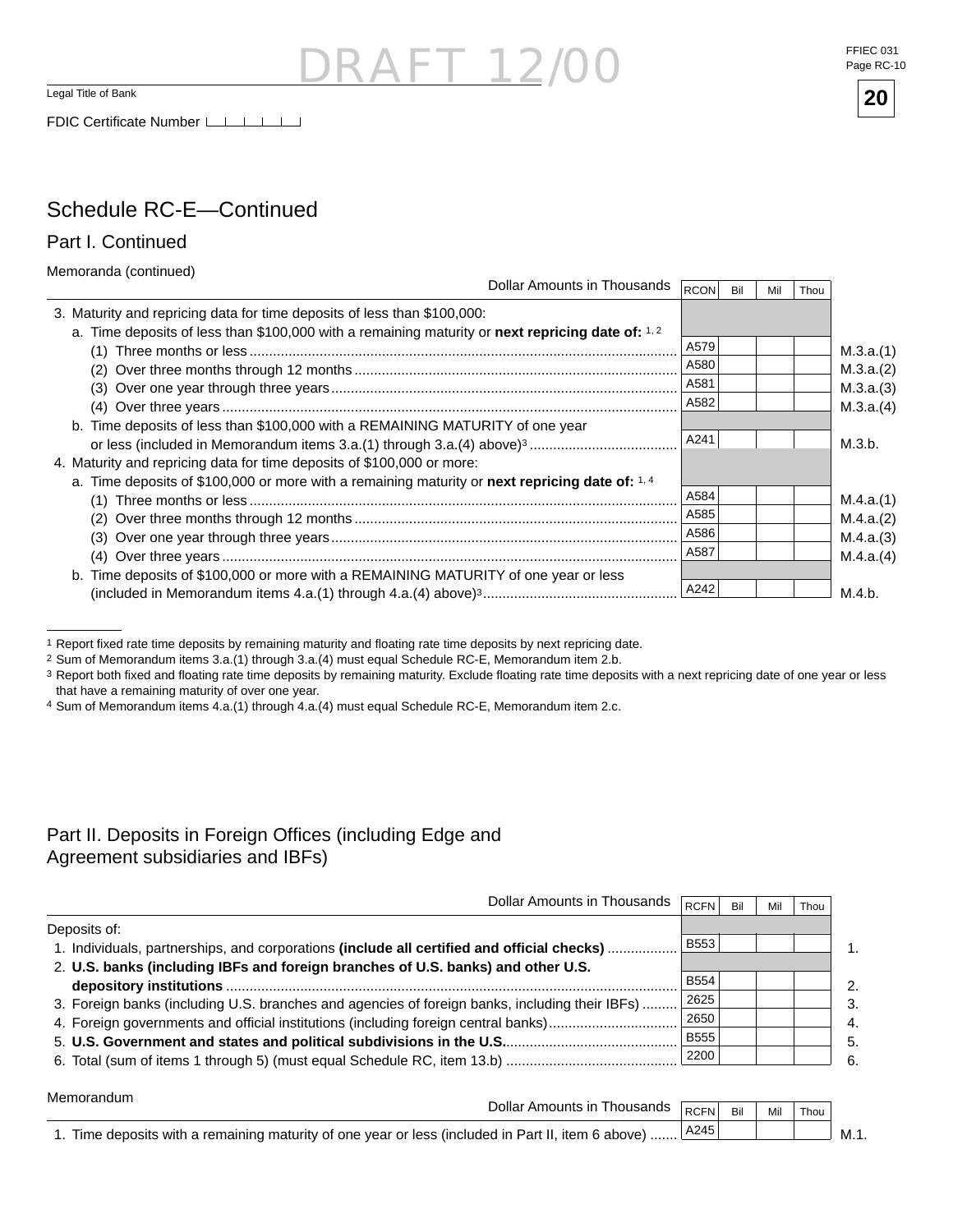Legal Title of Bank

FDIC Certificate Number LILILI

#### FFIEC 031 Page RC-10



#### Schedule RC-E—Continued

Part I. Continued

Memoranda (continued)

| <u></u>                                                                                           | Dollar Amounts in Thousands | <b>RCON</b> | Bil | Mil | Thou |           |
|---------------------------------------------------------------------------------------------------|-----------------------------|-------------|-----|-----|------|-----------|
| 3. Maturity and repricing data for time deposits of less than \$100,000:                          |                             |             |     |     |      |           |
| a. Time deposits of less than \$100,000 with a remaining maturity or next repricing date of: 1, 2 |                             |             |     |     |      |           |
|                                                                                                   |                             | A579        |     |     |      | M.3.a.(1) |
|                                                                                                   |                             | A580        |     |     |      | M.3.a.(2) |
|                                                                                                   |                             | A581        |     |     |      | M.3.a.(3) |
|                                                                                                   |                             | A582        |     |     |      | M.3.a.(4) |
| b. Time deposits of less than \$100,000 with a REMAINING MATURITY of one year                     |                             |             |     |     |      |           |
|                                                                                                   |                             | A241        |     |     |      | M.3.b.    |
| 4. Maturity and repricing data for time deposits of \$100,000 or more:                            |                             |             |     |     |      |           |
| a. Time deposits of \$100,000 or more with a remaining maturity or next repricing date of: 1.4    |                             |             |     |     |      |           |
|                                                                                                   |                             | A584        |     |     |      | M.4.a.(1) |
|                                                                                                   |                             | A585        |     |     |      | M.4.a.(2) |
|                                                                                                   |                             | A586        |     |     |      | M.4.a.(3) |
|                                                                                                   |                             | A587        |     |     |      | M.4.a.(4) |
| b. Time deposits of \$100,000 or more with a REMAINING MATURITY of one year or less               |                             |             |     |     |      |           |
|                                                                                                   |                             | A242        |     |     |      | M.4.b.    |

- I 12

2 Sum of Memorandum items 3.a.(1) through 3.a.(4) must equal Schedule RC-E, Memorandum item 2.b.

- 3 Report both fixed and floating rate time deposits by remaining maturity. Exclude floating rate time deposits with a next repricing date of one year or less that have a remaining maturity of over one year.
- 4 Sum of Memorandum items 4.a.(1) through 4.a.(4) must equal Schedule RC-E, Memorandum item 2.c.

#### Part II. Deposits in Foreign Offices (including Edge and Agreement subsidiaries and IBFs)

| Dollar Amounts in Thousands                                                                    | RCFN        | Bil | Mil | Thou |                  |
|------------------------------------------------------------------------------------------------|-------------|-----|-----|------|------------------|
| Deposits of:                                                                                   |             |     |     |      |                  |
| 1. Individuals, partnerships, and corporations (include all certified and official checks)     | <b>B553</b> |     |     |      | 1                |
| 2. U.S. banks (including IBFs and foreign branches of U.S. banks) and other U.S.               |             |     |     |      |                  |
|                                                                                                | <b>B554</b> |     |     |      | $\mathcal{P}$    |
| 3. Foreign banks (including U.S. branches and agencies of foreign banks, including their IBFs) | 2625        |     |     |      | 3.               |
|                                                                                                | 2650        |     |     |      | $\overline{4}$ . |
|                                                                                                | <b>B555</b> |     |     |      | 5.               |
| 6. Total (sum of items 1 through 5) (must equal Schedule RC, item 13.b)                        | 2200        |     |     |      | 6.               |

| Memorandum                                                                                            |                                  |      |         |              |  |      |
|-------------------------------------------------------------------------------------------------------|----------------------------------|------|---------|--------------|--|------|
|                                                                                                       | Dollar Amounts in Thousands RCFN |      | ື Ril ⊥ | Mil<br>Thou, |  |      |
| 1. Time deposits with a remaining maturity of one year or less (included in Part II, item 6 above)  L |                                  | A245 |         |              |  | M.1. |

<sup>1</sup> Report fixed rate time deposits by remaining maturity and floating rate time deposits by next repricing date.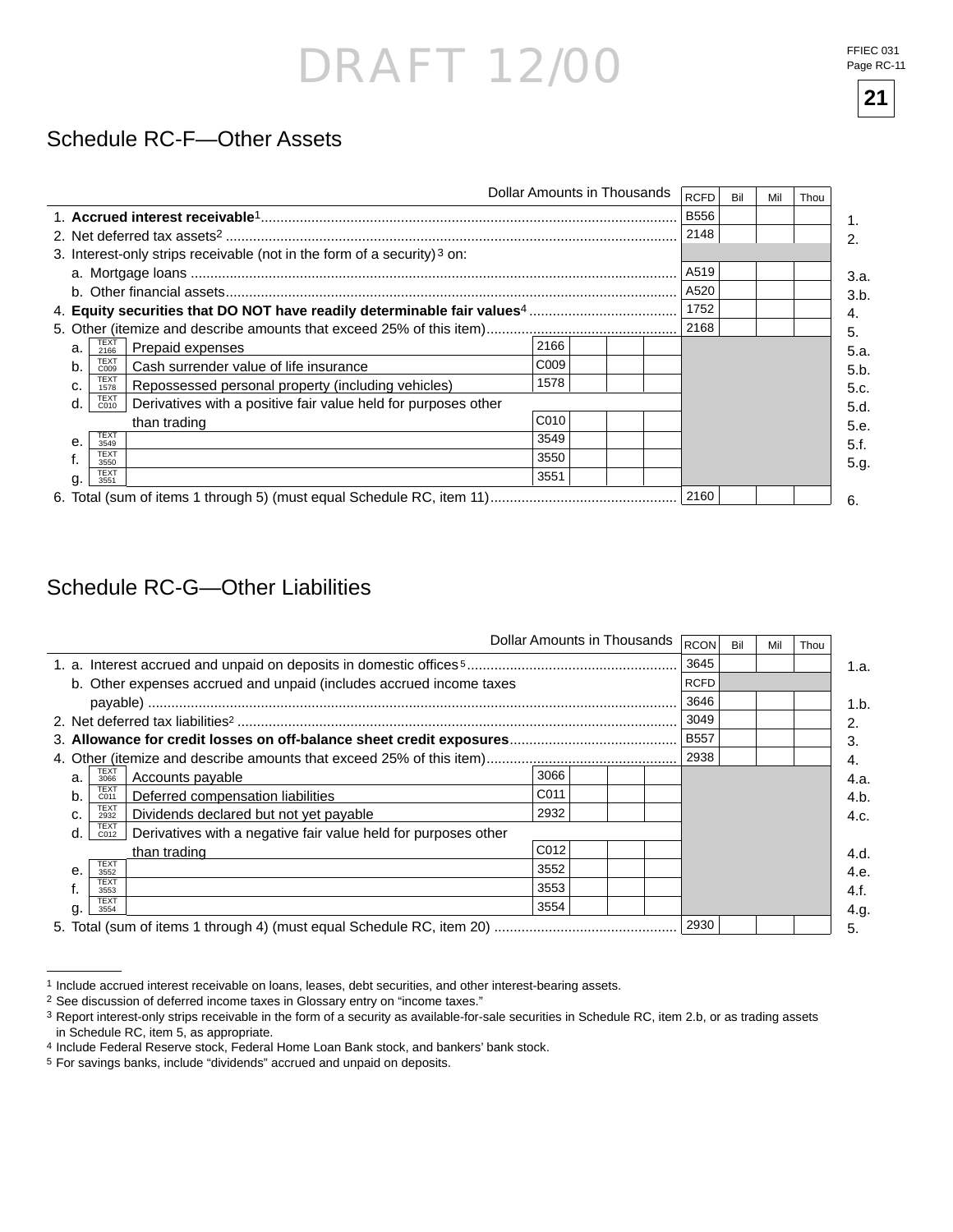FFIEC 031 Page RC-11

#### Schedule RC-F—Other Assets

|              |                                                                                       |      | Dollar Amounts in Thousands | <b>RCFD</b> | Bil | Mil | Thou |
|--------------|---------------------------------------------------------------------------------------|------|-----------------------------|-------------|-----|-----|------|
|              |                                                                                       |      |                             | <b>B556</b> |     |     |      |
|              |                                                                                       |      |                             | 2148        |     |     |      |
|              | 3. Interest-only strips receivable (not in the form of a security) <sup>3</sup> on:   |      |                             |             |     |     |      |
|              |                                                                                       |      |                             | A519        |     |     |      |
|              |                                                                                       |      |                             | A520        |     |     |      |
|              |                                                                                       |      |                             | 1752        |     |     |      |
|              |                                                                                       |      |                             | 2168        |     |     |      |
| a.           | TEXT<br>2166<br>Prepaid expenses                                                      | 2166 |                             |             |     |     |      |
| b.           | <b>TEXT</b><br>Cash surrender value of life insurance<br>C009                         | C009 |                             |             |     |     |      |
| c.           | <b>TEXT</b><br>Repossessed personal property (including vehicles)<br>1578             | 1578 |                             |             |     |     |      |
| d.           | <b>TEXT</b><br>Derivatives with a positive fair value held for purposes other<br>C010 |      |                             |             |     |     |      |
|              | than trading                                                                          | C010 |                             |             |     |     |      |
| $\mathbf{e}$ | <b>TEXT</b><br>3549                                                                   | 3549 |                             |             |     |     |      |
|              | <b>TEXT</b><br>3550                                                                   | 3550 |                             |             |     |     |      |
| g.           | <b>TEXT</b><br>3551                                                                   | 3551 |                             |             |     |     |      |
|              |                                                                                       |      |                             | 2160        |     |     |      |

### Schedule RC-G—Other Liabilities

|              |                     |                                                                     |                  | Dollar Amounts in Thousands | <b>RCON</b> | Bil | Mil | Thou |      |
|--------------|---------------------|---------------------------------------------------------------------|------------------|-----------------------------|-------------|-----|-----|------|------|
|              |                     |                                                                     |                  |                             | 3645        |     |     |      | 1.a. |
|              |                     | b. Other expenses accrued and unpaid (includes accrued income taxes |                  |                             | <b>RCFD</b> |     |     |      |      |
|              |                     |                                                                     |                  |                             | 3646        |     |     |      | 1.b. |
|              |                     |                                                                     |                  |                             | 3049        |     |     |      |      |
|              |                     |                                                                     |                  |                             | <b>B557</b> |     |     |      | 3.   |
|              |                     |                                                                     |                  |                             | 2938        |     |     |      | 4.   |
| a.           | TEXT<br>3066        | Accounts payable                                                    | 3066             |                             |             |     |     |      | 4.a. |
| b.           | <b>TEXT</b><br>C011 | Deferred compensation liabilities                                   | C <sub>011</sub> |                             |             |     |     |      | 4.b. |
| C.           | <b>TEXT</b><br>2932 | Dividends declared but not yet payable                              | 2932             |                             |             |     |     |      | 4.c. |
| d.           | <b>TEXT</b><br>C012 | Derivatives with a negative fair value held for purposes other      |                  |                             |             |     |     |      |      |
|              |                     | than trading                                                        | C012             |                             |             |     |     |      | 4.d. |
| $\mathbf{e}$ | <b>TEXT</b><br>3552 |                                                                     | 3552             |                             |             |     |     |      | 4.e. |
|              | <b>TEXT</b><br>3553 |                                                                     | 3553             |                             |             |     |     |      | 4.f. |
| g.           | <b>TEXT</b><br>3554 |                                                                     | 3554             |                             |             |     |     |      | 4.g. |
|              |                     |                                                                     |                  |                             | 2930        |     |     |      | 5.   |

<sup>1</sup> Include accrued interest receivable on loans, leases, debt securities, and other interest-bearing assets.

**21**

<sup>2</sup> See discussion of deferred income taxes in Glossary entry on "income taxes."

<sup>3</sup> Report interest-only strips receivable in the form of a security as available-for-sale securities in Schedule RC, item 2.b, or as trading assets in Schedule RC, item 5, as appropriate.

<sup>4</sup> Include Federal Reserve stock, Federal Home Loan Bank stock, and bankers' bank stock.

<sup>5</sup> For savings banks, include "dividends" accrued and unpaid on deposits.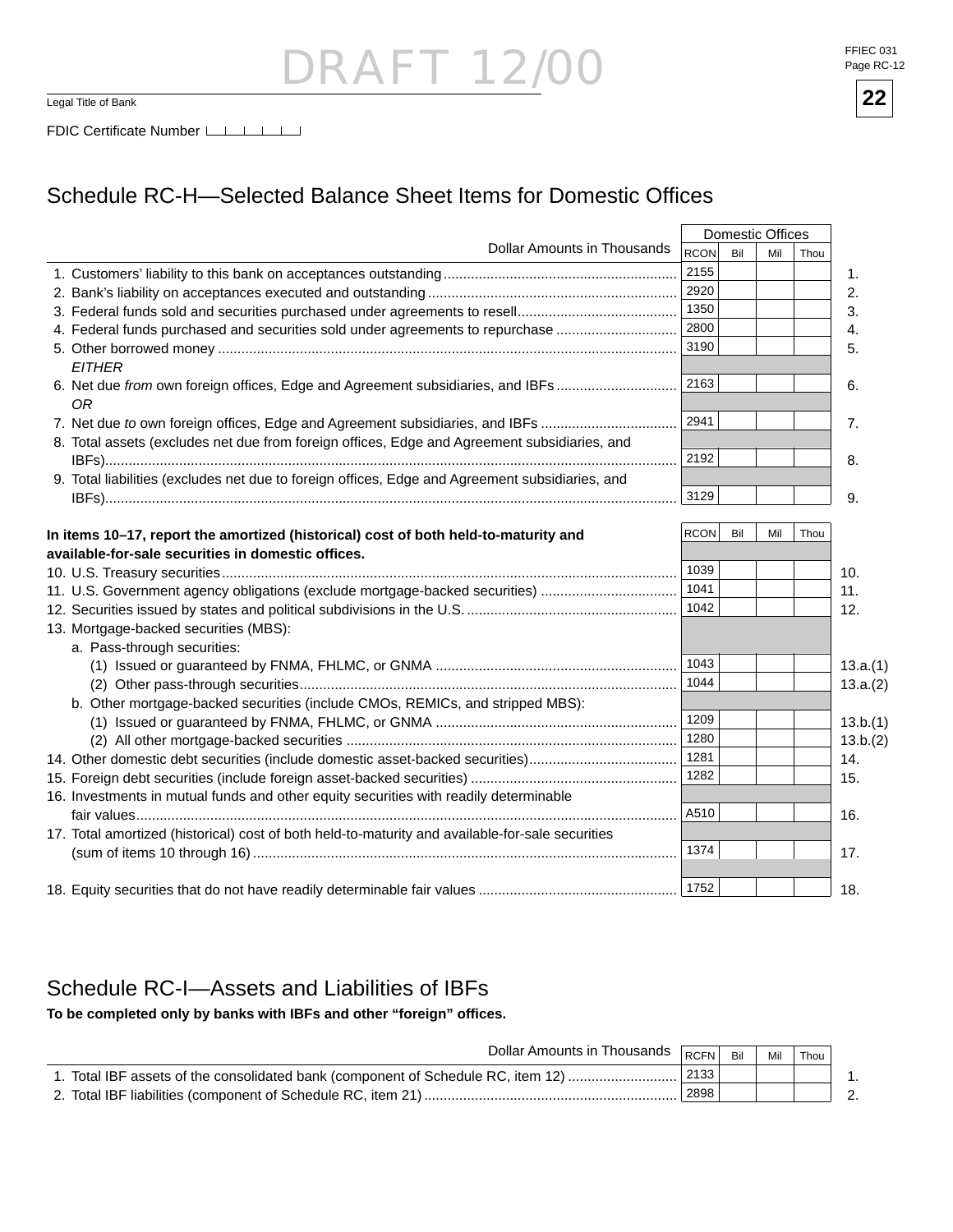### **RAFT 12** Legal Title of Bank **22**

FFIEC 031 Page RC-12



FDIC Certificate Number

### Schedule RC-H-Selected Balance Sheet Items for Domestic Offices

|                                                                                                  |             |     | <b>Domestic Offices</b> |      |          |
|--------------------------------------------------------------------------------------------------|-------------|-----|-------------------------|------|----------|
| <b>Dollar Amounts in Thousands</b>                                                               | <b>RCON</b> | Bil | Mil                     | Thou |          |
|                                                                                                  | 2155        |     |                         |      | 1.       |
|                                                                                                  | 2920        |     |                         |      | 2.       |
|                                                                                                  | 1350        |     |                         |      | 3.       |
| 4. Federal funds purchased and securities sold under agreements to repurchase                    | 2800        |     |                         |      | 4.       |
|                                                                                                  | 3190        |     |                         |      | 5.       |
| <b>EITHER</b>                                                                                    |             |     |                         |      |          |
| 6. Net due from own foreign offices, Edge and Agreement subsidiaries, and IBFs                   | 2163        |     |                         |      | 6.       |
| 0R                                                                                               |             |     |                         |      |          |
| 7. Net due to own foreign offices, Edge and Agreement subsidiaries, and IBFs                     | 2941        |     |                         |      | 7.       |
| 8. Total assets (excludes net due from foreign offices, Edge and Agreement subsidiaries, and     |             |     |                         |      |          |
|                                                                                                  | 2192        |     |                         |      | 8.       |
| 9. Total liabilities (excludes net due to foreign offices, Edge and Agreement subsidiaries, and  |             |     |                         |      |          |
|                                                                                                  | 3129        |     |                         |      | 9.       |
|                                                                                                  |             |     |                         |      |          |
| In items 10-17, report the amortized (historical) cost of both held-to-maturity and              | <b>RCON</b> | Bil | Mil                     | Thou |          |
| available-for-sale securities in domestic offices.                                               |             |     |                         |      |          |
|                                                                                                  | 1039        |     |                         |      | 10.      |
| 11. U.S. Government agency obligations (exclude mortgage-backed securities)                      | 1041        |     |                         |      | 11.      |
|                                                                                                  | 1042        |     |                         |      | 12.      |
| 13. Mortgage-backed securities (MBS):                                                            |             |     |                         |      |          |
| a. Pass-through securities:                                                                      |             |     |                         |      |          |
|                                                                                                  | 1043        |     |                         |      | 13.a.(1) |
|                                                                                                  | 1044        |     |                         |      | 13.a.(2) |
| b. Other mortgage-backed securities (include CMOs, REMICs, and stripped MBS):                    |             |     |                         |      |          |
|                                                                                                  | 1209        |     |                         |      | 13.b.(1) |
|                                                                                                  | 1280        |     |                         |      | 13.b.(2) |
| 14. Other domestic debt securities (include domestic asset-backed securities)                    | 1281        |     |                         |      | 14.      |
|                                                                                                  | 1282        |     |                         |      | 15.      |
| 16. Investments in mutual funds and other equity securities with readily determinable            |             |     |                         |      |          |
|                                                                                                  | A510        |     |                         |      | 16.      |
| 17. Total amortized (historical) cost of both held-to-maturity and available-for-sale securities |             |     |                         |      |          |
|                                                                                                  | 1374        |     |                         |      | 17.      |
|                                                                                                  |             |     |                         |      |          |
|                                                                                                  | 1752        |     |                         |      | 18.      |

#### Schedule RC-I—Assets and Liabilities of IBFs

**To be completed only by banks with IBFs and other "foreign" offi ces.**

| Dollar Amounts in Thousands <b>RCFN</b> F                                        |      | Mil | $\dot{}$ Thou . |  |
|----------------------------------------------------------------------------------|------|-----|-----------------|--|
| 1. Total IBF assets of the consolidated bank (component of Schedule RC, item 12) | 2133 |     |                 |  |
| 2. Total IBF liabilities (component of Schedule RC, item 21)                     | 2898 |     |                 |  |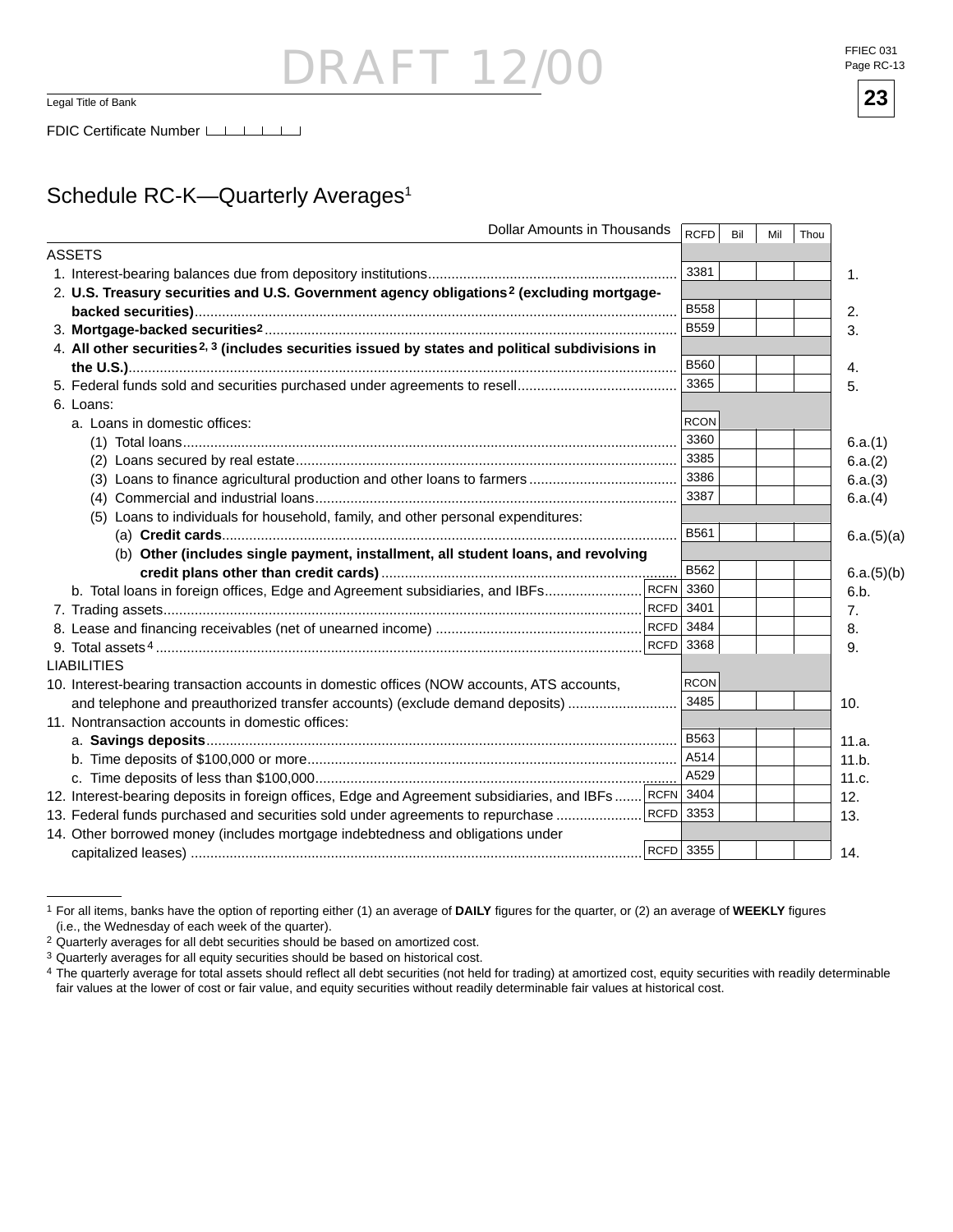### - 121 Legal Title of Bank **23**

### Schedule RC-K-Quarterly Averages<sup>1</sup>

| <b>Dollar Amounts in Thousands</b>                                                                          | <b>RCFD</b> | Bil | Mil | Thou |                |
|-------------------------------------------------------------------------------------------------------------|-------------|-----|-----|------|----------------|
| <b>ASSETS</b>                                                                                               |             |     |     |      |                |
|                                                                                                             | 3381        |     |     |      | $\mathbf{1}$ . |
| 2. U.S. Treasury securities and U.S. Government agency obligations <sup>2</sup> (excluding mortgage-        |             |     |     |      |                |
|                                                                                                             | <b>B558</b> |     |     |      | 2.             |
|                                                                                                             | <b>B559</b> |     |     |      | 3.             |
| 4. All other securities <sup>2, 3</sup> (includes securities issued by states and political subdivisions in |             |     |     |      |                |
|                                                                                                             | <b>B560</b> |     |     |      | 4.             |
|                                                                                                             | 3365        |     |     |      | 5.             |
| 6. Loans:                                                                                                   |             |     |     |      |                |
| a. Loans in domestic offices:                                                                               | <b>RCON</b> |     |     |      |                |
|                                                                                                             | 3360        |     |     |      | 6.a.(1)        |
|                                                                                                             | 3385        |     |     |      | 6.a.(2)        |
|                                                                                                             | 3386        |     |     |      | 6.a.(3)        |
|                                                                                                             | 3387        |     |     |      | 6.a.(4)        |
| (5) Loans to individuals for household, family, and other personal expenditures:                            |             |     |     |      |                |
|                                                                                                             | B561        |     |     |      | 6.a.(5)(a)     |
| (b) Other (includes single payment, installment, all student loans, and revolving                           |             |     |     |      |                |
|                                                                                                             | B562        |     |     |      | 6.a.(5)(b)     |
|                                                                                                             |             |     |     |      | 6.b.           |
|                                                                                                             |             |     |     |      | 7.             |
|                                                                                                             |             |     |     |      | 8.             |
|                                                                                                             |             |     |     |      | 9.             |
| <b>LIABILITIES</b>                                                                                          |             |     |     |      |                |
| 10. Interest-bearing transaction accounts in domestic offices (NOW accounts, ATS accounts,                  | <b>RCON</b> |     |     |      |                |
| and telephone and preauthorized transfer accounts) (exclude demand deposits)                                | 3485        |     |     |      | 10.            |
| 11. Nontransaction accounts in domestic offices:                                                            |             |     |     |      |                |
|                                                                                                             | <b>B563</b> |     |     |      | 11.a.          |
|                                                                                                             | A514        |     |     |      | 11.b.          |
|                                                                                                             | A529        |     |     |      | 11.c.          |
| 12. Interest-bearing deposits in foreign offices, Edge and Agreement subsidiaries, and IBFs RCFN 3404       |             |     |     |      | 12.            |
| 13. Federal funds purchased and securities sold under agreements to repurchase                              | RCFD 3353   |     |     |      | 13.            |
| 14. Other borrowed money (includes mortgage indebtedness and obligations under                              |             |     |     |      |                |
|                                                                                                             | RCFD 3355   |     |     |      | 14.            |

<sup>&</sup>lt;sup>1</sup> For all items, banks have the option of reporting either (1) an average of **DAILY** figures for the quarter, or (2) an average of WEEKLY figures (i.e., the Wednesday of each week of the quarter).

FFIEC 031 Page RC-13



<sup>2</sup> Quarterly averages for all debt securities should be based on amortized cost.

<sup>3</sup> Quarterly averages for all equity securities should be based on historical cost.

<sup>&</sup>lt;sup>4</sup> The quarterly average for total assets should reflect all debt securities (not held for trading) at amortized cost, equity securities with readily determinable fair values at the lower of cost or fair value, and equity securities without readily determinable fair values at historical cost.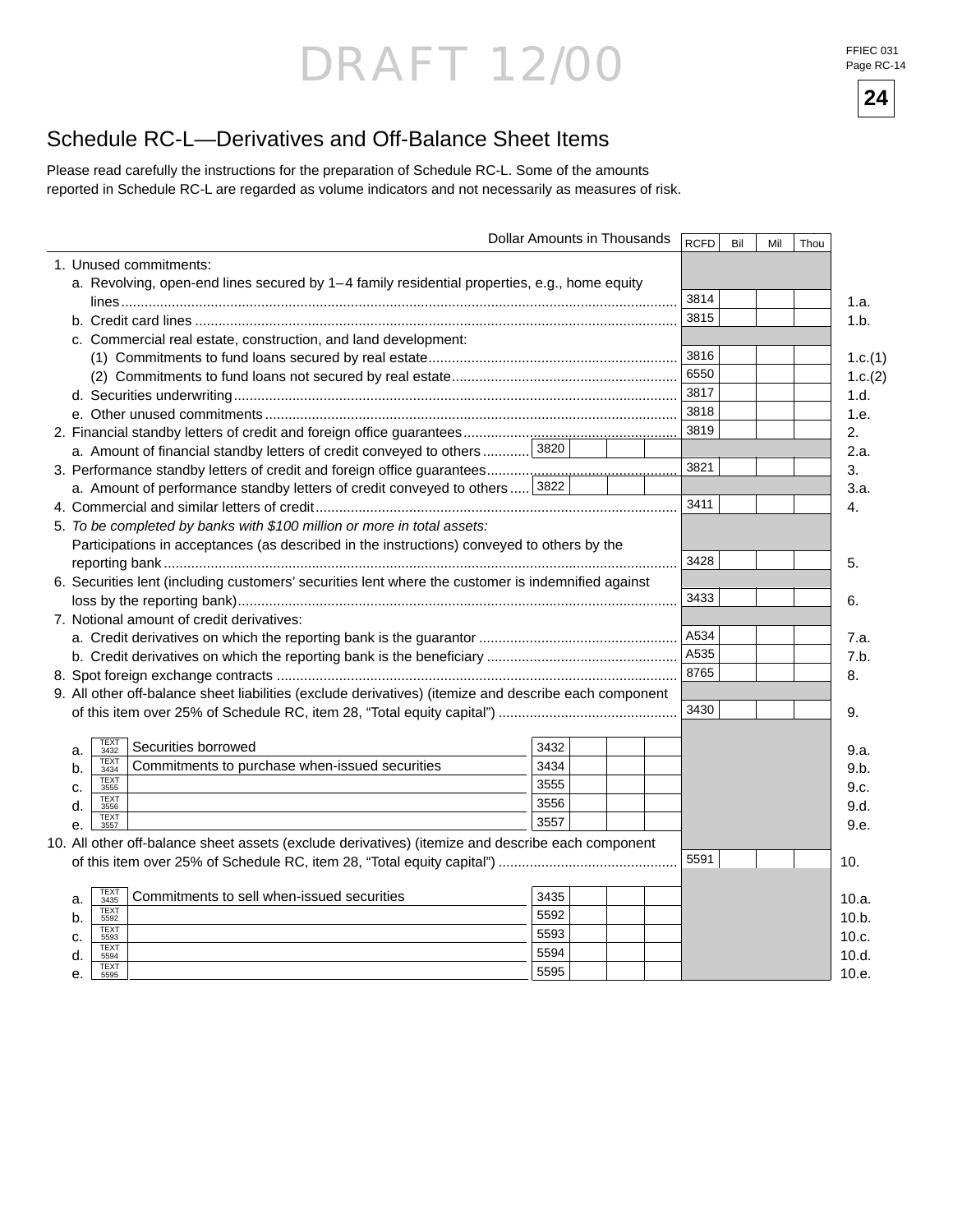# DRAFT 12/00 FFIEC 031

Page RC-14



### Schedule RC-L—Derivatives and Off-Balance Sheet Items

Please read carefully the instructions for the preparation of Schedule RC-L. Some of the amounts reported in Schedule RC-L are regarded as volume indicators and not necessarily as measures of risk.

|                                                  |                                                                                                       | Dollar Amounts in Thousands | <b>RCFD</b> | Bil | Mil | Thou |         |
|--------------------------------------------------|-------------------------------------------------------------------------------------------------------|-----------------------------|-------------|-----|-----|------|---------|
| 1. Unused commitments:                           |                                                                                                       |                             |             |     |     |      |         |
|                                                  | a. Revolving, open-end lines secured by 1-4 family residential properties, e.g., home equity          |                             |             |     |     |      |         |
|                                                  |                                                                                                       |                             | 3814        |     |     |      | 1.a.    |
|                                                  |                                                                                                       |                             | 3815        |     |     |      | 1.b.    |
|                                                  | c. Commercial real estate, construction, and land development:                                        |                             |             |     |     |      |         |
|                                                  |                                                                                                       |                             | 3816        |     |     |      | 1.c.(1) |
|                                                  |                                                                                                       |                             | 6550        |     |     |      | 1.c.(2) |
|                                                  |                                                                                                       |                             | 3817        |     |     |      | 1.d.    |
|                                                  |                                                                                                       |                             | 3818        |     |     |      | 1.e.    |
|                                                  |                                                                                                       |                             | 3819        |     |     |      | 2.      |
|                                                  | a. Amount of financial standby letters of credit conveyed to others 3820                              |                             |             |     |     |      | 2.a.    |
|                                                  |                                                                                                       |                             | 3821        |     |     |      | 3.      |
|                                                  | a. Amount of performance standby letters of credit conveyed to others 3822                            |                             |             |     |     |      | 3.a.    |
|                                                  |                                                                                                       |                             | 3411        |     |     |      | 4.      |
|                                                  | 5. To be completed by banks with \$100 million or more in total assets:                               |                             |             |     |     |      |         |
|                                                  | Participations in acceptances (as described in the instructions) conveyed to others by the            |                             |             |     |     |      |         |
|                                                  |                                                                                                       |                             | 3428        |     |     |      | 5.      |
|                                                  | 6. Securities lent (including customers' securities lent where the customer is indemnified against    |                             |             |     |     |      |         |
|                                                  |                                                                                                       |                             | 3433        |     |     |      | 6.      |
| 7. Notional amount of credit derivatives:        |                                                                                                       |                             |             |     |     |      |         |
|                                                  |                                                                                                       |                             | A534        |     |     |      | 7.a.    |
|                                                  |                                                                                                       |                             | A535        |     |     |      | 7.b.    |
|                                                  |                                                                                                       |                             | 8765        |     |     |      | 8.      |
|                                                  | 9. All other off-balance sheet liabilities (exclude derivatives) (itemize and describe each component |                             |             |     |     |      |         |
|                                                  |                                                                                                       |                             | 3430        |     |     |      | 9.      |
|                                                  |                                                                                                       |                             |             |     |     |      |         |
| <b>TEXT</b><br>Securities borrowed<br>a.<br>3432 |                                                                                                       | 3432                        |             |     |     |      | 9.a.    |
| <b>TEXT</b><br>b.<br>3434                        | Commitments to purchase when-issued securities                                                        | 3434                        |             |     |     |      | 9.b.    |
| <b>TEXT</b><br>c.<br>3555                        |                                                                                                       | 3555                        |             |     |     |      | 9.c.    |
| <b>TEXT</b><br>d.<br>3556                        |                                                                                                       | 3556                        |             |     |     |      | 9.d.    |
| <b>TEXT</b><br>е.<br>3557                        |                                                                                                       | 3557                        |             |     |     |      | 9.e.    |
|                                                  | 10. All other off-balance sheet assets (exclude derivatives) (itemize and describe each component     |                             |             |     |     |      |         |
|                                                  |                                                                                                       |                             | 5591        |     |     |      | 10.     |
|                                                  |                                                                                                       |                             |             |     |     |      |         |
| TEXT<br>3435<br>a.                               | Commitments to sell when-issued securities                                                            | 3435                        |             |     |     |      | 10.a.   |
| <b>TEXT</b><br>b.<br>5592                        |                                                                                                       | 5592                        |             |     |     |      | 10.b.   |
| <b>TEXT</b><br>C.<br>5593                        |                                                                                                       | 5593                        |             |     |     |      | 10.c.   |
| <b>TEXT</b><br>d.<br>5594                        |                                                                                                       | 5594                        |             |     |     |      | 10.d.   |
| <b>TEXT</b><br>е.<br>5595                        |                                                                                                       | 5595                        |             |     |     |      | 10.e.   |
|                                                  |                                                                                                       |                             |             |     |     |      |         |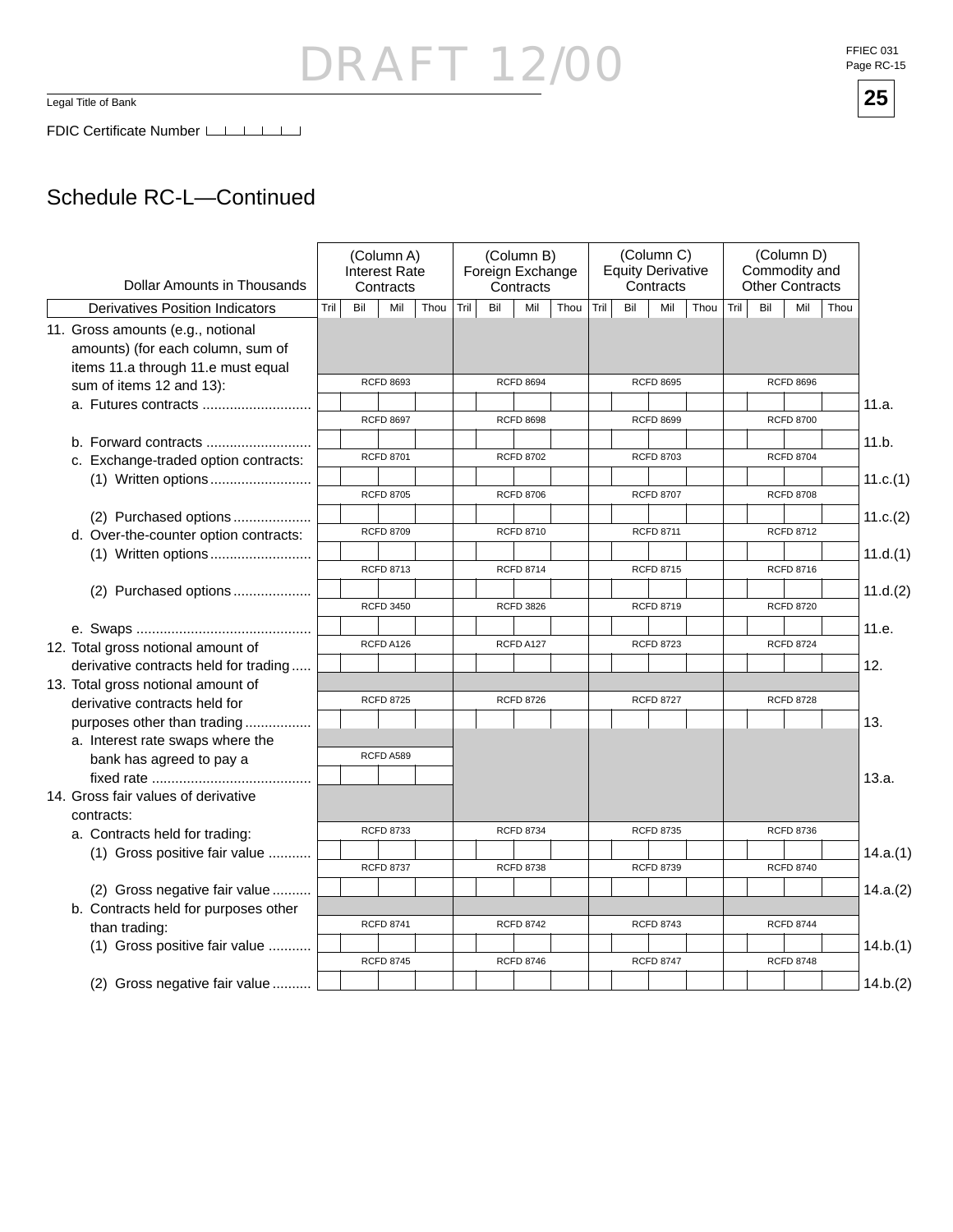Legal Title of Bank

### Schedule RC-L—Continued

| Dollar Amounts in Thousands                                                                                  |      |     | (Column A)<br>Interest Rate<br>Contracts |      |      |     | (Column B)<br>Foreign Exchange<br>Contracts |      |      | <b>Equity Derivative</b> | (Column C)<br>Contracts |      |      |     | (Column D)<br>Commodity and<br><b>Other Contracts</b> |      |          |
|--------------------------------------------------------------------------------------------------------------|------|-----|------------------------------------------|------|------|-----|---------------------------------------------|------|------|--------------------------|-------------------------|------|------|-----|-------------------------------------------------------|------|----------|
| <b>Derivatives Position Indicators</b>                                                                       | Tril | Bil | Mil                                      | Thou | Tril | Bil | Mil                                         | Thou | Tril | Bil                      | Mil                     | Thou | Tril | Bil | Mil                                                   | Thou |          |
| 11. Gross amounts (e.g., notional<br>amounts) (for each column, sum of<br>items 11.a through 11.e must equal |      |     |                                          |      |      |     |                                             |      |      |                          |                         |      |      |     |                                                       |      |          |
| sum of items 12 and 13):                                                                                     |      |     | <b>RCFD 8693</b>                         |      |      |     | <b>RCFD 8694</b>                            |      |      |                          | <b>RCFD 8695</b>        |      |      |     | <b>RCFD 8696</b>                                      |      |          |
| a. Futures contracts                                                                                         |      |     | <b>RCFD 8697</b>                         |      |      |     | <b>RCFD 8698</b>                            |      |      |                          | <b>RCFD 8699</b>        |      |      |     | <b>RCFD 8700</b>                                      |      | 11.a.    |
| b. Forward contracts                                                                                         |      |     |                                          |      |      |     |                                             |      |      |                          |                         |      |      |     |                                                       |      | 11.b.    |
| c. Exchange-traded option contracts:                                                                         |      |     | <b>RCFD 8701</b>                         |      |      |     | <b>RCFD 8702</b>                            |      |      |                          | <b>RCFD 8703</b>        |      |      |     | <b>RCFD 8704</b>                                      |      |          |
|                                                                                                              |      |     |                                          |      |      |     |                                             |      |      |                          |                         |      |      |     |                                                       |      | 11.c.(1) |
|                                                                                                              |      |     | <b>RCFD 8705</b>                         |      |      |     | <b>RCFD 8706</b>                            |      |      |                          | <b>RCFD 8707</b>        |      |      |     | <b>RCFD 8708</b>                                      |      |          |
| (2) Purchased options                                                                                        |      |     |                                          |      |      |     |                                             |      |      |                          |                         |      |      |     |                                                       |      | 11.c.(2) |
| d. Over-the-counter option contracts:                                                                        |      |     | <b>RCFD 8709</b>                         |      |      |     | <b>RCFD 8710</b>                            |      |      |                          | <b>RCFD 8711</b>        |      |      |     | <b>RCFD 8712</b>                                      |      |          |
| (1) Written options                                                                                          |      |     |                                          |      |      |     |                                             |      |      |                          |                         |      |      |     |                                                       |      | 11.d.(1) |
|                                                                                                              |      |     | <b>RCFD 8713</b>                         |      |      |     | <b>RCFD 8714</b>                            |      |      |                          | <b>RCFD 8715</b>        |      |      |     | <b>RCFD 8716</b>                                      |      |          |
| (2) Purchased options                                                                                        |      |     | <b>RCFD 3450</b>                         |      |      |     | <b>RCFD 3826</b>                            |      |      |                          | <b>RCFD 8719</b>        |      |      |     | <b>RCFD 8720</b>                                      |      | 11.d.(2) |
|                                                                                                              |      |     |                                          |      |      |     |                                             |      |      |                          |                         |      |      |     |                                                       |      | 11.e.    |
| 12. Total gross notional amount of                                                                           |      |     | RCFD A126                                |      |      |     | RCFD A127                                   |      |      |                          | <b>RCFD 8723</b>        |      |      |     | <b>RCFD 8724</b>                                      |      |          |
| derivative contracts held for trading                                                                        |      |     |                                          |      |      |     |                                             |      |      |                          |                         |      |      |     |                                                       |      | 12.      |
| 13. Total gross notional amount of                                                                           |      |     |                                          |      |      |     |                                             |      |      |                          |                         |      |      |     |                                                       |      |          |
| derivative contracts held for                                                                                |      |     | <b>RCFD 8725</b>                         |      |      |     | <b>RCFD 8726</b>                            |      |      |                          | <b>RCFD 8727</b>        |      |      |     | <b>RCFD 8728</b>                                      |      |          |
| purposes other than trading<br>a. Interest rate swaps where the                                              |      |     |                                          |      |      |     |                                             |      |      |                          |                         |      |      |     |                                                       |      | 13.      |
| bank has agreed to pay a                                                                                     |      |     | RCFD A589                                |      |      |     |                                             |      |      |                          |                         |      |      |     |                                                       |      |          |
|                                                                                                              |      |     |                                          |      |      |     |                                             |      |      |                          |                         |      |      |     |                                                       |      | 13.a.    |
| 14. Gross fair values of derivative<br>contracts:                                                            |      |     |                                          |      |      |     |                                             |      |      |                          |                         |      |      |     |                                                       |      |          |
| a. Contracts held for trading:                                                                               |      |     | <b>RCFD 8733</b>                         |      |      |     | <b>RCFD 8734</b>                            |      |      |                          | <b>RCFD 8735</b>        |      |      |     | <b>RCFD 8736</b>                                      |      |          |
| (1) Gross positive fair value                                                                                |      |     |                                          |      |      |     |                                             |      |      |                          |                         |      |      |     |                                                       |      | 14.a.(1) |
|                                                                                                              |      |     | <b>RCFD 8737</b>                         |      |      |     | <b>RCFD 8738</b>                            |      |      |                          | <b>RCFD 8739</b>        |      |      |     | <b>RCFD 8740</b>                                      |      |          |
| (2) Gross negative fair value<br>b. Contracts held for purposes other                                        |      |     |                                          |      |      |     |                                             |      |      |                          |                         |      |      |     |                                                       |      | 14.a.(2) |
| than trading:                                                                                                |      |     | <b>RCFD 8741</b>                         |      |      |     | <b>RCFD 8742</b>                            |      |      |                          | <b>RCFD 8743</b>        |      |      |     | <b>RCFD 8744</b>                                      |      |          |
| (1) Gross positive fair value                                                                                |      |     |                                          |      |      |     |                                             |      |      |                          |                         |      |      |     |                                                       |      | 14.b.(1) |
|                                                                                                              |      |     | <b>RCFD 8745</b>                         |      |      |     | <b>RCFD 8746</b>                            |      |      |                          | <b>RCFD 8747</b>        |      |      |     | <b>RCFD 8748</b>                                      |      |          |
| (2) Gross negative fair value                                                                                |      |     |                                          |      |      |     |                                             |      |      |                          |                         |      |      |     |                                                       |      | 14.b.(2) |

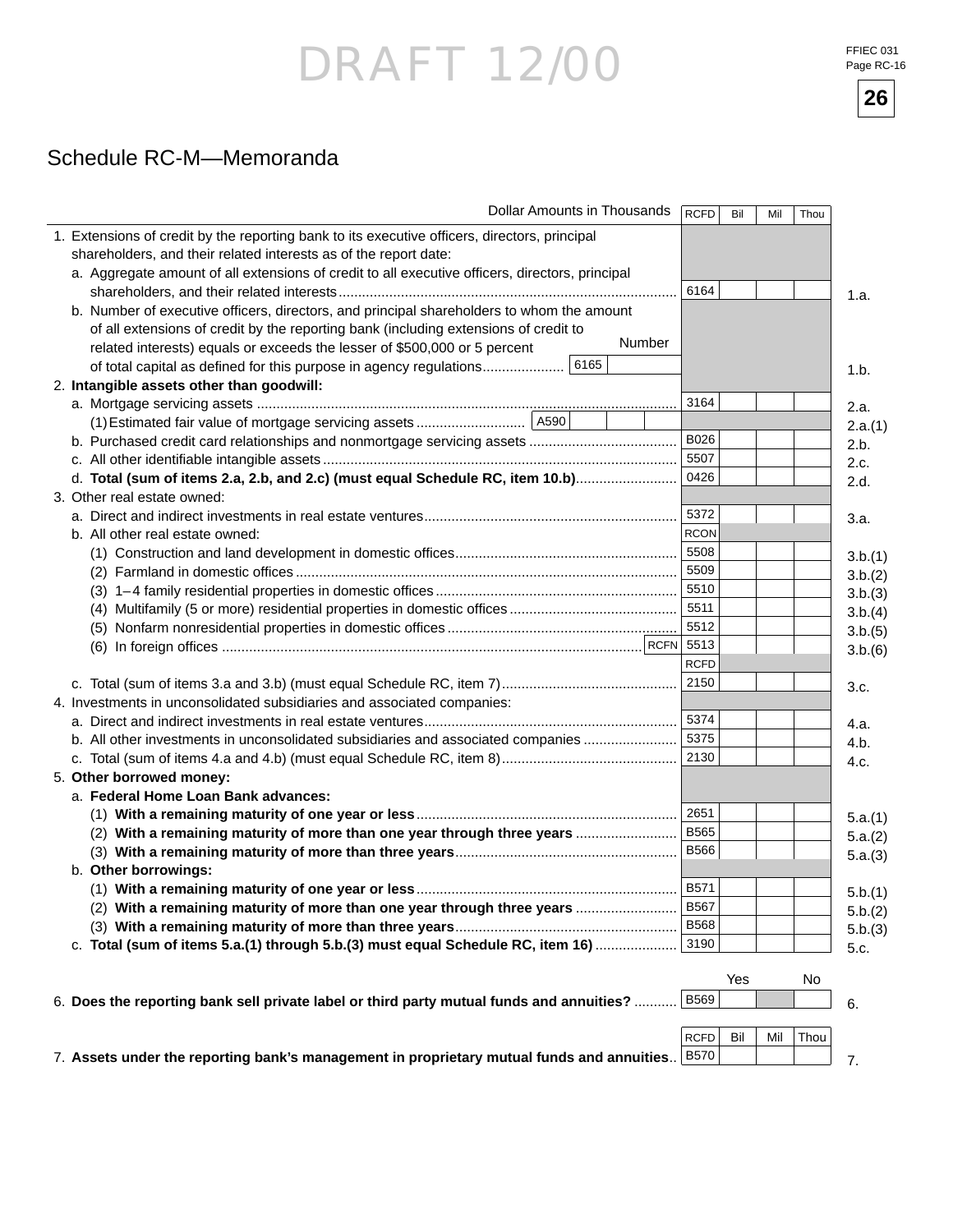FFIEC 031 Page RC-16



### Schedule RC-M—Memoranda

| Dollar Amounts in Thousands                                                                      | <b>RCFD</b> | Bil | Mil | Thou |         |
|--------------------------------------------------------------------------------------------------|-------------|-----|-----|------|---------|
| 1. Extensions of credit by the reporting bank to its executive officers, directors, principal    |             |     |     |      |         |
| shareholders, and their related interests as of the report date:                                 |             |     |     |      |         |
| a. Aggregate amount of all extensions of credit to all executive officers, directors, principal  |             |     |     |      |         |
|                                                                                                  | 6164        |     |     |      | 1.a.    |
| b. Number of executive officers, directors, and principal shareholders to whom the amount        |             |     |     |      |         |
| of all extensions of credit by the reporting bank (including extensions of credit to             |             |     |     |      |         |
| Number<br>related interests) equals or exceeds the lesser of \$500,000 or 5 percent              |             |     |     |      |         |
| 6165<br>of total capital as defined for this purpose in agency regulations                       |             |     |     |      | 1.b.    |
| 2. Intangible assets other than goodwill:                                                        |             |     |     |      |         |
|                                                                                                  | 3164        |     |     |      | 2.a.    |
|                                                                                                  |             |     |     |      | 2.a.(1) |
|                                                                                                  | B026        |     |     |      | 2.b.    |
|                                                                                                  | 5507        |     |     |      | 2.c.    |
| d. Total (sum of items 2.a, 2.b, and 2.c) (must equal Schedule RC, item 10.b)                    | 0426        |     |     |      |         |
| 3. Other real estate owned:                                                                      |             |     |     |      | 2.d.    |
|                                                                                                  | 5372        |     |     |      |         |
| b. All other real estate owned:                                                                  | <b>RCON</b> |     |     |      | 3.a.    |
|                                                                                                  | 5508        |     |     |      |         |
|                                                                                                  | 5509        |     |     |      | 3.b.(1) |
|                                                                                                  | 5510        |     |     |      | 3.b.(2) |
|                                                                                                  | 5511        |     |     |      | 3.b.(3) |
|                                                                                                  | 5512        |     |     |      | 3.b.(4) |
|                                                                                                  |             |     |     |      | 3.b.(5) |
|                                                                                                  | <b>RCFD</b> |     |     |      | 3.b.(6) |
|                                                                                                  | 2150        |     |     |      |         |
|                                                                                                  |             |     |     |      | 3.c.    |
| 4. Investments in unconsolidated subsidiaries and associated companies:                          | 5374        |     |     |      |         |
|                                                                                                  | 5375        |     |     |      | 4.a.    |
| b. All other investments in unconsolidated subsidiaries and associated companies                 | 2130        |     |     |      | 4.b.    |
|                                                                                                  |             |     |     |      | 4.c.    |
| 5. Other borrowed money:                                                                         |             |     |     |      |         |
| a. Federal Home Loan Bank advances:                                                              | 2651        |     |     |      |         |
|                                                                                                  | <b>B565</b> |     |     |      | 5.a.(1) |
| (2) With a remaining maturity of more than one year through three years                          | <b>B566</b> |     |     |      | 5.a.(2) |
|                                                                                                  |             |     |     |      | 5.a.(3) |
| b. Other borrowings:                                                                             | B571        |     |     |      |         |
|                                                                                                  |             |     |     |      | 5.b.(1) |
| (2) With a remaining maturity of more than one year through three years                          | <b>B567</b> |     |     |      | 5.b.(2) |
|                                                                                                  | <b>B568</b> |     |     |      | 5.b.(3) |
| c. Total (sum of items 5.a.(1) through 5.b.(3) must equal Schedule RC, item 16)                  | 3190        |     |     |      | 5.c.    |
|                                                                                                  |             | Yes |     | No   |         |
|                                                                                                  | <b>B569</b> |     |     |      |         |
| 6. Does the reporting bank sell private label or third party mutual funds and annuities?         |             |     |     |      | 6.      |
|                                                                                                  |             |     |     |      |         |
|                                                                                                  | <b>RCFD</b> | Bil | Mil | Thou |         |
| 7. Assets under the reporting bank's management in proprietary mutual funds and annuities   B570 |             |     |     |      | 7.      |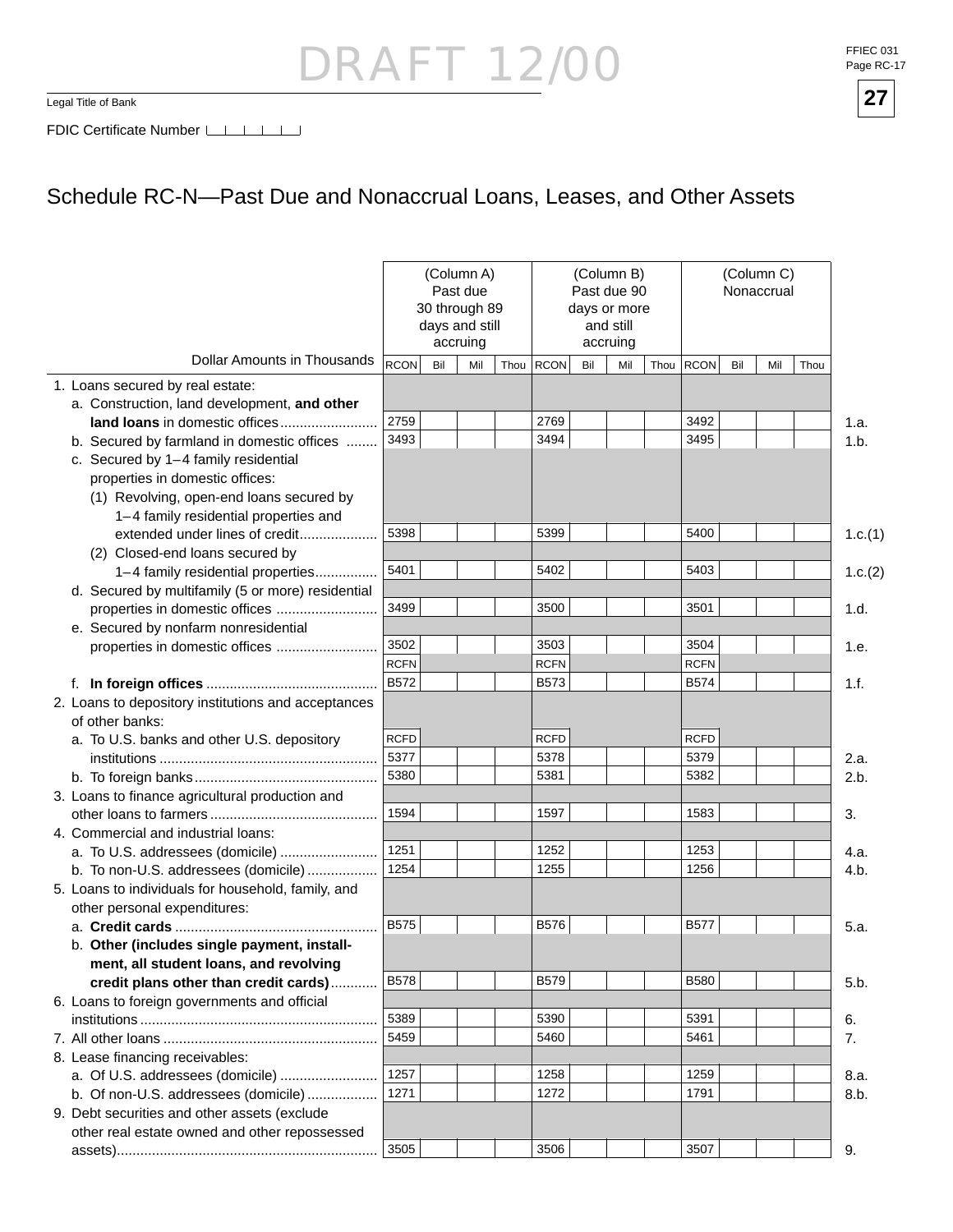Legal Title of Bank **27**





FDIC Certificate Number LILILI

### Schedule RC-N—Past Due and Nonaccrual Loans, Leases, and Other Assets

|                                                     |             | 30 through 89<br>days and still | (Column A)<br>Past due<br>accruing |             |     | (Column B)<br>Past due 90<br>days or more<br>and still<br>accruing |      |             |     | (Column C)<br>Nonaccrual |      |         |
|-----------------------------------------------------|-------------|---------------------------------|------------------------------------|-------------|-----|--------------------------------------------------------------------|------|-------------|-----|--------------------------|------|---------|
| <b>Dollar Amounts in Thousands</b>                  | RCON        | Bil                             | Mil                                | Thou RCON   | Bil | Mil                                                                | Thou | <b>RCON</b> | Bil | Mil                      | Thou |         |
| 1. Loans secured by real estate:                    |             |                                 |                                    |             |     |                                                                    |      |             |     |                          |      |         |
| a. Construction, land development, and other        |             |                                 |                                    |             |     |                                                                    |      |             |     |                          |      |         |
| land loans in domestic offices                      | 2759        |                                 |                                    | 2769        |     |                                                                    |      | 3492        |     |                          |      | 1.a.    |
| b. Secured by farmland in domestic offices          | 3493        |                                 |                                    | 3494        |     |                                                                    |      | 3495        |     |                          |      | 1.b.    |
| c. Secured by 1-4 family residential                |             |                                 |                                    |             |     |                                                                    |      |             |     |                          |      |         |
| properties in domestic offices:                     |             |                                 |                                    |             |     |                                                                    |      |             |     |                          |      |         |
| (1) Revolving, open-end loans secured by            |             |                                 |                                    |             |     |                                                                    |      |             |     |                          |      |         |
| 1-4 family residential properties and               |             |                                 |                                    |             |     |                                                                    |      |             |     |                          |      |         |
| extended under lines of credit                      | 5398        |                                 |                                    | 5399        |     |                                                                    |      | 5400        |     |                          |      | 1.c.(1) |
| (2) Closed-end loans secured by                     |             |                                 |                                    |             |     |                                                                    |      |             |     |                          |      |         |
| 1-4 family residential properties                   | 5401        |                                 |                                    | 5402        |     |                                                                    |      | 5403        |     |                          |      | 1.c.(2) |
| d. Secured by multifamily (5 or more) residential   |             |                                 |                                    |             |     |                                                                    |      |             |     |                          |      |         |
| properties in domestic offices                      | 3499        |                                 |                                    | 3500        |     |                                                                    |      | 3501        |     |                          |      | 1.d.    |
| e. Secured by nonfarm nonresidential                |             |                                 |                                    |             |     |                                                                    |      |             |     |                          |      |         |
| properties in domestic offices                      | 3502        |                                 |                                    | 3503        |     |                                                                    |      | 3504        |     |                          |      | 1.e.    |
|                                                     | <b>RCFN</b> |                                 |                                    | <b>RCFN</b> |     |                                                                    |      | <b>RCFN</b> |     |                          |      |         |
|                                                     | <b>B572</b> |                                 |                                    | B573        |     |                                                                    |      | <b>B574</b> |     |                          |      | 1.f.    |
| 2. Loans to depository institutions and acceptances |             |                                 |                                    |             |     |                                                                    |      |             |     |                          |      |         |
| of other banks:                                     |             |                                 |                                    |             |     |                                                                    |      |             |     |                          |      |         |
| a. To U.S. banks and other U.S. depository          | <b>RCFD</b> |                                 |                                    | <b>RCFD</b> |     |                                                                    |      | <b>RCFD</b> |     |                          |      |         |
|                                                     | 5377        |                                 |                                    | 5378        |     |                                                                    |      | 5379        |     |                          |      | 2.a.    |
|                                                     | 5380        |                                 |                                    | 5381        |     |                                                                    |      | 5382        |     |                          |      | 2.b.    |
| 3. Loans to finance agricultural production and     |             |                                 |                                    |             |     |                                                                    |      |             |     |                          |      |         |
|                                                     | 1594        |                                 |                                    | 1597        |     |                                                                    |      | 1583        |     |                          |      | 3.      |
| 4. Commercial and industrial loans:                 |             |                                 |                                    |             |     |                                                                    |      |             |     |                          |      |         |
| a. To U.S. addressees (domicile)                    | 1251        |                                 |                                    | 1252        |     |                                                                    |      | 1253        |     |                          |      | 4.a.    |
| b. To non-U.S. addressees (domicile)                | 1254        |                                 |                                    | 1255        |     |                                                                    |      | 1256        |     |                          |      | 4.b.    |
| 5. Loans to individuals for household, family, and  |             |                                 |                                    |             |     |                                                                    |      |             |     |                          |      |         |
| other personal expenditures:                        |             |                                 |                                    |             |     |                                                                    |      |             |     |                          |      |         |
|                                                     | <b>B575</b> |                                 |                                    | <b>B576</b> |     |                                                                    |      | <b>B577</b> |     |                          |      | 5.a.    |
| b. Other (includes single payment, install-         |             |                                 |                                    |             |     |                                                                    |      |             |     |                          |      |         |
| ment, all student loans, and revolving              |             |                                 |                                    |             |     |                                                                    |      |             |     |                          |      |         |
| credit plans other than credit cards)               | <b>B578</b> |                                 |                                    | <b>B579</b> |     |                                                                    |      | <b>B580</b> |     |                          |      | 5.b.    |
| 6. Loans to foreign governments and official        |             |                                 |                                    |             |     |                                                                    |      |             |     |                          |      |         |
|                                                     | 5389        |                                 |                                    | 5390        |     |                                                                    |      | 5391        |     |                          |      | 6.      |
|                                                     | 5459        |                                 |                                    | 5460        |     |                                                                    |      | 5461        |     |                          |      | 7.      |
| 8. Lease financing receivables:                     |             |                                 |                                    |             |     |                                                                    |      |             |     |                          |      |         |
|                                                     | 1257        |                                 |                                    | 1258        |     |                                                                    |      | 1259        |     |                          |      | 8.a.    |
| b. Of non-U.S. addressees (domicile)                | 1271        |                                 |                                    | 1272        |     |                                                                    |      | 1791        |     |                          |      | 8.b.    |
| 9. Debt securities and other assets (exclude        |             |                                 |                                    |             |     |                                                                    |      |             |     |                          |      |         |
| other real estate owned and other repossessed       |             |                                 |                                    |             |     |                                                                    |      |             |     |                          |      |         |
|                                                     | 3505        |                                 |                                    | 3506        |     |                                                                    |      | 3507        |     |                          |      | 9.      |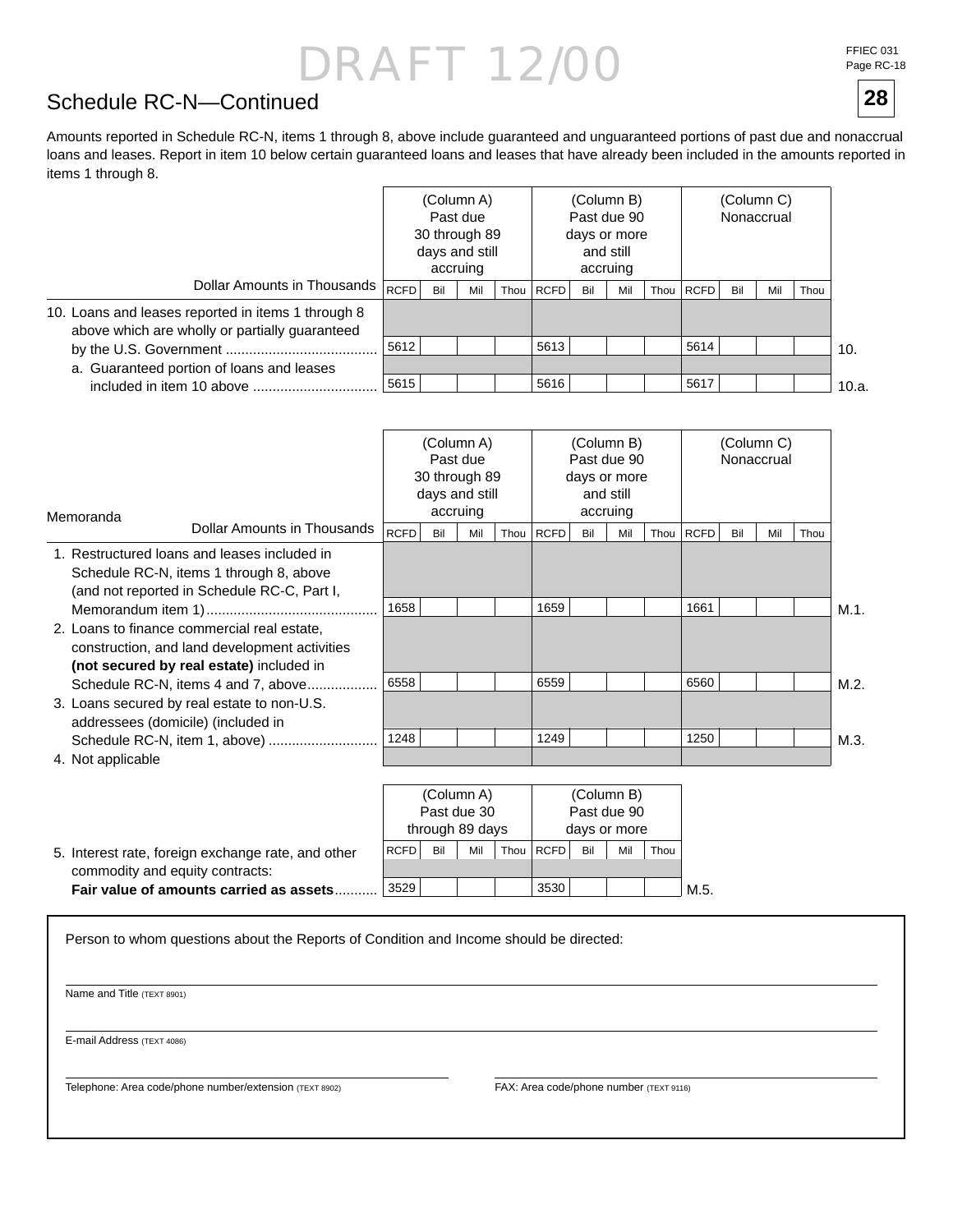FFIEC 031 Page RC-18

**28**

### Schedule RC-N—Continued

Amounts reported in Schedule RC-N, items 1 through 8, above include guaranteed and unguaranteed portions of past due and nonaccrual loans and leases. Report in item 10 below certain guaranteed loans and leases that have already been included in the amounts reported in items 1 through 8.

|                                                                                                      |      | Past due<br>30 through 89<br>days and still | (Column A)<br>accruing |      |      | and still<br>accruing | (Column B)<br>Past due 90<br>days or more |      |             |     | (Column C)<br>Nonaccrual |      |       |
|------------------------------------------------------------------------------------------------------|------|---------------------------------------------|------------------------|------|------|-----------------------|-------------------------------------------|------|-------------|-----|--------------------------|------|-------|
| Dollar Amounts in Thousands                                                                          | RCFD | Bil                                         | Mil                    | Thou | RCFD | Bil                   | Mil                                       | Thou | <b>RCFD</b> | Bil | Mil                      | Thou |       |
| 10. Loans and leases reported in items 1 through 8<br>above which are wholly or partially guaranteed |      |                                             |                        |      |      |                       |                                           |      |             |     |                          |      |       |
|                                                                                                      | 5612 |                                             |                        |      | 5613 |                       |                                           |      | 5614        |     |                          |      | 10.   |
| a. Guaranteed portion of loans and leases                                                            |      |                                             |                        |      |      |                       |                                           |      |             |     |                          |      |       |
| included in item 10 above                                                                            | 5615 |                                             |                        |      | 5616 |                       |                                           |      | 5617        |     |                          |      | 10.a. |

| Memoranda         |                                                                                                                                          |             | 30 through 89<br>days and still | (Column A)<br>Past due<br>accruing |      |      | and still | (Column B)<br>Past due 90<br>days or more<br>accruing |      |             |     | (Column C)<br>Nonaccrual |      |      |
|-------------------|------------------------------------------------------------------------------------------------------------------------------------------|-------------|---------------------------------|------------------------------------|------|------|-----------|-------------------------------------------------------|------|-------------|-----|--------------------------|------|------|
|                   | Dollar Amounts in Thousands                                                                                                              | <b>RCFD</b> | Bil                             | Mil                                | Thou | RCFD | Bil       | Mil                                                   | Thou | <b>RCFD</b> | Bil | Mil                      | Thou |      |
|                   | 1. Restructured loans and leases included in<br>Schedule RC-N, items 1 through 8, above<br>(and not reported in Schedule RC-C, Part I,   |             |                                 |                                    |      |      |           |                                                       |      |             |     |                          |      |      |
|                   |                                                                                                                                          | 1658        |                                 |                                    |      | 1659 |           |                                                       |      | 1661        |     |                          |      | M.1. |
|                   | 2. Loans to finance commercial real estate.<br>construction, and land development activities<br>(not secured by real estate) included in |             |                                 |                                    |      |      |           |                                                       |      |             |     |                          |      |      |
|                   | Schedule RC-N, items 4 and 7, above                                                                                                      | 6558        |                                 |                                    |      | 6559 |           |                                                       |      | 6560        |     |                          |      | M.2. |
|                   | 3. Loans secured by real estate to non-U.S.<br>addressees (domicile) (included in                                                        |             |                                 |                                    |      |      |           |                                                       |      |             |     |                          |      |      |
|                   |                                                                                                                                          | 1248        |                                 |                                    |      | 1249 |           |                                                       |      | 1250        |     |                          |      | M.3. |
| 4. Not applicable |                                                                                                                                          |             |                                 |                                    |      |      |           |                                                       |      |             |     |                          |      |      |

|                                                    |             |     | (Column A)      |      |             |     | (Column B)   |      |      |
|----------------------------------------------------|-------------|-----|-----------------|------|-------------|-----|--------------|------|------|
|                                                    |             |     | Past due 30     |      |             |     | Past due 90  |      |      |
|                                                    |             |     | through 89 days |      |             |     | days or more |      |      |
| 5. Interest rate, foreign exchange rate, and other | <b>RCFD</b> | Bil | Mil             | Thou | <b>RCFD</b> | Bil | Mil          | Thou |      |
| commodity and equity contracts:                    |             |     |                 |      |             |     |              |      |      |
| Fair value of amounts carried as assets.           | 3529        |     |                 |      | 3530        |     |              |      | M.5. |

Person to whom questions about the Reports of Condition and Income should be directed:

Name and Title (TEXT 8901)

E-mail Address (TEXT 4086)

Telephone: Area code/phone number/extension (TEXT 8902) FAX: Area code/phone number (TEXT 9116)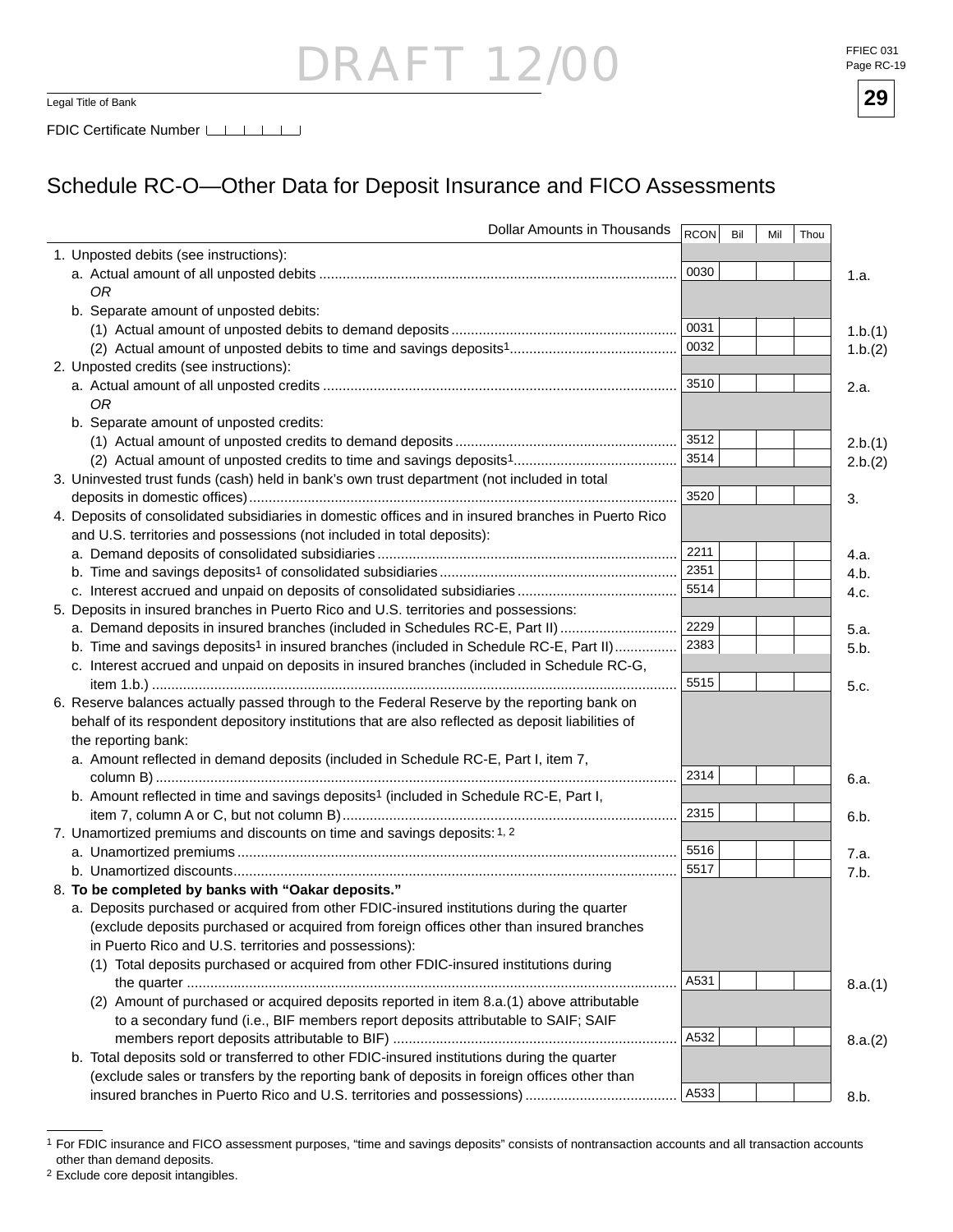## DRAFT 12

Legal Title of Bank **29**

### Schedule RC-O—Other Data for Deposit Insurance and FICO Assessments

| Dollar Amounts in Thousands                                                                         | $ $ RCON $ $ | Bil | Mil | Thou |         |
|-----------------------------------------------------------------------------------------------------|--------------|-----|-----|------|---------|
| 1. Unposted debits (see instructions):                                                              |              |     |     |      |         |
|                                                                                                     | 0030         |     |     |      | 1.a.    |
| ОR                                                                                                  |              |     |     |      |         |
| b. Separate amount of unposted debits:                                                              |              |     |     |      |         |
|                                                                                                     | 0031         |     |     |      | 1.b.(1) |
|                                                                                                     | 0032         |     |     |      | 1.b.(2) |
| 2. Unposted credits (see instructions):                                                             |              |     |     |      |         |
|                                                                                                     | 3510         |     |     |      | 2.a.    |
| ОR                                                                                                  |              |     |     |      |         |
| b. Separate amount of unposted credits:                                                             |              |     |     |      |         |
|                                                                                                     | 3512         |     |     |      | 2.b.(1) |
|                                                                                                     | 3514         |     |     |      | 2.b.(2) |
| 3. Uninvested trust funds (cash) held in bank's own trust department (not included in total         |              |     |     |      |         |
|                                                                                                     | 3520         |     |     |      | 3.      |
| 4. Deposits of consolidated subsidiaries in domestic offices and in insured branches in Puerto Rico |              |     |     |      |         |
| and U.S. territories and possessions (not included in total deposits):                              |              |     |     |      |         |
|                                                                                                     | 2211         |     |     |      | 4.a.    |
|                                                                                                     | 2351         |     |     |      | 4.b.    |
|                                                                                                     | 5514         |     |     |      | 4.c.    |
| 5. Deposits in insured branches in Puerto Rico and U.S. territories and possessions:                |              |     |     |      |         |
| a. Demand deposits in insured branches (included in Schedules RC-E, Part II)                        | 2229         |     |     |      | 5.a.    |
| b. Time and savings deposits <sup>1</sup> in insured branches (included in Schedule RC-E, Part II)  | 2383         |     |     |      | 5.b.    |
| c. Interest accrued and unpaid on deposits in insured branches (included in Schedule RC-G,          |              |     |     |      |         |
|                                                                                                     | 5515         |     |     |      | 5.c.    |
| 6. Reserve balances actually passed through to the Federal Reserve by the reporting bank on         |              |     |     |      |         |
| behalf of its respondent depository institutions that are also reflected as deposit liabilities of  |              |     |     |      |         |
| the reporting bank:                                                                                 |              |     |     |      |         |
| a. Amount reflected in demand deposits (included in Schedule RC-E, Part I, item 7,                  |              |     |     |      |         |
|                                                                                                     | 2314         |     |     |      | 6.a.    |
| b. Amount reflected in time and savings deposits <sup>1</sup> (included in Schedule RC-E, Part I,   |              |     |     |      |         |
|                                                                                                     | 2315         |     |     |      | 6.b.    |
| 7. Unamortized premiums and discounts on time and savings deposits: 1, 2                            |              |     |     |      |         |
|                                                                                                     | 5516         |     |     |      | 7.a.    |
|                                                                                                     | 5517         |     |     |      | 7.b.    |
| 8. To be completed by banks with "Oakar deposits."                                                  |              |     |     |      |         |
| a. Deposits purchased or acquired from other FDIC-insured institutions during the quarter           |              |     |     |      |         |
| (exclude deposits purchased or acquired from foreign offices other than insured branches            |              |     |     |      |         |
| in Puerto Rico and U.S. territories and possessions):                                               |              |     |     |      |         |
| (1) Total deposits purchased or acquired from other FDIC-insured institutions during                |              |     |     |      |         |
|                                                                                                     | A531         |     |     |      |         |
| (2) Amount of purchased or acquired deposits reported in item 8.a.(1) above attributable            |              |     |     |      | 8.a.(1) |
|                                                                                                     |              |     |     |      |         |
| to a secondary fund (i.e., BIF members report deposits attributable to SAIF; SAIF                   | A532         |     |     |      |         |
|                                                                                                     |              |     |     |      | 8.a.(2) |
| b. Total deposits sold or transferred to other FDIC-insured institutions during the quarter         |              |     |     |      |         |
| (exclude sales or transfers by the reporting bank of deposits in foreign offices other than         | A533         |     |     |      |         |
|                                                                                                     |              |     |     |      | 8.b.    |

2 Exclude core deposit intangibles.



<sup>1</sup> For FDIC insurance and FICO assessment purposes, "time and savings deposits" consists of nontransaction accounts and all transaction accounts other than demand deposits.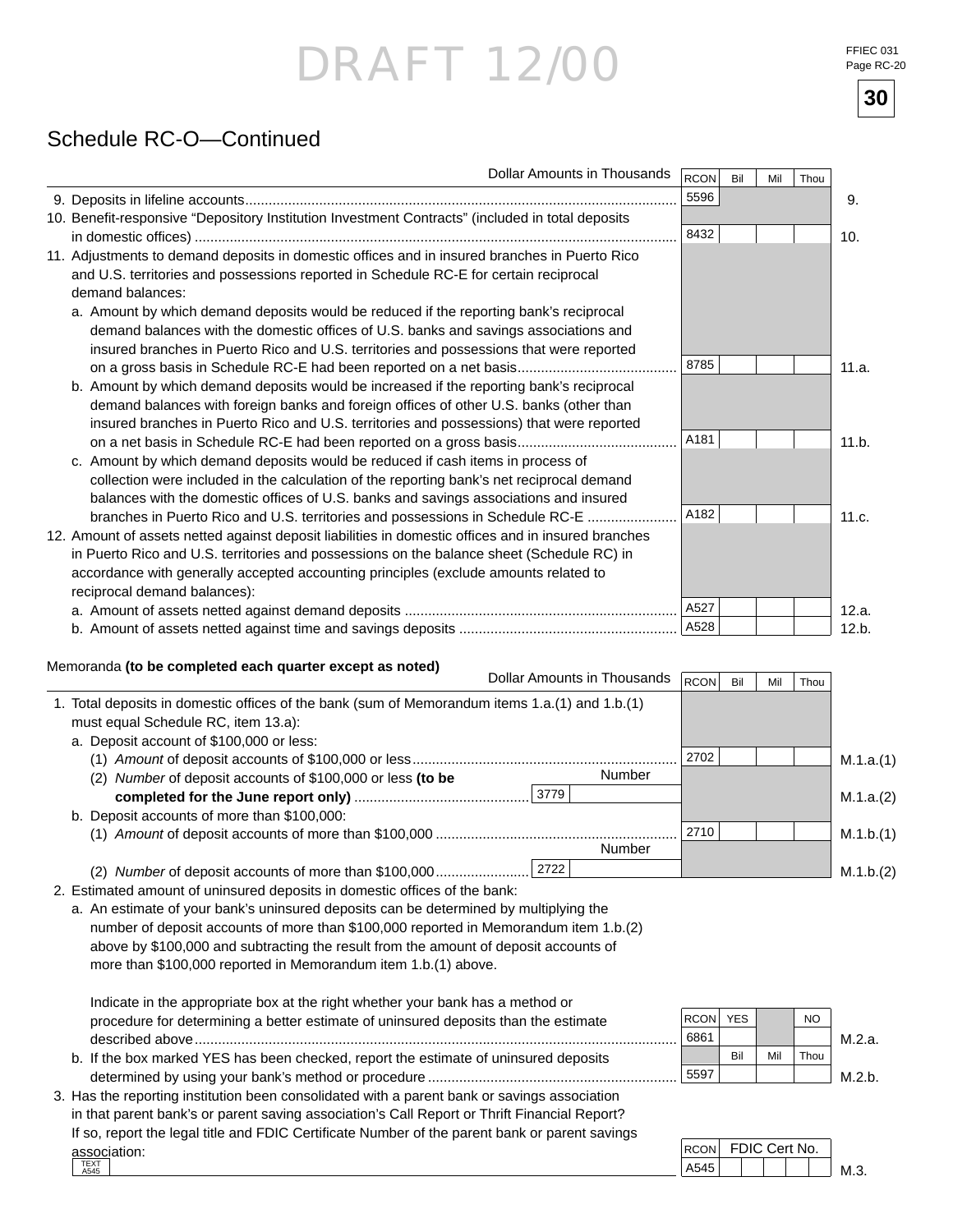FFIEC 031 Page RC-20

**30**

### Schedule RC-O—Continued

| Dollar Amounts in Thousands                                                                                                                                                                                                                                                                                                                                                                                                                                                                                                                                                                                                                                                                                                                                                                                                                     | RCON         | Bil | Mil | Thou |                                     |
|-------------------------------------------------------------------------------------------------------------------------------------------------------------------------------------------------------------------------------------------------------------------------------------------------------------------------------------------------------------------------------------------------------------------------------------------------------------------------------------------------------------------------------------------------------------------------------------------------------------------------------------------------------------------------------------------------------------------------------------------------------------------------------------------------------------------------------------------------|--------------|-----|-----|------|-------------------------------------|
|                                                                                                                                                                                                                                                                                                                                                                                                                                                                                                                                                                                                                                                                                                                                                                                                                                                 | 5596         |     |     |      | 9.                                  |
| 10. Benefit-responsive "Depository Institution Investment Contracts" (included in total deposits                                                                                                                                                                                                                                                                                                                                                                                                                                                                                                                                                                                                                                                                                                                                                | 8432         |     |     |      | 10.                                 |
| 11. Adjustments to demand deposits in domestic offices and in insured branches in Puerto Rico<br>and U.S. territories and possessions reported in Schedule RC-E for certain reciprocal<br>demand balances:<br>a. Amount by which demand deposits would be reduced if the reporting bank's reciprocal<br>demand balances with the domestic offices of U.S. banks and savings associations and<br>insured branches in Puerto Rico and U.S. territories and possessions that were reported<br>on a gross basis in Schedule RC-E had been reported on a net basis<br>b. Amount by which demand deposits would be increased if the reporting bank's reciprocal<br>demand balances with foreign banks and foreign offices of other U.S. banks (other than<br>insured branches in Puerto Rico and U.S. territories and possessions) that were reported | 8785         |     |     |      | 11.a.                               |
| c. Amount by which demand deposits would be reduced if cash items in process of<br>collection were included in the calculation of the reporting bank's net reciprocal demand<br>balances with the domestic offices of U.S. banks and savings associations and insured<br>branches in Puerto Rico and U.S. territories and possessions in Schedule RC-E<br>12. Amount of assets netted against deposit liabilities in domestic offices and in insured branches                                                                                                                                                                                                                                                                                                                                                                                   | A181<br>A182 |     |     |      | 11.b.<br>11.c.                      |
| in Puerto Rico and U.S. territories and possessions on the balance sheet (Schedule RC) in<br>accordance with generally accepted accounting principles (exclude amounts related to<br>reciprocal demand balances):                                                                                                                                                                                                                                                                                                                                                                                                                                                                                                                                                                                                                               | A527<br>A528 |     |     |      | 12.a.<br>12.b.                      |
| Memoranda (to be completed each quarter except as noted)<br>Dollar Amounts in Thousands                                                                                                                                                                                                                                                                                                                                                                                                                                                                                                                                                                                                                                                                                                                                                         | <b>RCON</b>  | Bil | Mil | Thou |                                     |
| 1. Total deposits in domestic offices of the bank (sum of Memorandum items 1.a.(1) and 1.b.(1)<br>must equal Schedule RC, item 13.a):<br>a. Deposit account of \$100,000 or less:<br>Number<br>(2) Number of deposit accounts of \$100,000 or less (to be<br>3779<br>b. Deposit accounts of more than \$100,000:<br>Number                                                                                                                                                                                                                                                                                                                                                                                                                                                                                                                      | 2702<br>2710 |     |     |      | M.1.a.(1)<br>M.1.a.(2)<br>M.1.b.(1) |
| 2722<br>(2) Number of deposit accounts of more than \$100,000                                                                                                                                                                                                                                                                                                                                                                                                                                                                                                                                                                                                                                                                                                                                                                                   |              |     |     |      | M.1.b.(2)                           |
| 2. Estimated amount of uninsured deposits in domestic offices of the bank:<br>a. An estimate of your bank's uninsured deposits can be determined by multiplying the<br>number of deposit accounts of more than \$100,000 reported in Memorandum item 1.b.(2)<br>above by \$100,000 and subtracting the result from the amount of deposit accounts of<br>more than \$100,000 reported in Memorandum item 1.b.(1) above.                                                                                                                                                                                                                                                                                                                                                                                                                          |              |     |     |      |                                     |

| Indicate in the appropriate box at the right whether your bank has a method or              |          |     |     |      |        |
|---------------------------------------------------------------------------------------------|----------|-----|-----|------|--------|
| procedure for determining a better estimate of uninsured deposits than the estimate         | RCON YES |     |     | NO.  |        |
|                                                                                             | 6861     |     |     |      | M.2.a. |
| b. If the box marked YES has been checked, report the estimate of uninsured deposits        |          | Bil | Mil | Thou |        |
|                                                                                             | 5597     |     |     |      | M.2 h. |
| Lloe the reperting institution been consolidated with a parent bonk or covings coopeiation. |          |     |     |      |        |

 3. Has the reporting institution been consolidated with a parent bank or savings association in that parent bank's or parent saving association's Call Report or Thrift Financial Report? If so, report the legal title and FDIC Certificate Number of the parent bank or parent savings association: TEXT A545

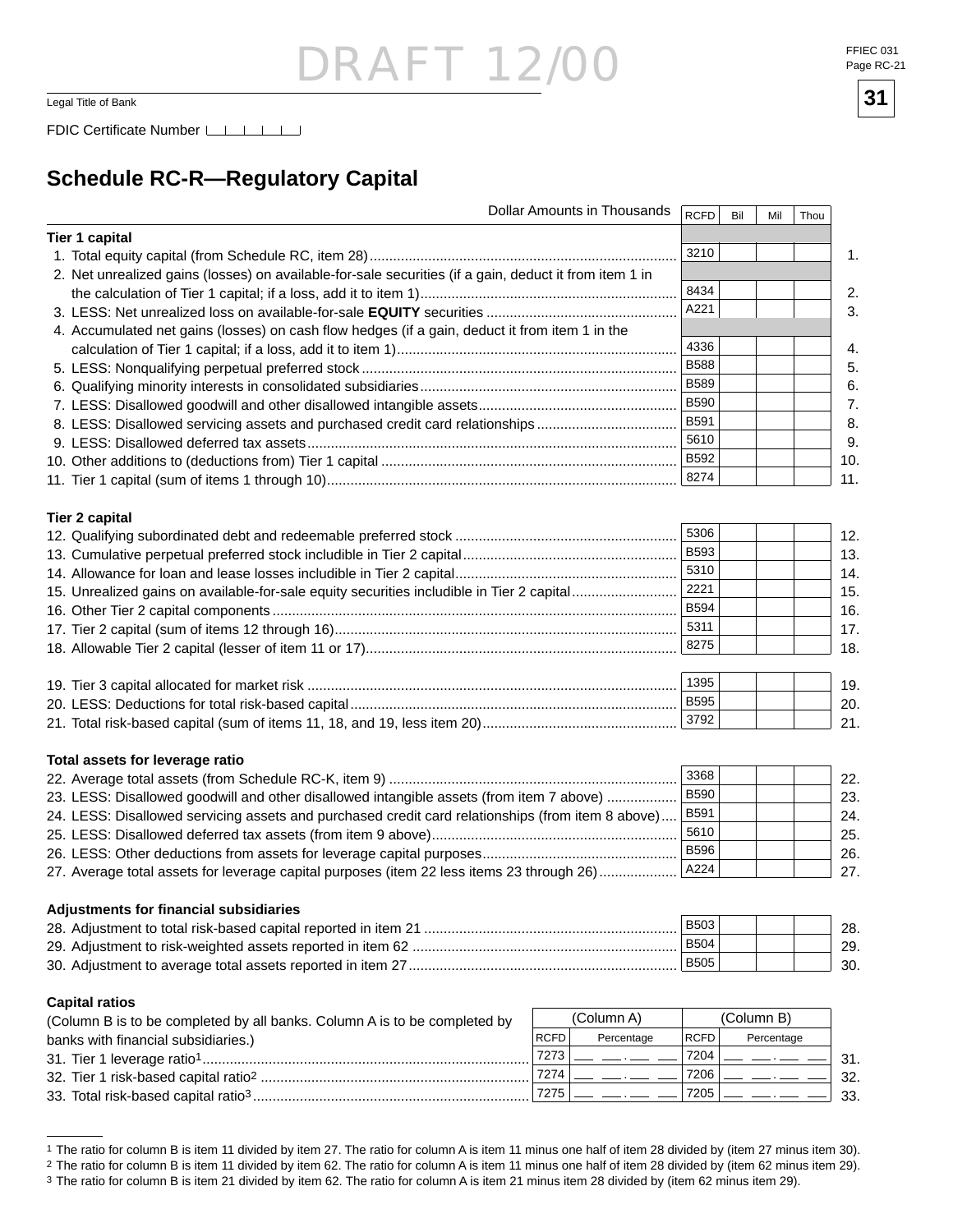### DRAFT 12, Legal Title of Bank  $\overline{\phantom{a}31}$

FDIC Certificate Number LACTER LACTER

### **Schedule RC-R—Regulatory Capital**

| <b>Tier 1 capital</b><br>3210<br>2. Net unrealized gains (losses) on available-for-sale securities (if a gain, deduct it from item 1 in<br>8434<br>A221<br>4. Accumulated net gains (losses) on cash flow hedges (if a gain, deduct it from item 1 in the<br>4336<br><b>B588</b><br><b>B589</b><br><b>B590</b><br>B591<br>8. LESS: Disallowed servicing assets and purchased credit card relationships<br>5610<br>B592<br>8274<br><b>Tier 2 capital</b><br>5306<br><b>B593</b><br>5310<br>2221<br>15. Unrealized gains on available-for-sale equity securities includible in Tier 2 capital<br><b>B594</b><br>5311<br>8275<br>1395<br><b>B595</b><br>3792<br>Total assets for leverage ratio<br>3368<br><b>B590</b><br>23. LESS: Disallowed goodwill and other disallowed intangible assets (from item 7 above)<br>B591<br>24. LESS: Disallowed servicing assets and purchased credit card relationships (from item 8 above)<br>5610<br><b>B596</b><br>A224<br>27. Average total assets for leverage capital purposes (item 22 less items 23 through 26)<br>Adjustments for financial subsidiaries<br><b>B503</b><br><b>B504</b><br><b>B505</b><br><b>Capital ratios</b><br>(Column B)<br>(Column A)<br>(Column B is to be completed by all banks. Column A is to be completed by<br><b>RCFD</b><br><b>RCFD</b><br>Percentage<br>Percentage<br>banks with financial subsidiaries.)<br>7273<br>7204<br>7274<br>7206 | <b>Dollar Amounts in Thousands</b> | <b>RCFD</b> | Bil | Mil | Thou |     |
|--------------------------------------------------------------------------------------------------------------------------------------------------------------------------------------------------------------------------------------------------------------------------------------------------------------------------------------------------------------------------------------------------------------------------------------------------------------------------------------------------------------------------------------------------------------------------------------------------------------------------------------------------------------------------------------------------------------------------------------------------------------------------------------------------------------------------------------------------------------------------------------------------------------------------------------------------------------------------------------------------------------------------------------------------------------------------------------------------------------------------------------------------------------------------------------------------------------------------------------------------------------------------------------------------------------------------------------------------------------------------------------------------------------------|------------------------------------|-------------|-----|-----|------|-----|
|                                                                                                                                                                                                                                                                                                                                                                                                                                                                                                                                                                                                                                                                                                                                                                                                                                                                                                                                                                                                                                                                                                                                                                                                                                                                                                                                                                                                                    |                                    |             |     |     |      |     |
|                                                                                                                                                                                                                                                                                                                                                                                                                                                                                                                                                                                                                                                                                                                                                                                                                                                                                                                                                                                                                                                                                                                                                                                                                                                                                                                                                                                                                    |                                    |             |     |     |      | 1.  |
|                                                                                                                                                                                                                                                                                                                                                                                                                                                                                                                                                                                                                                                                                                                                                                                                                                                                                                                                                                                                                                                                                                                                                                                                                                                                                                                                                                                                                    |                                    |             |     |     |      |     |
|                                                                                                                                                                                                                                                                                                                                                                                                                                                                                                                                                                                                                                                                                                                                                                                                                                                                                                                                                                                                                                                                                                                                                                                                                                                                                                                                                                                                                    |                                    |             |     |     |      | 2.  |
|                                                                                                                                                                                                                                                                                                                                                                                                                                                                                                                                                                                                                                                                                                                                                                                                                                                                                                                                                                                                                                                                                                                                                                                                                                                                                                                                                                                                                    |                                    |             |     |     |      | 3.  |
|                                                                                                                                                                                                                                                                                                                                                                                                                                                                                                                                                                                                                                                                                                                                                                                                                                                                                                                                                                                                                                                                                                                                                                                                                                                                                                                                                                                                                    |                                    |             |     |     |      |     |
|                                                                                                                                                                                                                                                                                                                                                                                                                                                                                                                                                                                                                                                                                                                                                                                                                                                                                                                                                                                                                                                                                                                                                                                                                                                                                                                                                                                                                    |                                    |             |     |     |      | 4.  |
|                                                                                                                                                                                                                                                                                                                                                                                                                                                                                                                                                                                                                                                                                                                                                                                                                                                                                                                                                                                                                                                                                                                                                                                                                                                                                                                                                                                                                    |                                    |             |     |     |      | 5.  |
|                                                                                                                                                                                                                                                                                                                                                                                                                                                                                                                                                                                                                                                                                                                                                                                                                                                                                                                                                                                                                                                                                                                                                                                                                                                                                                                                                                                                                    |                                    |             |     |     |      | 6.  |
|                                                                                                                                                                                                                                                                                                                                                                                                                                                                                                                                                                                                                                                                                                                                                                                                                                                                                                                                                                                                                                                                                                                                                                                                                                                                                                                                                                                                                    |                                    |             |     |     |      | 7.  |
|                                                                                                                                                                                                                                                                                                                                                                                                                                                                                                                                                                                                                                                                                                                                                                                                                                                                                                                                                                                                                                                                                                                                                                                                                                                                                                                                                                                                                    |                                    |             |     |     |      | 8.  |
|                                                                                                                                                                                                                                                                                                                                                                                                                                                                                                                                                                                                                                                                                                                                                                                                                                                                                                                                                                                                                                                                                                                                                                                                                                                                                                                                                                                                                    |                                    |             |     |     |      | 9.  |
|                                                                                                                                                                                                                                                                                                                                                                                                                                                                                                                                                                                                                                                                                                                                                                                                                                                                                                                                                                                                                                                                                                                                                                                                                                                                                                                                                                                                                    |                                    |             |     |     |      | 10. |
|                                                                                                                                                                                                                                                                                                                                                                                                                                                                                                                                                                                                                                                                                                                                                                                                                                                                                                                                                                                                                                                                                                                                                                                                                                                                                                                                                                                                                    |                                    |             |     |     |      | 11. |
|                                                                                                                                                                                                                                                                                                                                                                                                                                                                                                                                                                                                                                                                                                                                                                                                                                                                                                                                                                                                                                                                                                                                                                                                                                                                                                                                                                                                                    |                                    |             |     |     |      |     |
|                                                                                                                                                                                                                                                                                                                                                                                                                                                                                                                                                                                                                                                                                                                                                                                                                                                                                                                                                                                                                                                                                                                                                                                                                                                                                                                                                                                                                    |                                    |             |     |     |      |     |
|                                                                                                                                                                                                                                                                                                                                                                                                                                                                                                                                                                                                                                                                                                                                                                                                                                                                                                                                                                                                                                                                                                                                                                                                                                                                                                                                                                                                                    |                                    |             |     |     |      | 12. |
|                                                                                                                                                                                                                                                                                                                                                                                                                                                                                                                                                                                                                                                                                                                                                                                                                                                                                                                                                                                                                                                                                                                                                                                                                                                                                                                                                                                                                    |                                    |             |     |     |      | 13. |
|                                                                                                                                                                                                                                                                                                                                                                                                                                                                                                                                                                                                                                                                                                                                                                                                                                                                                                                                                                                                                                                                                                                                                                                                                                                                                                                                                                                                                    |                                    |             |     |     |      | 14. |
|                                                                                                                                                                                                                                                                                                                                                                                                                                                                                                                                                                                                                                                                                                                                                                                                                                                                                                                                                                                                                                                                                                                                                                                                                                                                                                                                                                                                                    |                                    |             |     |     |      | 15. |
|                                                                                                                                                                                                                                                                                                                                                                                                                                                                                                                                                                                                                                                                                                                                                                                                                                                                                                                                                                                                                                                                                                                                                                                                                                                                                                                                                                                                                    |                                    |             |     |     |      | 16. |
|                                                                                                                                                                                                                                                                                                                                                                                                                                                                                                                                                                                                                                                                                                                                                                                                                                                                                                                                                                                                                                                                                                                                                                                                                                                                                                                                                                                                                    |                                    |             |     |     |      | 17. |
|                                                                                                                                                                                                                                                                                                                                                                                                                                                                                                                                                                                                                                                                                                                                                                                                                                                                                                                                                                                                                                                                                                                                                                                                                                                                                                                                                                                                                    |                                    |             |     |     |      | 18. |
|                                                                                                                                                                                                                                                                                                                                                                                                                                                                                                                                                                                                                                                                                                                                                                                                                                                                                                                                                                                                                                                                                                                                                                                                                                                                                                                                                                                                                    |                                    |             |     |     |      |     |
|                                                                                                                                                                                                                                                                                                                                                                                                                                                                                                                                                                                                                                                                                                                                                                                                                                                                                                                                                                                                                                                                                                                                                                                                                                                                                                                                                                                                                    |                                    |             |     |     |      | 19. |
|                                                                                                                                                                                                                                                                                                                                                                                                                                                                                                                                                                                                                                                                                                                                                                                                                                                                                                                                                                                                                                                                                                                                                                                                                                                                                                                                                                                                                    |                                    |             |     |     |      | 20. |
|                                                                                                                                                                                                                                                                                                                                                                                                                                                                                                                                                                                                                                                                                                                                                                                                                                                                                                                                                                                                                                                                                                                                                                                                                                                                                                                                                                                                                    |                                    |             |     |     |      | 21. |
|                                                                                                                                                                                                                                                                                                                                                                                                                                                                                                                                                                                                                                                                                                                                                                                                                                                                                                                                                                                                                                                                                                                                                                                                                                                                                                                                                                                                                    |                                    |             |     |     |      |     |
|                                                                                                                                                                                                                                                                                                                                                                                                                                                                                                                                                                                                                                                                                                                                                                                                                                                                                                                                                                                                                                                                                                                                                                                                                                                                                                                                                                                                                    |                                    |             |     |     |      | 22. |
|                                                                                                                                                                                                                                                                                                                                                                                                                                                                                                                                                                                                                                                                                                                                                                                                                                                                                                                                                                                                                                                                                                                                                                                                                                                                                                                                                                                                                    |                                    |             |     |     |      | 23. |
|                                                                                                                                                                                                                                                                                                                                                                                                                                                                                                                                                                                                                                                                                                                                                                                                                                                                                                                                                                                                                                                                                                                                                                                                                                                                                                                                                                                                                    |                                    |             |     |     |      | 24. |
|                                                                                                                                                                                                                                                                                                                                                                                                                                                                                                                                                                                                                                                                                                                                                                                                                                                                                                                                                                                                                                                                                                                                                                                                                                                                                                                                                                                                                    |                                    |             |     |     |      | 25. |
|                                                                                                                                                                                                                                                                                                                                                                                                                                                                                                                                                                                                                                                                                                                                                                                                                                                                                                                                                                                                                                                                                                                                                                                                                                                                                                                                                                                                                    |                                    |             |     |     |      | 26. |
|                                                                                                                                                                                                                                                                                                                                                                                                                                                                                                                                                                                                                                                                                                                                                                                                                                                                                                                                                                                                                                                                                                                                                                                                                                                                                                                                                                                                                    |                                    |             |     |     |      | 27. |
|                                                                                                                                                                                                                                                                                                                                                                                                                                                                                                                                                                                                                                                                                                                                                                                                                                                                                                                                                                                                                                                                                                                                                                                                                                                                                                                                                                                                                    |                                    |             |     |     |      |     |
|                                                                                                                                                                                                                                                                                                                                                                                                                                                                                                                                                                                                                                                                                                                                                                                                                                                                                                                                                                                                                                                                                                                                                                                                                                                                                                                                                                                                                    |                                    |             |     |     |      |     |
|                                                                                                                                                                                                                                                                                                                                                                                                                                                                                                                                                                                                                                                                                                                                                                                                                                                                                                                                                                                                                                                                                                                                                                                                                                                                                                                                                                                                                    |                                    |             |     |     |      | 28. |
|                                                                                                                                                                                                                                                                                                                                                                                                                                                                                                                                                                                                                                                                                                                                                                                                                                                                                                                                                                                                                                                                                                                                                                                                                                                                                                                                                                                                                    |                                    |             |     |     |      | 29. |
|                                                                                                                                                                                                                                                                                                                                                                                                                                                                                                                                                                                                                                                                                                                                                                                                                                                                                                                                                                                                                                                                                                                                                                                                                                                                                                                                                                                                                    |                                    |             |     |     |      | 30. |
|                                                                                                                                                                                                                                                                                                                                                                                                                                                                                                                                                                                                                                                                                                                                                                                                                                                                                                                                                                                                                                                                                                                                                                                                                                                                                                                                                                                                                    |                                    |             |     |     |      |     |
|                                                                                                                                                                                                                                                                                                                                                                                                                                                                                                                                                                                                                                                                                                                                                                                                                                                                                                                                                                                                                                                                                                                                                                                                                                                                                                                                                                                                                    |                                    |             |     |     |      |     |
|                                                                                                                                                                                                                                                                                                                                                                                                                                                                                                                                                                                                                                                                                                                                                                                                                                                                                                                                                                                                                                                                                                                                                                                                                                                                                                                                                                                                                    |                                    |             |     |     |      |     |
|                                                                                                                                                                                                                                                                                                                                                                                                                                                                                                                                                                                                                                                                                                                                                                                                                                                                                                                                                                                                                                                                                                                                                                                                                                                                                                                                                                                                                    |                                    |             |     |     |      | 31. |
|                                                                                                                                                                                                                                                                                                                                                                                                                                                                                                                                                                                                                                                                                                                                                                                                                                                                                                                                                                                                                                                                                                                                                                                                                                                                                                                                                                                                                    |                                    |             |     |     |      | 32. |
|                                                                                                                                                                                                                                                                                                                                                                                                                                                                                                                                                                                                                                                                                                                                                                                                                                                                                                                                                                                                                                                                                                                                                                                                                                                                                                                                                                                                                    | 7275                               | 7205        |     |     |      | 33. |



<sup>&</sup>lt;sup>1</sup> The ratio for column B is item 11 divided by item 27. The ratio for column A is item 11 minus one half of item 28 divided by (item 27 minus item 30).

<sup>&</sup>lt;sup>2</sup> The ratio for column B is item 11 divided by item 62. The ratio for column A is item 11 minus one half of item 28 divided by (item 62 minus item 29).

<sup>3</sup> The ratio for column B is item 21 divided by item 62. The ratio for column A is item 21 minus item 28 divided by (item 62 minus item 29).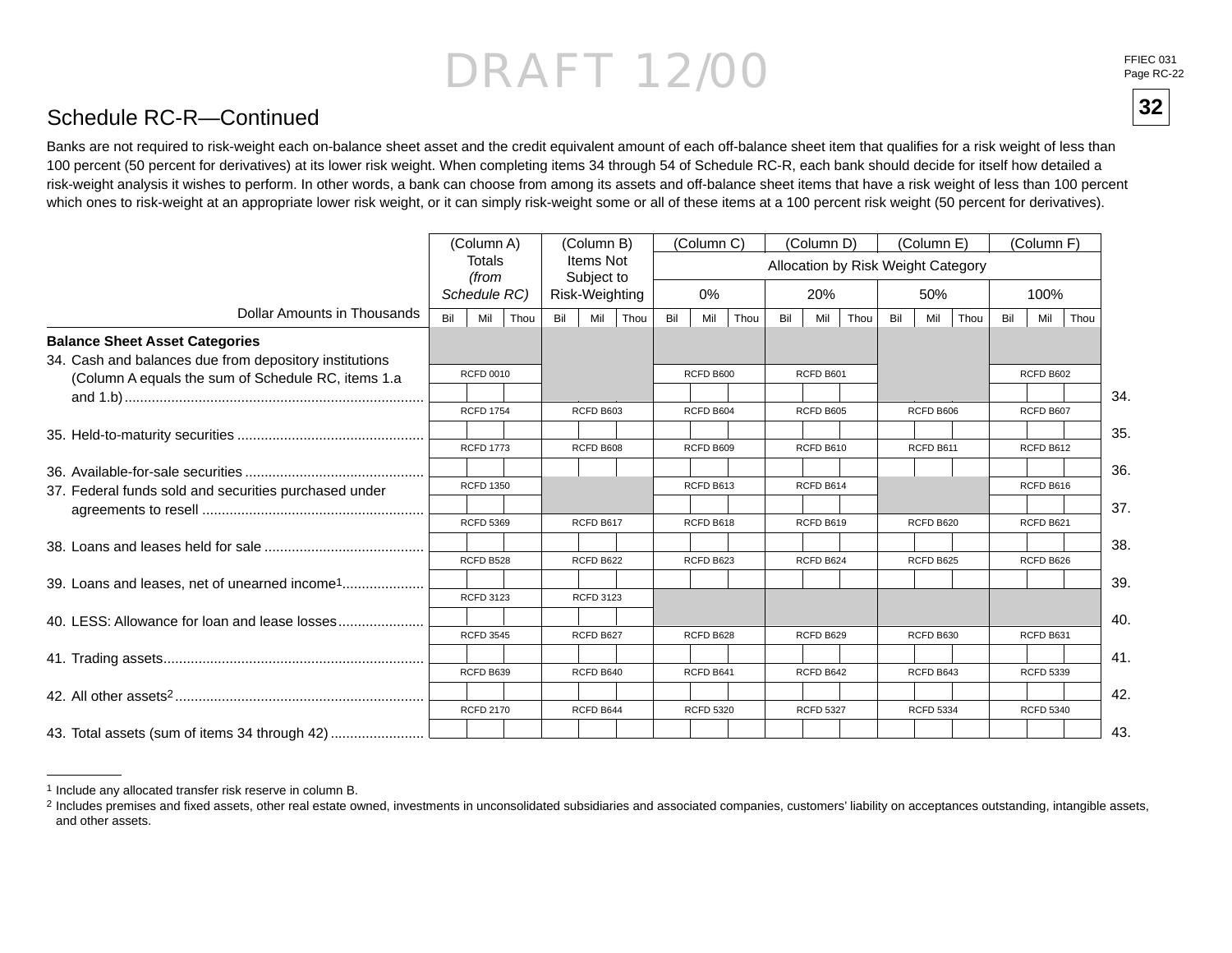FFIEC 031<br>Page RC-22

**32**

#### Schedule RC-R—Continued

Banks are not required to risk-weight each on-balance sheet asset and the credit equivalent amount of each off-balance sheet item that qualifies for a risk weight of less than 100 percent (50 percent for derivatives) at its lower risk weight. When completing items 34 through 54 of Schedule RC-R, each bank should decide for itself how detailed a risk-weight analysis it wishes to perform. In other words, a bank can choose from among its assets and off-balance sheet items that have a risk weight of less than 100 percent which ones to risk-weight at an appropriate lower risk weight, or it can simply risk-weight some or all of these items at a 100 percent risk weight (50 percent for derivatives).

|                                                           |     | (Column A)       |     | (Column B)              |      |     | (Column C)       |      |     | (Column D)       |      |     | (Column E)       |                                    |     | (Column F)       |      |
|-----------------------------------------------------------|-----|------------------|-----|-------------------------|------|-----|------------------|------|-----|------------------|------|-----|------------------|------------------------------------|-----|------------------|------|
|                                                           |     | Totals<br>(from  |     | Items Not<br>Subject to |      |     |                  |      |     |                  |      |     |                  | Allocation by Risk Weight Category |     |                  |      |
|                                                           |     | Schedule RC)     |     | Risk-Weighting          |      |     | 0%               |      |     | 20%              |      |     | 50%              |                                    |     | 100%             |      |
| Dollar Amounts in Thousands                               | Bil | Mil<br>Thou      | Bil | Mil                     | Thou | Bil | Mil              | Thou | Bil | Mil              | Thou | Bil | Mil              | Thou                               | Bil | Mil              | Thou |
| <b>Balance Sheet Asset Categories</b>                     |     |                  |     |                         |      |     |                  |      |     |                  |      |     |                  |                                    |     |                  |      |
| 34. Cash and balances due from depository institutions    |     |                  |     |                         |      |     |                  |      |     |                  |      |     |                  |                                    |     |                  |      |
| (Column A equals the sum of Schedule RC, items 1.a        |     | <b>RCFD 0010</b> |     |                         |      |     | RCFD B600        |      |     | RCFD B601        |      |     |                  |                                    |     | <b>RCFD B602</b> |      |
|                                                           |     |                  |     |                         |      |     |                  |      |     |                  |      |     |                  |                                    |     |                  | 34.  |
|                                                           |     | <b>RCFD 1754</b> |     | <b>RCFD B603</b>        |      |     | RCFD B604        |      |     | RCFD B605        |      |     | RCFD B606        |                                    |     | RCFD B607        |      |
|                                                           |     |                  |     |                         |      |     |                  |      |     |                  |      |     |                  |                                    |     |                  | 35.  |
|                                                           |     | <b>RCFD 1773</b> |     | RCFD B608               |      |     | RCFD B609        |      |     | RCFD B610        |      |     | RCFD B611        |                                    |     | RCFD B612        |      |
|                                                           |     |                  |     |                         |      |     |                  |      |     |                  |      |     |                  |                                    |     |                  | 36.  |
| 37. Federal funds sold and securities purchased under     |     | <b>RCFD 1350</b> |     |                         |      |     | RCFD B613        |      |     | RCFD B614        |      |     |                  |                                    |     | RCFD B616        |      |
|                                                           |     |                  |     |                         |      |     |                  |      |     |                  |      |     |                  |                                    |     |                  | 37.  |
|                                                           |     | <b>RCFD 5369</b> |     | RCFD B617               |      |     | RCFD B618        |      |     | RCFD B619        |      |     | RCFD B620        |                                    |     | RCFD B621        |      |
|                                                           |     |                  |     |                         |      |     |                  |      |     |                  |      |     |                  |                                    |     |                  | 38.  |
|                                                           |     | RCFD B528        |     | RCFD B622               |      |     | RCFD B623        |      |     | RCFD B624        |      |     | RCFD B625        |                                    |     | RCFD B626        |      |
| 39. Loans and leases, net of unearned income <sup>1</sup> |     |                  |     |                         |      |     |                  |      |     |                  |      |     |                  |                                    |     |                  | 39.  |
|                                                           |     | <b>RCFD 3123</b> |     | <b>RCFD 3123</b>        |      |     |                  |      |     |                  |      |     |                  |                                    |     |                  |      |
| 40. LESS: Allowance for loan and lease losses             |     |                  |     |                         |      |     |                  |      |     |                  |      |     |                  |                                    |     |                  | 40.  |
|                                                           |     | <b>RCFD 3545</b> |     | RCFD B627               |      |     | RCFD B628        |      |     | RCFD B629        |      |     | RCFD B630        |                                    |     | RCFD B631        |      |
|                                                           |     |                  |     |                         |      |     |                  |      |     |                  |      |     |                  |                                    |     |                  | 41.  |
|                                                           |     | RCFD B639        |     | RCFD B640               |      |     | RCFD B641        |      |     | RCFD B642        |      |     | RCFD B643        |                                    |     | <b>RCFD 5339</b> |      |
|                                                           |     |                  |     |                         |      |     |                  |      |     |                  |      |     |                  |                                    |     |                  | 42.  |
|                                                           |     | <b>RCFD 2170</b> |     | RCFD B644               |      |     | <b>RCFD 5320</b> |      |     | <b>RCFD 5327</b> |      |     | <b>RCFD 5334</b> |                                    |     | <b>RCFD 5340</b> |      |
| 43. Total assets (sum of items 34 through 42)             |     |                  |     |                         |      |     |                  |      |     |                  |      |     |                  |                                    |     |                  | 43.  |

<sup>1</sup> Include any allocated transfer risk reserve in column B.

<sup>&</sup>lt;sup>2</sup> Includes premises and fixed assets, other real estate owned, investments in unconsolidated subsidiaries and associated companies, customers' liability on acceptances outstanding, intangible assets, and other assets.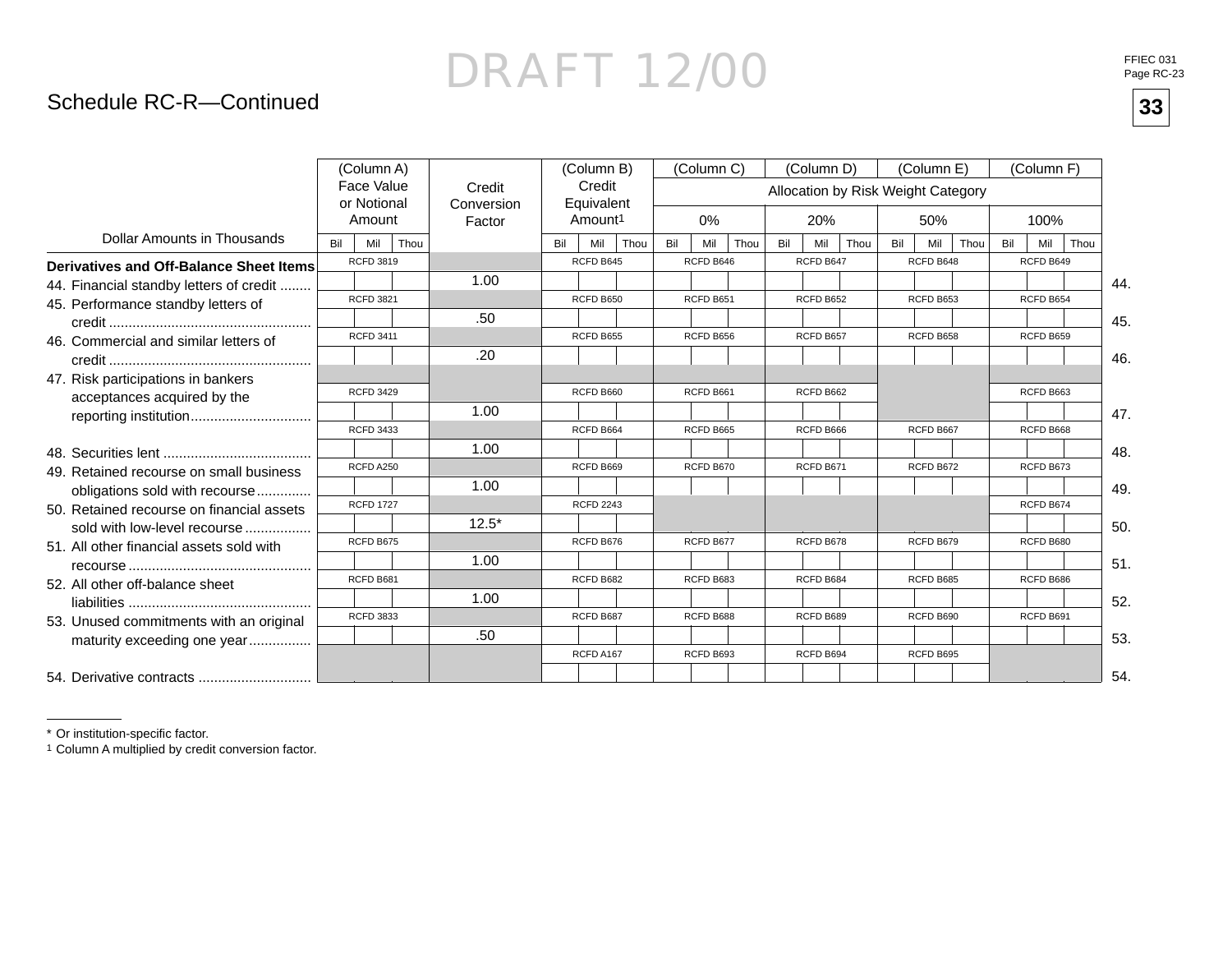### DRAFT 12/00**33**

#### Schedule RC-R—Continued

|                                           |     | (Column A)                          |      |                                |     | (Column B)                                  |      |     | (Column C) |      |     | (Column D) |      |                                    | (Column E) |      |     | (Column F) |      |
|-------------------------------------------|-----|-------------------------------------|------|--------------------------------|-----|---------------------------------------------|------|-----|------------|------|-----|------------|------|------------------------------------|------------|------|-----|------------|------|
|                                           |     | Face Value<br>or Notional<br>Amount |      | Credit<br>Conversion<br>Factor |     | Credit<br>Equivalent<br>Amount <sup>1</sup> |      |     | $0\%$      |      |     | 20%        |      | Allocation by Risk Weight Category | 50%        |      |     | 100%       |      |
| Dollar Amounts in Thousands               | Bil | Mil                                 | Thou |                                | Bil | Mil                                         | Thou | Bil | Mil        | Thou | Bil | Mil        | Thou | Bil                                | Mil        | Thou | Bil | Mil        | Thou |
| Derivatives and Off-Balance Sheet Items   |     | <b>RCFD 3819</b>                    |      |                                |     | RCFD B645                                   |      |     | RCFD B646  |      |     | RCFD B647  |      |                                    | RCFD B648  |      |     | RCFD B649  |      |
| 44. Financial standby letters of credit   |     |                                     |      | 1.00                           |     |                                             |      |     |            |      |     |            |      |                                    |            |      |     |            | 44.  |
| 45. Performance standby letters of        |     | <b>RCFD 3821</b>                    |      |                                |     | RCFD B650                                   |      |     | RCFD B651  |      |     | RCFD B652  |      |                                    | RCFD B653  |      |     | RCFD B654  |      |
|                                           |     |                                     |      | .50                            |     |                                             |      |     |            |      |     |            |      |                                    |            |      |     |            | 45.  |
| 46. Commercial and similar letters of     |     | <b>RCFD 3411</b>                    |      |                                |     | RCFD B655                                   |      |     | RCFD B656  |      |     | RCFD B657  |      |                                    | RCFD B658  |      |     | RCFD B659  |      |
|                                           |     |                                     |      | .20                            |     |                                             |      |     |            |      |     |            |      |                                    |            |      |     |            | 46.  |
| 47. Risk participations in bankers        |     | <b>RCFD 3429</b>                    |      |                                |     | RCFD B660                                   |      |     | RCFD B661  |      |     | RCFD B662  |      |                                    |            |      |     | RCFD B663  |      |
| acceptances acquired by the               |     |                                     |      |                                |     |                                             |      |     |            |      |     |            |      |                                    |            |      |     |            |      |
| reporting institution                     |     | <b>RCFD 3433</b>                    |      | 1.00                           |     | RCFD B664                                   |      |     | RCFD B665  |      |     | RCFD B666  |      |                                    | RCFD B667  |      |     | RCFD B668  | 47.  |
|                                           |     |                                     |      |                                |     |                                             |      |     |            |      |     |            |      |                                    |            |      |     |            |      |
|                                           |     | RCFD A250                           |      | 1.00                           |     | RCFD B669                                   |      |     | RCFD B670  |      |     |            |      |                                    | RCFD B672  |      |     | RCFD B673  | 48.  |
| 49. Retained recourse on small business   |     |                                     |      |                                |     |                                             |      |     |            |      |     | RCFD B671  |      |                                    |            |      |     |            |      |
| obligations sold with recourse            |     | <b>RCFD 1727</b>                    |      | 1.00                           |     |                                             |      |     |            |      |     |            |      |                                    |            |      |     |            | 49.  |
| 50. Retained recourse on financial assets |     |                                     |      |                                |     | <b>RCFD 2243</b>                            |      |     |            |      |     |            |      |                                    |            |      |     | RCFD B674  |      |
| sold with low-level recourse              |     |                                     |      | $12.5*$                        |     |                                             |      |     |            |      |     |            |      |                                    |            |      |     |            | 50.  |
| 51. All other financial assets sold with  |     | RCFD B675                           |      |                                |     | RCFD B676                                   |      |     | RCFD B677  |      |     | RCFD B678  |      |                                    | RCFD B679  |      |     | RCFD B680  |      |
|                                           |     |                                     |      | 1.00                           |     |                                             |      |     |            |      |     |            |      |                                    |            |      |     |            | 51.  |
| 52. All other off-balance sheet           |     | RCFD B681                           |      |                                |     | RCFD B682                                   |      |     | RCFD B683  |      |     | RCFD B684  |      |                                    | RCFD B685  |      |     | RCFD B686  |      |
|                                           |     |                                     |      | 1.00                           |     |                                             |      |     |            |      |     |            |      |                                    |            |      |     |            | 52.  |
| 53. Unused commitments with an original   |     | <b>RCFD 3833</b>                    |      |                                |     | RCFD B687                                   |      |     | RCFD B688  |      |     | RCFD B689  |      |                                    | RCFD B690  |      |     | RCFD B691  |      |
| maturity exceeding one year               |     |                                     |      | .50                            |     |                                             |      |     |            |      |     |            |      |                                    |            |      |     |            | 53.  |
|                                           |     |                                     |      |                                |     | RCFD A167                                   |      |     | RCFD B693  |      |     | RCFD B694  |      |                                    | RCFD B695  |      |     |            |      |
|                                           |     |                                     |      |                                |     |                                             |      |     |            |      |     |            |      |                                    |            |      |     |            | 54.  |

\* Or institution-specific factor.

1 Column A multiplied by credit conversion factor.

FFIEC 031<br>Page RC-23

33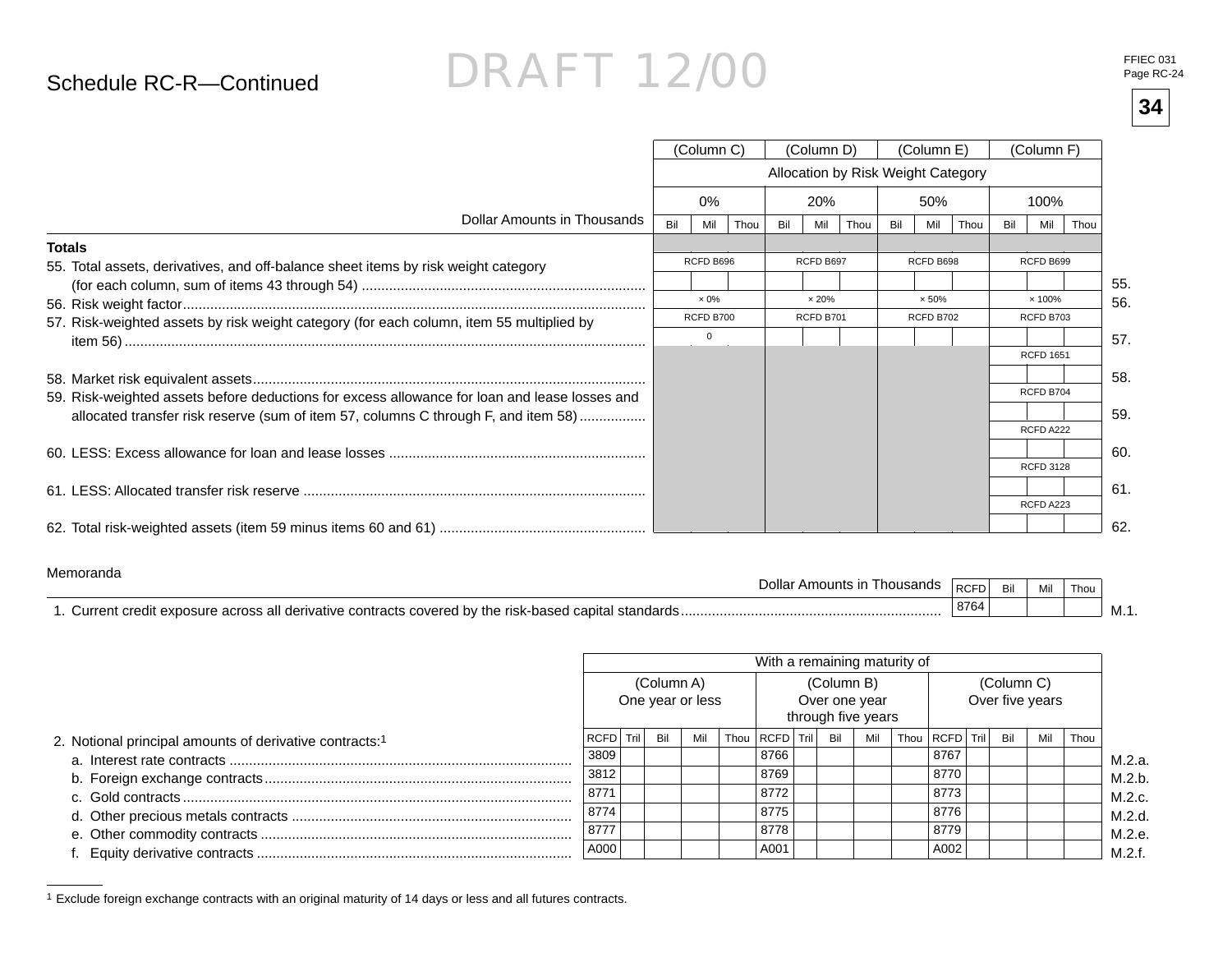#### Schedule RC-R—Continued

## DRAFT 12/00

**34**

|                                                                                               |     | (Column C)       |      |     | (Column D)    |      |     | (Column E)                         |      |     | (Column F)       |      |     |
|-----------------------------------------------------------------------------------------------|-----|------------------|------|-----|---------------|------|-----|------------------------------------|------|-----|------------------|------|-----|
|                                                                                               |     |                  |      |     |               |      |     | Allocation by Risk Weight Category |      |     |                  |      |     |
|                                                                                               |     | $0\%$            |      |     | 20%           |      |     | 50%                                |      |     | 100%             |      |     |
| Dollar Amounts in Thousands                                                                   | Bil | Mil              | Thou | Bil | Mil           | Thou | Bil | Mil                                | Thou | Bil | Mil              | Thou |     |
| <b>Totals</b>                                                                                 |     |                  |      |     |               |      |     |                                    |      |     |                  |      |     |
| 55. Total assets, derivatives, and off-balance sheet items by risk weight category            |     | RCFD B696        |      |     | RCFD B697     |      |     | RCFD B698                          |      |     | RCFD B699        |      |     |
|                                                                                               |     |                  |      |     |               |      |     |                                    |      |     |                  |      | 55. |
|                                                                                               |     | $\times 0\%$     |      |     | $\times 20\%$ |      |     | $\times 50\%$                      |      |     | × 100%           |      | 56. |
| 57. Risk-weighted assets by risk weight category (for each column, item 55 multiplied by      |     | <b>RCFD B700</b> |      |     | RCFD B701     |      |     | RCFD B702                          |      |     | RCFD B703        |      |     |
|                                                                                               |     | $\mathbf 0$      |      |     |               |      |     |                                    |      |     |                  |      | 57. |
|                                                                                               |     |                  |      |     |               |      |     |                                    |      |     | <b>RCFD 1651</b> |      |     |
|                                                                                               |     |                  |      |     |               |      |     |                                    |      |     |                  |      | 58. |
| 59. Risk-weighted assets before deductions for excess allowance for loan and lease losses and |     |                  |      |     |               |      |     |                                    |      |     | RCFD B704        |      |     |
| allocated transfer risk reserve (sum of item 57, columns C through F, and item 58)            |     |                  |      |     |               |      |     |                                    |      |     |                  |      | 59. |
|                                                                                               |     |                  |      |     |               |      |     |                                    |      |     | RCFD A222        |      |     |
|                                                                                               |     |                  |      |     |               |      |     |                                    |      |     |                  |      | 60. |
|                                                                                               |     |                  |      |     |               |      |     |                                    |      |     | <b>RCFD 3128</b> |      |     |
|                                                                                               |     |                  |      |     |               |      |     |                                    |      |     |                  |      | 61. |
|                                                                                               |     |                  |      |     |               |      |     |                                    |      |     | RCFD A223        |      |     |
|                                                                                               |     |                  |      |     |               |      |     |                                    |      |     |                  |      | 62. |

#### Memoranda

| <u>IVICIIIUI ALIUA</u><br>Jollar<br>ousands<br>Amou                                                                                            | $'$ DOED.<br>ישי  | Bil | Mil | Thou |        |
|------------------------------------------------------------------------------------------------------------------------------------------------|-------------------|-----|-----|------|--------|
| l capital<br>' standards '<br>the risk-based/<br>∖urrent∶<br>all o<br>. covered<br>derivative contracts<br>r exposure.<br>∍ר∩י<br>uredit.<br>. | <sup>'</sup> 8764 |     |     |      | - M. . |

|                                                                     |           |            |                  | With a remaining maturity of |            |                                     |                |            |                 |      |
|---------------------------------------------------------------------|-----------|------------|------------------|------------------------------|------------|-------------------------------------|----------------|------------|-----------------|------|
|                                                                     |           | (Column A) | One year or less |                              | (Column B) | Over one year<br>through five years |                | (Column C) | Over five years |      |
| 2. Notional principal amounts of derivative contracts: <sup>1</sup> | RCFD Tril | Bil        | Mil              | Thou   RCFD   Tril           | Bil        | Mil                                 | Thou RCFD Tril | Bil        | Mil             | Thou |
|                                                                     | 3809      |            |                  | 8766                         |            |                                     | 8767           |            |                 |      |
|                                                                     | 3812      |            |                  | 8769                         |            |                                     | 8770           |            |                 |      |
|                                                                     | 8771      |            |                  | 8772                         |            |                                     | 8773           |            |                 |      |
|                                                                     | 8774      |            |                  | 8775                         |            |                                     | 8776           |            |                 |      |
|                                                                     | 8777      |            |                  | 8778                         |            |                                     | 8779           |            |                 |      |
|                                                                     | A000      |            |                  | A001                         |            |                                     | A002           |            |                 |      |

1 Exclude foreign exchange contracts with an original maturity of 14 days or less and all futures contracts.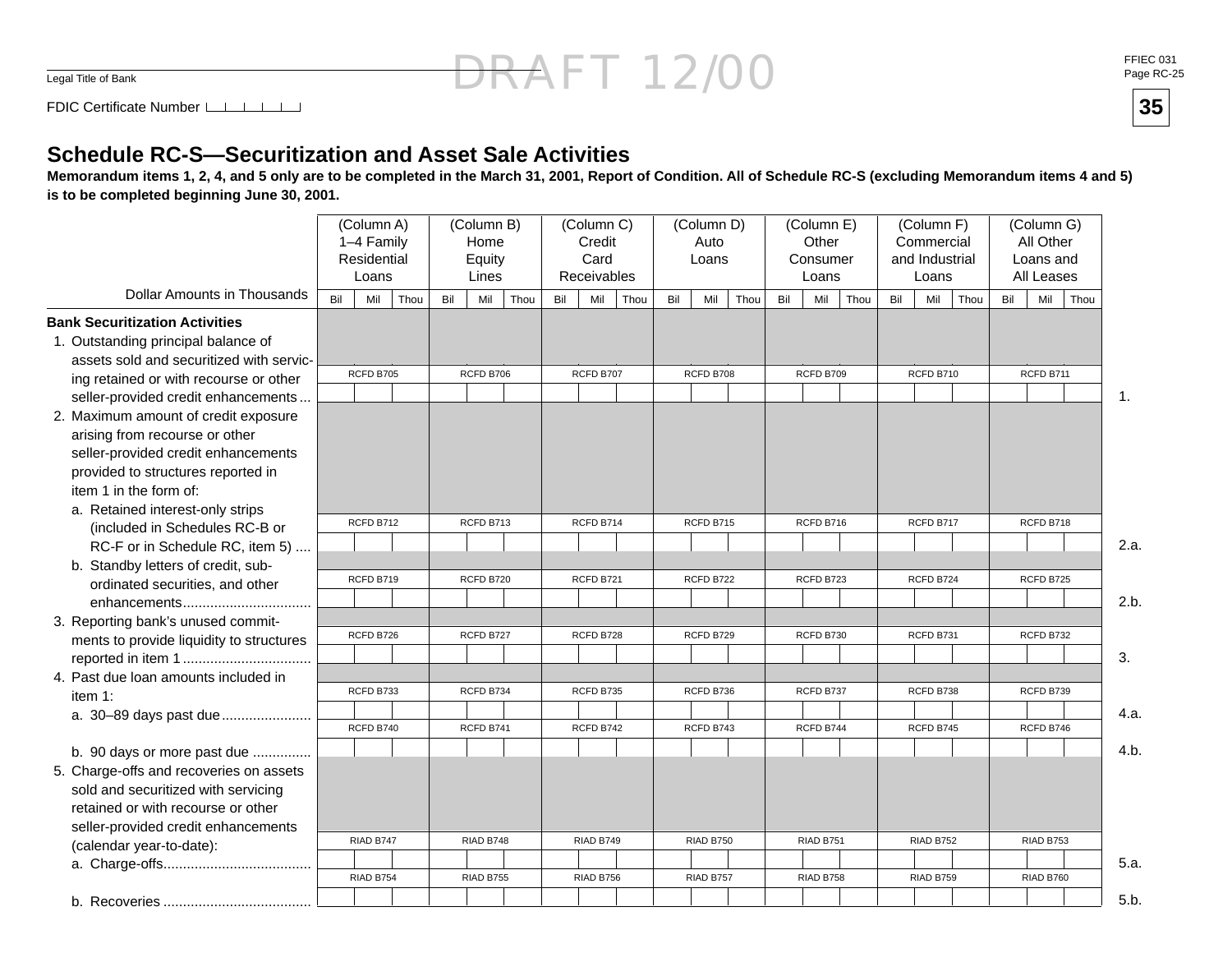Legal Title of Bank

**35**

FDIC Certificate Number

#### **Schedule RC-S—Securitization and Asset Sale Activities**

 **Memorandum items 1, 2, 4, and 5 only are to be completed in the March 31, 2001, Report of Condition. All of Schedule RC-S (excluding Memorandum items 4 and 5) is to be completed beginning June 30, 2001.**

|                                                              |     | (Column A)<br>1-4 Family<br>Residential<br>Loans |      |     | (Column B)<br>Home<br>Equity<br>Lines |     | (Column C)<br>Credit<br>Card<br>Receivables |      |     | (Column D)<br>Auto<br>Loans |      |     | (Column E)<br>Other<br>Consumer<br>Loans |      |     | (Column F)<br>Commercial<br>and Industrial<br>Loans |      |     | (Column G)<br>All Other<br>Loans and<br>All Leases |      |      |
|--------------------------------------------------------------|-----|--------------------------------------------------|------|-----|---------------------------------------|-----|---------------------------------------------|------|-----|-----------------------------|------|-----|------------------------------------------|------|-----|-----------------------------------------------------|------|-----|----------------------------------------------------|------|------|
| Dollar Amounts in Thousands                                  | Bil | Mil                                              | Thou | Bil | Mil<br>Thou                           | Bil | Mil                                         | Thou | Bil | Mil                         | Thou | Bil | Mil                                      | Thou | Bil | Mil                                                 | Thou | Bil | Mil                                                | Thou |      |
| <b>Bank Securitization Activities</b>                        |     |                                                  |      |     |                                       |     |                                             |      |     |                             |      |     |                                          |      |     |                                                     |      |     |                                                    |      |      |
| 1. Outstanding principal balance of                          |     |                                                  |      |     |                                       |     |                                             |      |     |                             |      |     |                                          |      |     |                                                     |      |     |                                                    |      |      |
| assets sold and securitized with servic-                     |     | RCFD B705                                        |      |     | RCFD B706                             |     | RCFD B707                                   |      |     | RCFD B708                   |      |     | RCFD B709                                |      |     | RCFD B710                                           |      |     | RCFD B711                                          |      |      |
| ing retained or with recourse or other                       |     |                                                  |      |     |                                       |     |                                             |      |     |                             |      |     |                                          |      |     |                                                     |      |     |                                                    |      |      |
| seller-provided credit enhancements                          |     |                                                  |      |     |                                       |     |                                             |      |     |                             |      |     |                                          |      |     |                                                     |      |     |                                                    |      | 1.   |
| 2. Maximum amount of credit exposure                         |     |                                                  |      |     |                                       |     |                                             |      |     |                             |      |     |                                          |      |     |                                                     |      |     |                                                    |      |      |
| arising from recourse or other                               |     |                                                  |      |     |                                       |     |                                             |      |     |                             |      |     |                                          |      |     |                                                     |      |     |                                                    |      |      |
| seller-provided credit enhancements                          |     |                                                  |      |     |                                       |     |                                             |      |     |                             |      |     |                                          |      |     |                                                     |      |     |                                                    |      |      |
| provided to structures reported in<br>item 1 in the form of: |     |                                                  |      |     |                                       |     |                                             |      |     |                             |      |     |                                          |      |     |                                                     |      |     |                                                    |      |      |
| a. Retained interest-only strips                             |     |                                                  |      |     |                                       |     |                                             |      |     |                             |      |     |                                          |      |     |                                                     |      |     |                                                    |      |      |
| (included in Schedules RC-B or                               |     | RCFD B712                                        |      |     | RCFD B713                             |     | RCFD B714                                   |      |     | RCFD B715                   |      |     | RCFD B716                                |      |     | RCFD B717                                           |      |     | RCFD B718                                          |      |      |
| RC-F or in Schedule RC, item 5)                              |     |                                                  |      |     |                                       |     |                                             |      |     |                             |      |     |                                          |      |     |                                                     |      |     |                                                    |      | 2.a. |
| b. Standby letters of credit, sub-                           |     |                                                  |      |     |                                       |     |                                             |      |     |                             |      |     |                                          |      |     |                                                     |      |     |                                                    |      |      |
| ordinated securities, and other                              |     | RCFD B719                                        |      |     | RCFD B720                             |     | RCFD B721                                   |      |     | RCFD B722                   |      |     | RCFD B723                                |      |     | RCFD B724                                           |      |     | RCFD B725                                          |      |      |
|                                                              |     |                                                  |      |     |                                       |     |                                             |      |     |                             |      |     |                                          |      |     |                                                     |      |     |                                                    |      | 2.b. |
| 3. Reporting bank's unused commit-                           |     |                                                  |      |     |                                       |     |                                             |      |     |                             |      |     |                                          |      |     |                                                     |      |     |                                                    |      |      |
| ments to provide liquidity to structures                     |     | RCFD B726                                        |      |     | RCFD B727                             |     | RCFD B728                                   |      |     | RCFD B729                   |      |     | RCFD B730                                |      |     | RCFD B731                                           |      |     | RCFD B732                                          |      |      |
|                                                              |     |                                                  |      |     |                                       |     |                                             |      |     |                             |      |     |                                          |      |     |                                                     |      |     |                                                    |      | 3.   |
| 4. Past due loan amounts included in                         |     |                                                  |      |     |                                       |     |                                             |      |     |                             |      |     |                                          |      |     |                                                     |      |     |                                                    |      |      |
| item 1:                                                      |     | RCFD B733                                        |      |     | RCFD B734                             |     | RCFD B735                                   |      |     | RCFD B736                   |      |     | RCFD B737                                |      |     | RCFD B738                                           |      |     | RCFD B739                                          |      |      |
| a. 30-89 days past due                                       |     |                                                  |      |     |                                       |     |                                             |      |     |                             |      |     |                                          |      |     |                                                     |      |     |                                                    |      | 4.a. |
|                                                              |     | RCFD B740                                        |      |     | RCFD B741                             |     | RCFD B742                                   |      |     | RCFD B743                   |      |     | RCFD B744                                |      |     | RCFD B745                                           |      |     | RCFD B746                                          |      |      |
| b. 90 days or more past due                                  |     |                                                  |      |     |                                       |     |                                             |      |     |                             |      |     |                                          |      |     |                                                     |      |     |                                                    |      | 4.b. |
| 5. Charge-offs and recoveries on assets                      |     |                                                  |      |     |                                       |     |                                             |      |     |                             |      |     |                                          |      |     |                                                     |      |     |                                                    |      |      |
| sold and securitized with servicing                          |     |                                                  |      |     |                                       |     |                                             |      |     |                             |      |     |                                          |      |     |                                                     |      |     |                                                    |      |      |
| retained or with recourse or other                           |     |                                                  |      |     |                                       |     |                                             |      |     |                             |      |     |                                          |      |     |                                                     |      |     |                                                    |      |      |
| seller-provided credit enhancements                          |     | RIAD B747                                        |      |     | RIAD B748                             |     | RIAD B749                                   |      |     | RIAD B750                   |      |     | RIAD B751                                |      |     | RIAD B752                                           |      |     | RIAD B753                                          |      |      |
| (calendar year-to-date):                                     |     |                                                  |      |     |                                       |     |                                             |      |     |                             |      |     |                                          |      |     |                                                     |      |     |                                                    |      |      |
|                                                              |     | RIAD B754                                        |      |     | RIAD B755                             |     | RIAD B756                                   |      |     | RIAD B757                   |      |     | RIAD B758                                |      |     | RIAD B759                                           |      |     | RIAD B760                                          |      | 5.a. |
|                                                              |     |                                                  |      |     |                                       |     |                                             |      |     |                             |      |     |                                          |      |     |                                                     |      |     |                                                    |      | 5.b. |
|                                                              |     |                                                  |      |     |                                       |     |                                             |      |     |                             |      |     |                                          |      |     |                                                     |      |     |                                                    |      |      |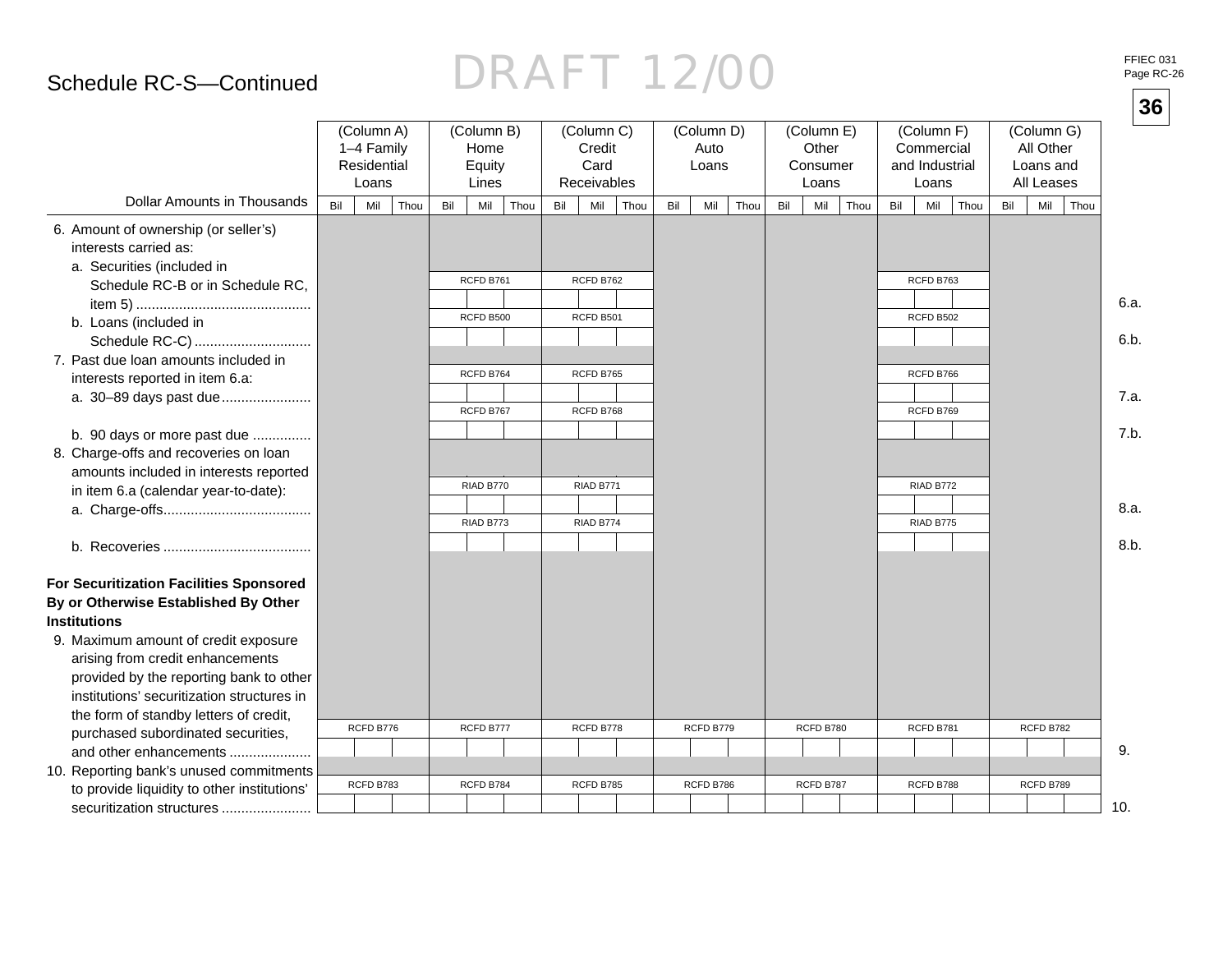#### Schedule RC-S—Continued

# DRAFT 12/00

FFIEC 031 Page RC-26

|                                                                                                                                                                   |     |                                                  |      |                                       |      |     |                                             |     |                             |      |     |                                          |     |                                                     |      |     |                                                    | 36   |
|-------------------------------------------------------------------------------------------------------------------------------------------------------------------|-----|--------------------------------------------------|------|---------------------------------------|------|-----|---------------------------------------------|-----|-----------------------------|------|-----|------------------------------------------|-----|-----------------------------------------------------|------|-----|----------------------------------------------------|------|
|                                                                                                                                                                   |     | (Column A)<br>1-4 Family<br>Residential<br>Loans |      | (Column B)<br>Home<br>Equity<br>Lines |      |     | (Column C)<br>Credit<br>Card<br>Receivables |     | (Column D)<br>Auto<br>Loans |      |     | (Column E)<br>Other<br>Consumer<br>Loans |     | (Column F)<br>Commercial<br>and Industrial<br>Loans |      |     | (Column G)<br>All Other<br>Loans and<br>All Leases |      |
| Dollar Amounts in Thousands                                                                                                                                       | Bil | Mil                                              | Thou | Mil<br>Bil                            | Thou | Bil | Mil<br>Thou                                 | Bil | Mil                         | Thou | Bil | Mil<br>Thou                              | Bil | Mil                                                 | Thou | Bil | Mil<br>Thou                                        |      |
| 6. Amount of ownership (or seller's)<br>interests carried as:<br>a. Securities (included in                                                                       |     |                                                  |      | RCFD B761                             |      |     | RCFD B762                                   |     |                             |      |     |                                          |     | RCFD B763                                           |      |     |                                                    |      |
| Schedule RC-B or in Schedule RC,                                                                                                                                  |     |                                                  |      |                                       |      |     |                                             |     |                             |      |     |                                          |     |                                                     |      |     |                                                    | 6.a. |
| b. Loans (included in<br>Schedule RC-C)                                                                                                                           |     |                                                  |      | RCFD B500                             |      |     | RCFD B501                                   |     |                             |      |     |                                          |     | RCFD B502                                           |      |     |                                                    | 6.b. |
| 7. Past due loan amounts included in<br>interests reported in item 6.a:                                                                                           |     |                                                  |      | RCFD B764                             |      |     | RCFD B765                                   |     |                             |      |     |                                          |     | RCFD B766                                           |      |     |                                                    |      |
| a. 30-89 days past due                                                                                                                                            |     |                                                  |      | RCFD B767                             |      |     | RCFD B768                                   |     |                             |      |     |                                          |     | RCFD B769                                           |      |     |                                                    | 7.a. |
| b. 90 days or more past due<br>8. Charge-offs and recoveries on loan<br>amounts included in interests reported                                                    |     |                                                  |      |                                       |      |     |                                             |     |                             |      |     |                                          |     |                                                     |      |     |                                                    | 7.b. |
| in item 6.a (calendar year-to-date):                                                                                                                              |     |                                                  |      | RIAD B770                             |      |     | RIAD B771                                   |     |                             |      |     |                                          |     | RIAD B772                                           |      |     |                                                    |      |
|                                                                                                                                                                   |     |                                                  |      | RIAD B773                             |      |     | RIAD B774                                   |     |                             |      |     |                                          |     | RIAD B775                                           |      |     |                                                    | 8.a. |
|                                                                                                                                                                   |     |                                                  |      |                                       |      |     |                                             |     |                             |      |     |                                          |     |                                                     |      |     |                                                    | 8.b. |
| For Securitization Facilities Sponsored<br>By or Otherwise Established By Other<br><b>Institutions</b>                                                            |     |                                                  |      |                                       |      |     |                                             |     |                             |      |     |                                          |     |                                                     |      |     |                                                    |      |
| 9. Maximum amount of credit exposure<br>arising from credit enhancements<br>provided by the reporting bank to other<br>institutions' securitization structures in |     |                                                  |      |                                       |      |     |                                             |     |                             |      |     |                                          |     |                                                     |      |     |                                                    |      |
| the form of standby letters of credit,                                                                                                                            |     | RCFD B776                                        |      | RCFD B777                             |      |     | RCFD B778                                   |     | RCFD B779                   |      |     | RCFD B780                                |     | RCFD B781                                           |      |     | RCFD B782                                          |      |
| purchased subordinated securities,<br>and other enhancements                                                                                                      |     |                                                  |      |                                       |      |     |                                             |     |                             |      |     |                                          |     |                                                     |      |     |                                                    | 9.   |
| 10. Reporting bank's unused commitments                                                                                                                           |     |                                                  |      |                                       |      |     |                                             |     |                             |      |     |                                          |     |                                                     |      |     |                                                    |      |
| to provide liquidity to other institutions'                                                                                                                       |     | RCFD B783                                        |      | RCFD B784                             |      |     | RCFD B785                                   |     | RCFD B786                   |      |     | RCFD B787                                |     | RCFD B788                                           |      |     | RCFD B789                                          |      |
| securitization structures                                                                                                                                         |     |                                                  |      |                                       |      |     |                                             |     |                             |      |     |                                          |     |                                                     |      |     |                                                    | 10.  |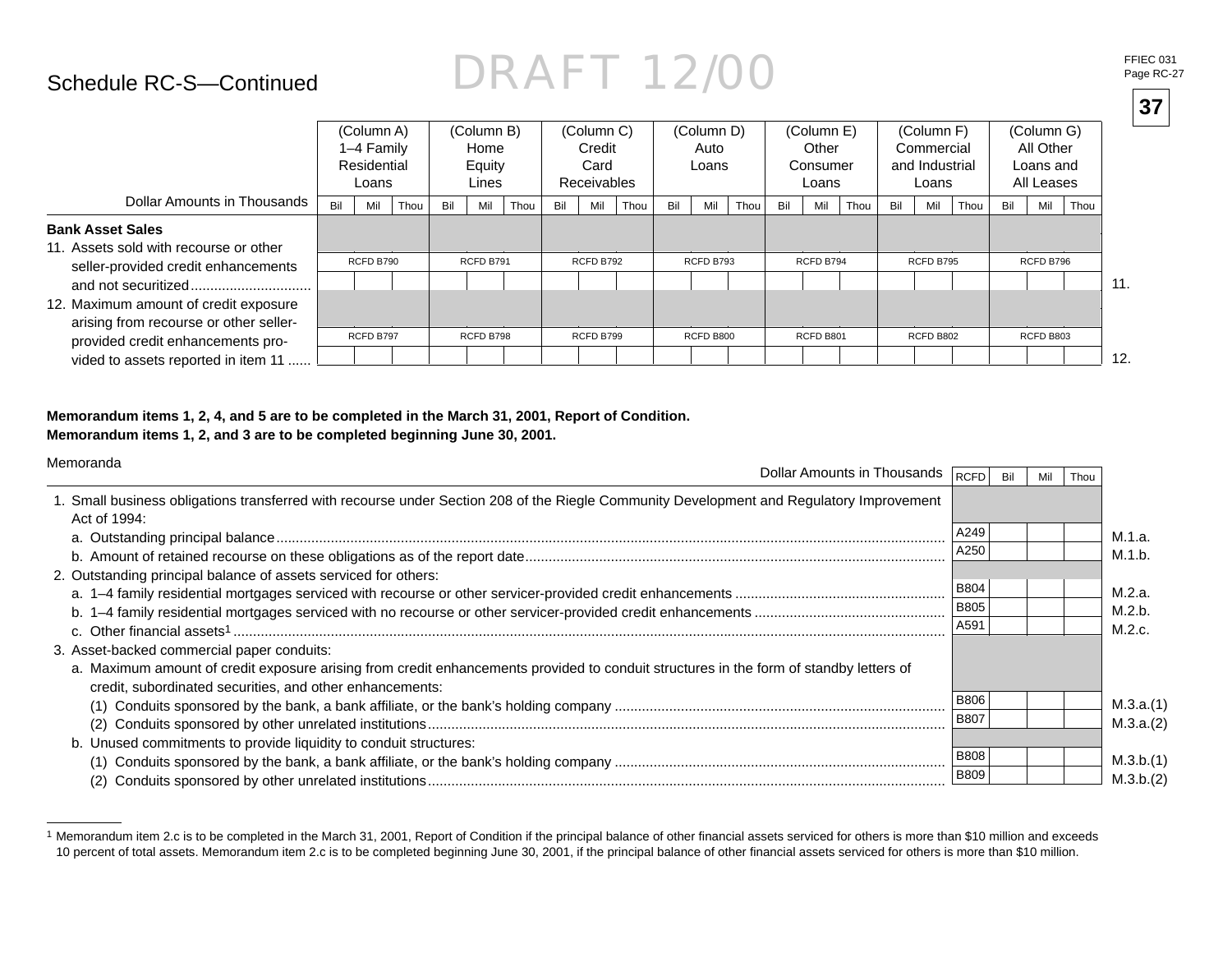#### Schedule RC-S—Continued

|                                                                                                                                                             |     | (Column A)<br>1-4 Family<br>Residential<br>Loans |      |     | (Column B)<br>Home<br>Equity<br>Lines |      |     | (Column C)<br>Credit<br>Card<br><b>Receivables</b> |      |     | (Column D)<br>Auto<br>Loans |      |     | (Column E)<br>Other<br>Consumer<br>Loans |      |     | (Column F)<br>Commercial<br>and Industrial<br>Loans |      |     | (Column G)<br>All Other<br>Loans and<br>All Leases |      |                 |
|-------------------------------------------------------------------------------------------------------------------------------------------------------------|-----|--------------------------------------------------|------|-----|---------------------------------------|------|-----|----------------------------------------------------|------|-----|-----------------------------|------|-----|------------------------------------------|------|-----|-----------------------------------------------------|------|-----|----------------------------------------------------|------|-----------------|
| Dollar Amounts in Thousands                                                                                                                                 | Bil | Mil                                              | Thou | Bil | Mil                                   | Thou | Bil | Mil                                                | Thou | Bil | Mil                         | Thou | Bil | Mil                                      | Thou | Bil | Mil                                                 | Thou | Bil | Mil                                                | Thou |                 |
| <b>Bank Asset Sales</b><br>11. Assets sold with recourse or other<br>seller-provided credit enhancements<br>and not securitized                             |     | RCFD B790                                        |      |     | RCFD B791                             |      |     | RCFD B792                                          |      |     | RCFD B793                   |      |     | RCFD B794                                |      |     | RCFD B795                                           |      |     | RCFD B796                                          |      | 11.             |
| 12. Maximum amount of credit exposure<br>arising from recourse or other seller-<br>provided credit enhancements pro-<br>vided to assets reported in item 11 |     | RCFD B797                                        |      |     | RCFD B798                             |      |     | RCFD B799                                          |      |     | <b>RCFD B800</b>            |      |     | RCFD B801                                |      |     | RCFD B802                                           |      |     | RCFD B803                                          |      | 12 <sub>1</sub> |

#### **Memorandum items 1, 2, 4, and 5 are to be completed in the March 31, 2001, Report of Condition. Memorandum items 1, 2, and 3 are to be completed beginning June 30, 2001.**

| Memoranda<br>Dollar Amounts in Thousands                                                                                                                                                                                                         | RCFD                       | Bil | Mil | Thou |                        |
|--------------------------------------------------------------------------------------------------------------------------------------------------------------------------------------------------------------------------------------------------|----------------------------|-----|-----|------|------------------------|
| 1. Small business obligations transferred with recourse under Section 208 of the Riegle Community Development and Regulatory Improvement<br>Act of 1994:                                                                                         |                            |     |     |      |                        |
|                                                                                                                                                                                                                                                  | A249                       |     |     |      | M.1.a.                 |
|                                                                                                                                                                                                                                                  | A250                       |     |     |      | M.1.b.                 |
| 2. Outstanding principal balance of assets serviced for others:                                                                                                                                                                                  | <b>B804</b>                |     |     |      | M.2.a.                 |
|                                                                                                                                                                                                                                                  | <b>B805</b><br>A591        |     |     |      | M.2.b.<br>M.2.c.       |
| 3. Asset-backed commercial paper conduits:<br>a. Maximum amount of credit exposure arising from credit enhancements provided to conduit structures in the form of standby letters of<br>credit, subordinated securities, and other enhancements: |                            |     |     |      |                        |
|                                                                                                                                                                                                                                                  | <b>B806</b><br><b>B807</b> |     |     |      | M.3.a.(1)<br>M.3.a.(2) |
| b. Unused commitments to provide liquidity to conduit structures:                                                                                                                                                                                | <b>B808</b><br><b>B809</b> |     |     |      | M.3.b.(1)<br>M.3.b.(2) |

<sup>1</sup> Memorandum item 2.c is to be completed in the March 31, 2001, Report of Condition if the principal balance of other financial assets serviced for others is more than \$10 million and exceeds 10 percent of total assets. Memorandum item 2.c is to be completed beginning June 30, 2001, if the principal balance of other fi nancial assets serviced for others is more than \$10 million.

**37**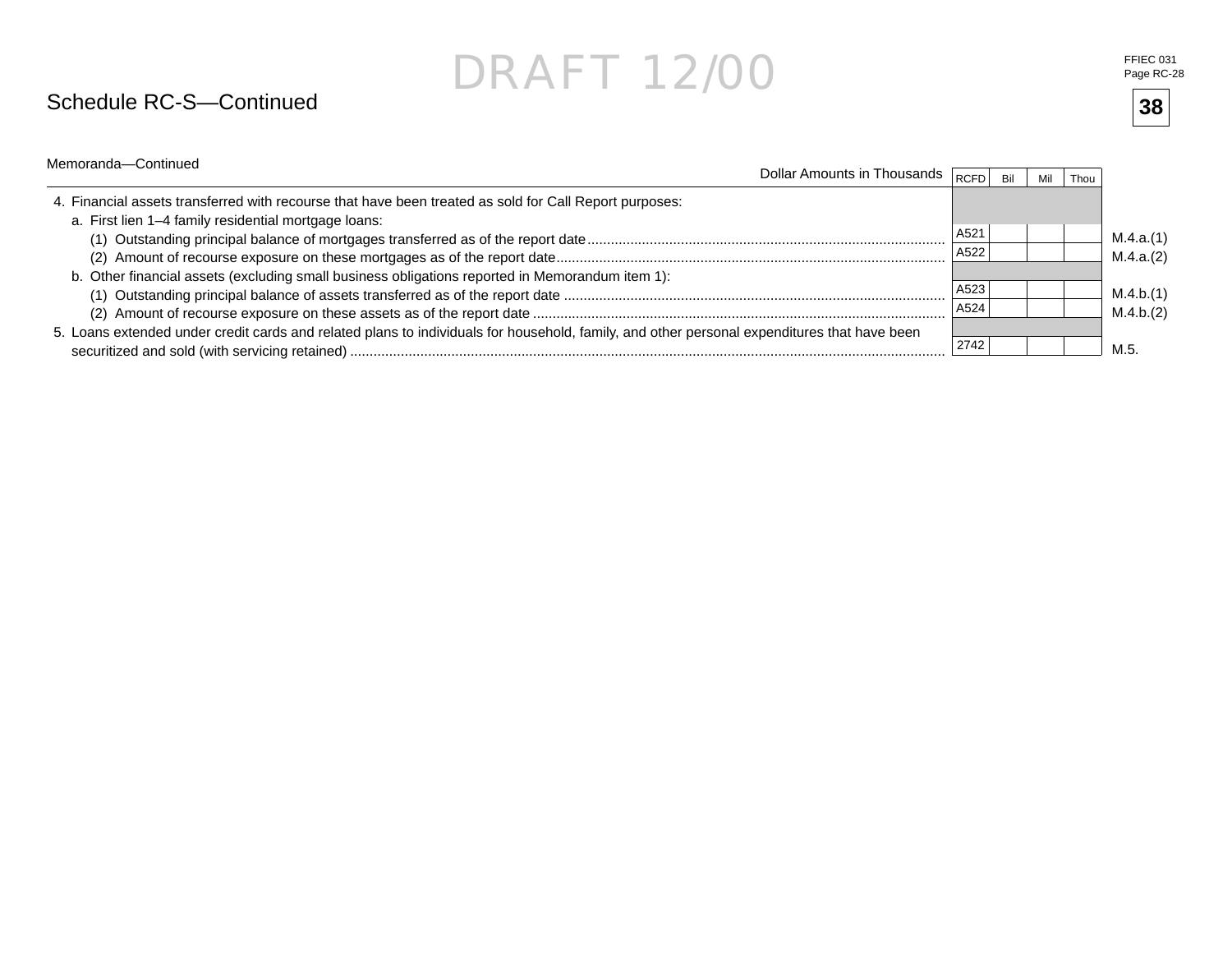#### Schedule RC-S—Continued

**38**

| Memoranda-Continued                                                                                                                                            | Dollar Amounts in Thousands $\sqrt{R}$ <sub>RCFD</sub> |              | Bil | Mil | Thou |                        |
|----------------------------------------------------------------------------------------------------------------------------------------------------------------|--------------------------------------------------------|--------------|-----|-----|------|------------------------|
| 4. Financial assets transferred with recourse that have been treated as sold for Call Report purposes:<br>a. First lien 1-4 family residential mortgage loans: |                                                        |              |     |     |      |                        |
|                                                                                                                                                                |                                                        | A521<br>A522 |     |     |      | M.4.a.(1)              |
| b. Other financial assets (excluding small business obligations reported in Memorandum item 1):                                                                |                                                        |              |     |     |      | M.4.a.(2)              |
|                                                                                                                                                                |                                                        | A523<br>A524 |     |     |      | M.4.b.(1)<br>M.4.b.(2) |
| 5. Loans extended under credit cards and related plans to individuals for household, family, and other personal expenditures that have been                    |                                                        | 2742         |     |     |      | M 5                    |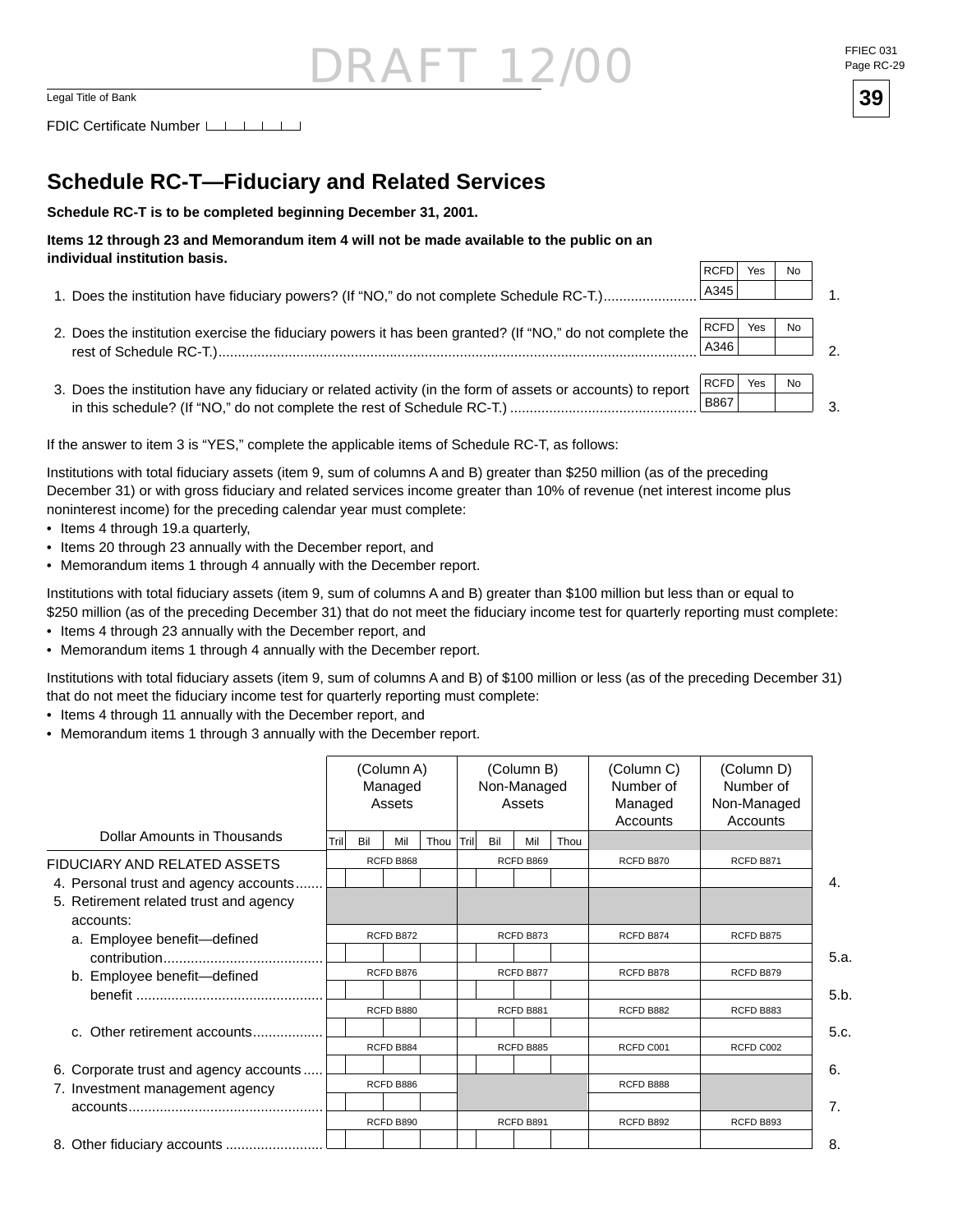### $\overline{\text{DRAFT 12/00}}$ Legal Title of Bank **39**

FDIC Certificate Number [16]

#### **Schedule RC-T—Fiduciary and Related Services**

**Schedule RC-T is to be completed beginning December 31, 2001.**

#### **Items 12 through 23 and Memorandum item 4 will not be made available to the public on an individual institution basis.**

- 1. Does the institution have fiduciary powers? (If "NO," do not complete Schedule RC-T.)...................... A345
- 2. Does the institution exercise the fiduciary powers it has been granted? (If "NO," do not complete the rest of Schedule RC-T.)...........................................................................................................................  $RCFD$  Yes  $|$  No A346
- 3. Does the institution have any fiduciary or related activity (in the form of assets or accounts) to report in this schedule? (If "NO," do not complete the rest of Schedule RC-T.) ................................................ RCFD Yes | No B867

If the answer to item 3 is "YES," complete the applicable items of Schedule RC-T, as follows:

Institutions with total fiduciary assets (item 9, sum of columns A and B) greater than \$250 million (as of the preceding December 31) or with gross fiduciary and related services income greater than 10% of revenue (net interest income plus noninterest income) for the preceding calendar year must complete:

- Items 4 through 19.a quarterly,
- Items 20 through 23 annually with the December report, and
- Memorandum items 1 through 4 annually with the December report.

Institutions with total fiduciary assets (item 9, sum of columns A and B) greater than \$100 million but less than or equal to \$250 million (as of the preceding December 31) that do not meet the fiduciary income test for quarterly reporting must complete:

- Items 4 through 23 annually with the December report, and
- Memorandum items 1 through 4 annually with the December report.

Institutions with total fiduciary assets (item 9, sum of columns A and B) of \$100 million or less (as of the preceding December 31) that do not meet the fiduciary income test for quarterly reporting must complete:

- Items 4 through 11 annually with the December report, and
- Memorandum items 1 through 3 annually with the December report.

|                                                     |           | (Column A)<br>(Column B)<br>Non-Managed<br>Managed<br>Assets<br>Assets |           |      |                   |           |           |      | (Column C)<br>Number of<br>Managed<br>Accounts | (Column D)<br>Number of<br>Non-Managed<br>Accounts |           |  |
|-----------------------------------------------------|-----------|------------------------------------------------------------------------|-----------|------|-------------------|-----------|-----------|------|------------------------------------------------|----------------------------------------------------|-----------|--|
| Dollar Amounts in Thousands                         | Trill     | Bil                                                                    | Mil       | Thou | $ \textsf{Tril} $ | Bil       | Mil       | Thou |                                                |                                                    |           |  |
| FIDUCIARY AND RELATED ASSETS                        |           |                                                                        | RCFD B868 |      |                   |           | RCFD B869 |      | RCFD B870                                      | RCFD B871                                          |           |  |
| 4. Personal trust and agency accounts.              |           |                                                                        |           |      |                   |           |           |      |                                                |                                                    | 4.        |  |
| 5. Retirement related trust and agency<br>accounts: |           |                                                                        |           |      |                   |           |           |      |                                                |                                                    |           |  |
| a. Employee benefit-defined                         | RCFD B872 |                                                                        |           |      |                   |           | RCFD B873 |      | RCFD B874                                      | RCFD B875                                          |           |  |
|                                                     |           |                                                                        |           |      |                   |           |           |      |                                                |                                                    | 5.a.      |  |
| b. Employee benefit-defined                         |           |                                                                        | RCFD B876 |      |                   |           | RCFD B877 |      | RCFD B878                                      | RCFD B879                                          |           |  |
|                                                     |           |                                                                        |           |      |                   |           |           |      |                                                |                                                    | 5.b.      |  |
|                                                     |           |                                                                        | RCFD B880 |      |                   |           | RCFD B881 |      | RCFD B882                                      | RCFD B883                                          |           |  |
| c. Other retirement accounts                        |           |                                                                        |           |      |                   |           |           |      |                                                |                                                    | 5.c.      |  |
|                                                     |           |                                                                        | RCFD B884 |      |                   |           | RCFD B885 |      | RCFD C001                                      | RCFD C002                                          |           |  |
| 6. Corporate trust and agency accounts              |           |                                                                        |           |      |                   |           |           |      |                                                |                                                    | 6.        |  |
| 7. Investment management agency                     |           |                                                                        | RCFD B886 |      |                   |           |           |      | RCFD B888                                      |                                                    |           |  |
|                                                     |           |                                                                        |           |      |                   |           |           |      | 7.                                             |                                                    |           |  |
|                                                     |           |                                                                        | RCFD B890 |      |                   | RCFD B891 |           |      |                                                | RCFD B892                                          | RCFD B893 |  |
|                                                     |           |                                                                        |           |      |                   |           |           |      |                                                |                                                    | 8.        |  |

Page RC-29



1.

2.

3.

 $RCFD$  Yes  $\vert$  No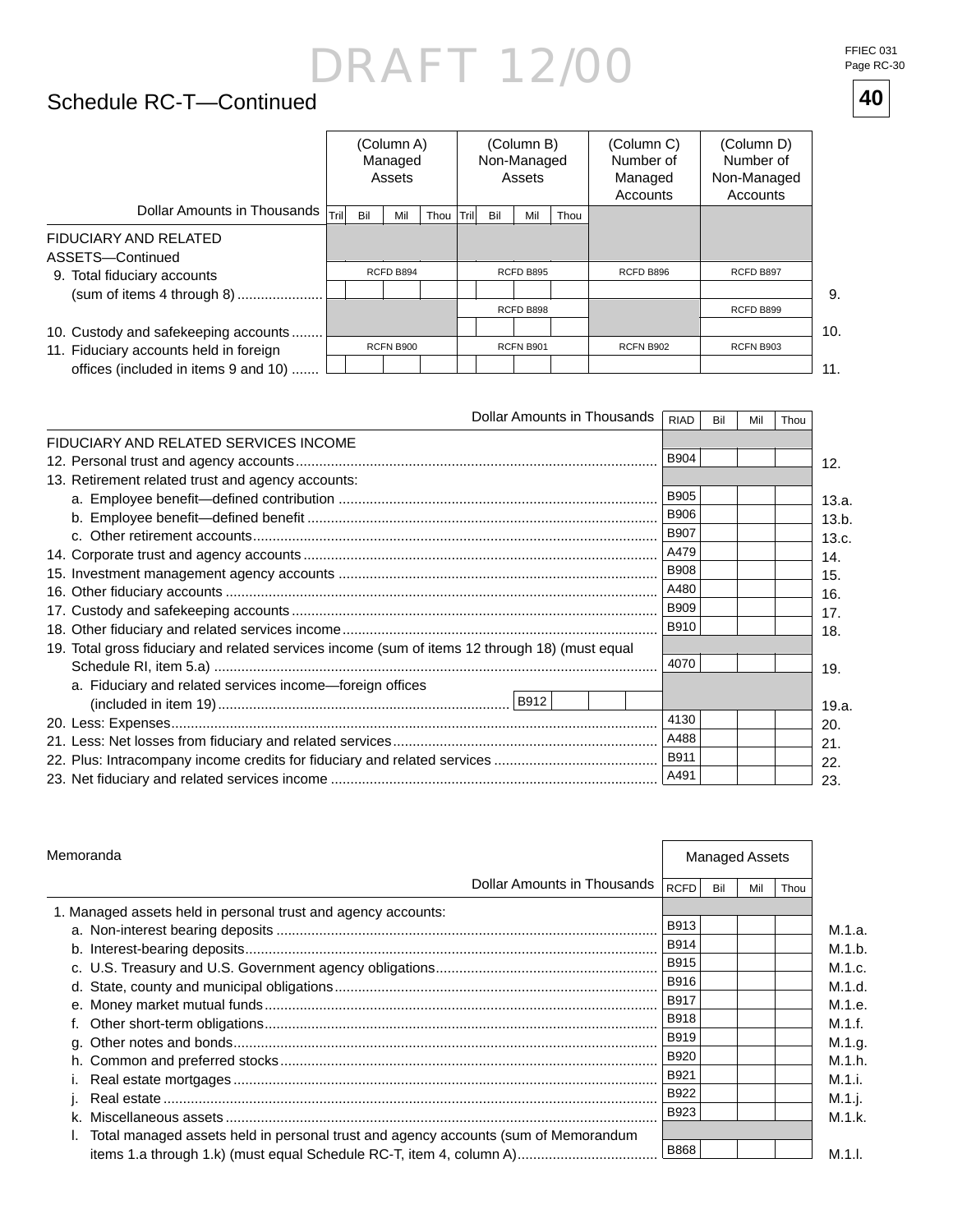### Schedule RC-T—Continued **40**

|                                           | (Column A)<br>Managed<br>Assets |     |           |      |           | (Column B)<br>Non-Managed<br>Assets |           |      | (Column C)<br>Number of<br>Managed<br>Accounts | (Column D)<br>Number of<br>Non-Managed<br>Accounts |     |
|-------------------------------------------|---------------------------------|-----|-----------|------|-----------|-------------------------------------|-----------|------|------------------------------------------------|----------------------------------------------------|-----|
| Dollar Amounts in Thousands               | $ \text{Tril} $                 | Bil | Mil       | Thou | 'Trilı    | Bil                                 | Mil       | Thou |                                                |                                                    |     |
| FIDUCIARY AND RELATED<br>ASSETS-Continued |                                 |     |           |      |           |                                     |           |      |                                                |                                                    |     |
| 9. Total fiduciary accounts               |                                 |     | RCFD B894 |      |           |                                     | RCFD B895 |      | RCFD B896                                      | RCFD B897                                          |     |
| (sum of items 4 through 8)                |                                 |     |           |      |           |                                     |           |      |                                                |                                                    | 9.  |
|                                           |                                 |     |           |      |           |                                     | RCFD B898 |      |                                                | RCFD B899                                          |     |
| 10. Custody and safekeeping accounts      |                                 |     |           |      |           |                                     |           |      |                                                |                                                    | 10. |
| 11. Fiduciary accounts held in foreign    | <b>RCFN B900</b>                |     |           |      | RCFN B901 |                                     |           |      | <b>RCFN B902</b>                               | <b>RCFN B903</b>                                   |     |
| offices (included in items 9 and 10)      |                                 |     |           |      |           |                                     |           |      |                                                |                                                    | 11. |

| Dollar Amounts in Thousands                                                                    | <b>RIAD</b> | Bil | Mil | Thou |       |
|------------------------------------------------------------------------------------------------|-------------|-----|-----|------|-------|
| FIDUCIARY AND RELATED SERVICES INCOME                                                          |             |     |     |      |       |
|                                                                                                | <b>B904</b> |     |     |      | 12.   |
| 13. Retirement related trust and agency accounts:                                              |             |     |     |      |       |
|                                                                                                | <b>B905</b> |     |     |      | 13.a. |
|                                                                                                | <b>B906</b> |     |     |      | 13.b. |
|                                                                                                | <b>B907</b> |     |     |      | 13.c. |
|                                                                                                | A479        |     |     |      | 14.   |
|                                                                                                | <b>B908</b> |     |     |      | 15.   |
|                                                                                                | A480        |     |     |      | 16.   |
|                                                                                                | <b>B909</b> |     |     |      | 17.   |
|                                                                                                | B910        |     |     |      | 18.   |
| 19. Total gross fiduciary and related services income (sum of items 12 through 18) (must equal |             |     |     |      |       |
|                                                                                                | 4070        |     |     |      | 19.   |
| a. Fiduciary and related services income-foreign offices                                       |             |     |     |      | 19.a. |
|                                                                                                | 4130        |     |     |      | 20.   |
|                                                                                                | A488        |     |     |      | 21.   |
|                                                                                                | B911        |     |     |      | 22.   |
|                                                                                                | A491        |     |     |      | 23.   |

| Memoranda                                                                          |  |             | <b>Managed Assets</b> |     |      |  |  |
|------------------------------------------------------------------------------------|--|-------------|-----------------------|-----|------|--|--|
| Dollar Amounts in Thousands                                                        |  | <b>RCFD</b> | Bil                   | Mil | Thou |  |  |
| 1. Managed assets held in personal trust and agency accounts:                      |  |             |                       |     |      |  |  |
|                                                                                    |  | B913        |                       |     |      |  |  |
|                                                                                    |  | B914        |                       |     |      |  |  |
|                                                                                    |  | B915        |                       |     |      |  |  |
|                                                                                    |  | B916        |                       |     |      |  |  |
|                                                                                    |  | <b>B917</b> |                       |     |      |  |  |
|                                                                                    |  | <b>B918</b> |                       |     |      |  |  |
|                                                                                    |  | <b>B919</b> |                       |     |      |  |  |
|                                                                                    |  | <b>B920</b> |                       |     |      |  |  |
|                                                                                    |  | B921        |                       |     |      |  |  |
|                                                                                    |  | B922        |                       |     |      |  |  |
|                                                                                    |  | B923        |                       |     |      |  |  |
| Total managed assets held in personal trust and agency accounts (sum of Memorandum |  |             |                       |     |      |  |  |
|                                                                                    |  | <b>B868</b> |                       |     |      |  |  |

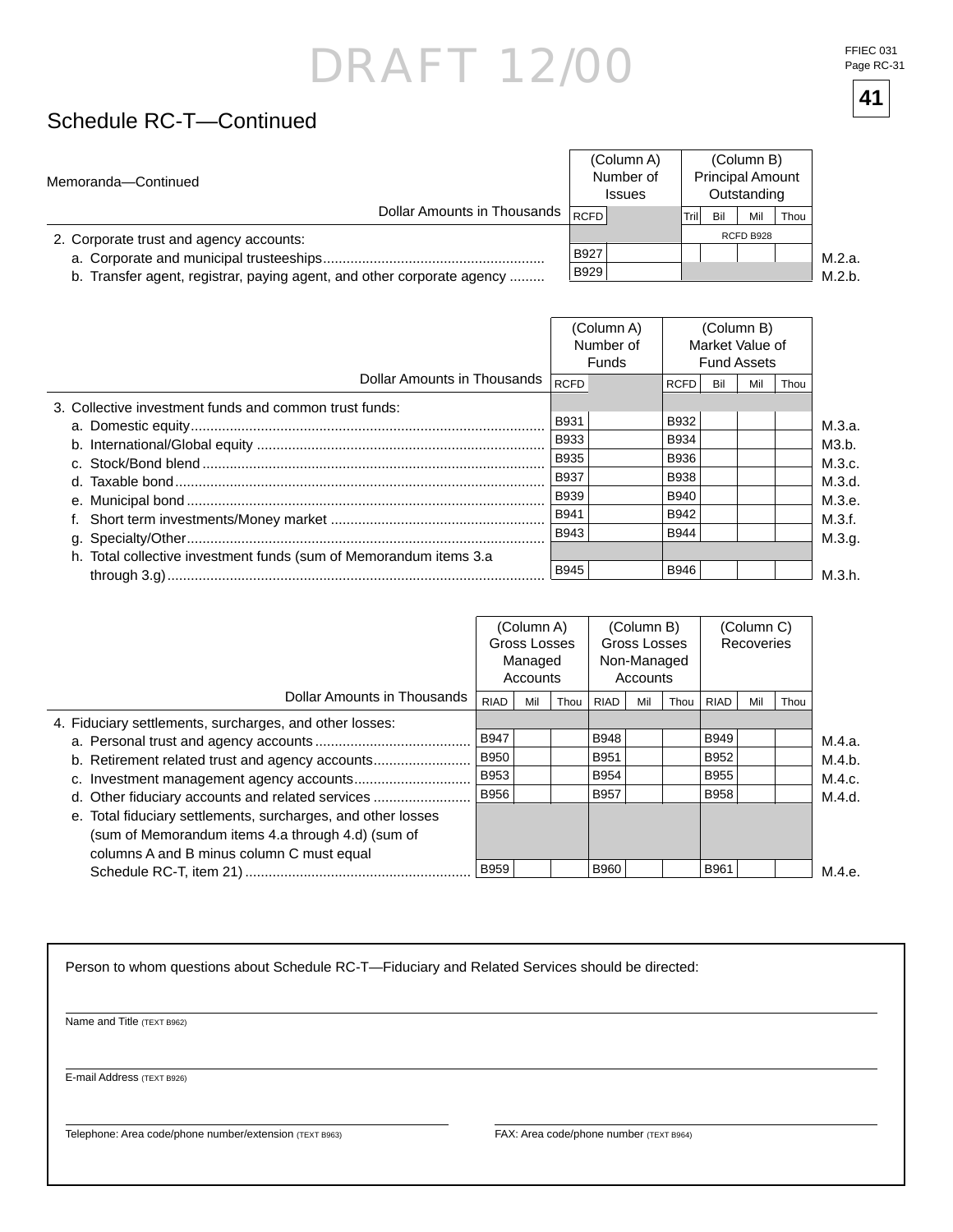### Schedule RC-T—Continued

| Memoranda-Continued                                                    |                                  |      | (Column A)<br>Number of<br><b>Issues</b> |       |           | (Column B)<br><b>Principal Amount</b><br>Outstanding |      |        |
|------------------------------------------------------------------------|----------------------------------|------|------------------------------------------|-------|-----------|------------------------------------------------------|------|--------|
|                                                                        | Dollar Amounts in Thousands RCFD |      |                                          | Trill | Bil       | Mil                                                  | Thou |        |
| 2. Corporate trust and agency accounts:                                |                                  |      |                                          |       | RCFD B928 |                                                      |      |        |
|                                                                        |                                  | B927 |                                          |       |           |                                                      |      | M.2.a. |
| b. Transfer agent, registrar, paying agent, and other corporate agency |                                  | B929 |                                          |       |           |                                                      |      | M.2 h. |

b. Transfer agent, registrar, paying agent, and other corporate agency .........

M.2.b.

|                                                                   |             | (Column A)<br>Number of<br>Funds | (Column B)<br>Market Value of<br><b>Fund Assets</b> |     |     |      |  |
|-------------------------------------------------------------------|-------------|----------------------------------|-----------------------------------------------------|-----|-----|------|--|
| Dollar Amounts in Thousands                                       | <b>RCFD</b> |                                  | <b>RCFD</b>                                         | Bil | Mil | Thou |  |
| 3. Collective investment funds and common trust funds:            |             |                                  |                                                     |     |     |      |  |
|                                                                   | <b>B931</b> |                                  | B932                                                |     |     |      |  |
|                                                                   | B933        |                                  | <b>B934</b>                                         |     |     |      |  |
|                                                                   | <b>B935</b> |                                  | <b>B936</b>                                         |     |     |      |  |
|                                                                   | <b>B937</b> |                                  | <b>B938</b>                                         |     |     |      |  |
|                                                                   | <b>B939</b> |                                  | <b>B940</b>                                         |     |     |      |  |
|                                                                   | <b>B941</b> |                                  | B942                                                |     |     |      |  |
|                                                                   | B943        |                                  | <b>B944</b>                                         |     |     |      |  |
| h. Total collective investment funds (sum of Memorandum items 3.a | <b>B945</b> |                                  | <b>B946</b>                                         |     |     |      |  |

|                                                              | (Column A)<br>Gross Losses<br>Managed<br>Accounts |     |      |             |     | (Column B)<br>Gross Losses<br>Non-Managed<br>Accounts |             |     | (Column C)<br>Recoveries |        |
|--------------------------------------------------------------|---------------------------------------------------|-----|------|-------------|-----|-------------------------------------------------------|-------------|-----|--------------------------|--------|
| Dollar Amounts in Thousands                                  | RIAD                                              | Mil | Thou | <b>RIAD</b> | Mil | Thou                                                  | <b>RIAD</b> | Mil | Thou                     |        |
| 4. Fiduciary settlements, surcharges, and other losses:      |                                                   |     |      |             |     |                                                       |             |     |                          |        |
|                                                              | <b>B947</b>                                       |     |      | <b>B948</b> |     |                                                       | <b>B949</b> |     |                          | M.4.a. |
| b. Retirement related trust and agency accounts              | <b>B950</b>                                       |     |      | B951        |     |                                                       | B952        |     |                          | M.4.b. |
|                                                              | <b>B953</b>                                       |     |      | <b>B954</b> |     |                                                       | <b>B955</b> |     |                          | M.4.c. |
| d. Other fiduciary accounts and related services             | <b>B956</b>                                       |     |      | <b>B957</b> |     |                                                       | <b>B958</b> |     |                          | M.4.d. |
| e. Total fiduciary settlements, surcharges, and other losses |                                                   |     |      |             |     |                                                       |             |     |                          |        |
| (sum of Memorandum items 4.a through 4.d) (sum of            |                                                   |     |      |             |     |                                                       |             |     |                          |        |
| columns A and B minus column C must equal                    |                                                   |     |      |             |     |                                                       |             |     |                          |        |
|                                                              | <b>B959</b>                                       |     |      | <b>B960</b> |     |                                                       | B961        |     |                          | M.4.e. |

Person to whom questions about Schedule RC-T—Fiduciary and Related Services should be directed:

Name and Title (TEXT B962)

E-mail Address (TEXT B926)

Telephone: Area code/phone number/extension (TEXT B963) FAX: Area code/phone number (TEXT B964)

FFIEC 031 Page RC-31

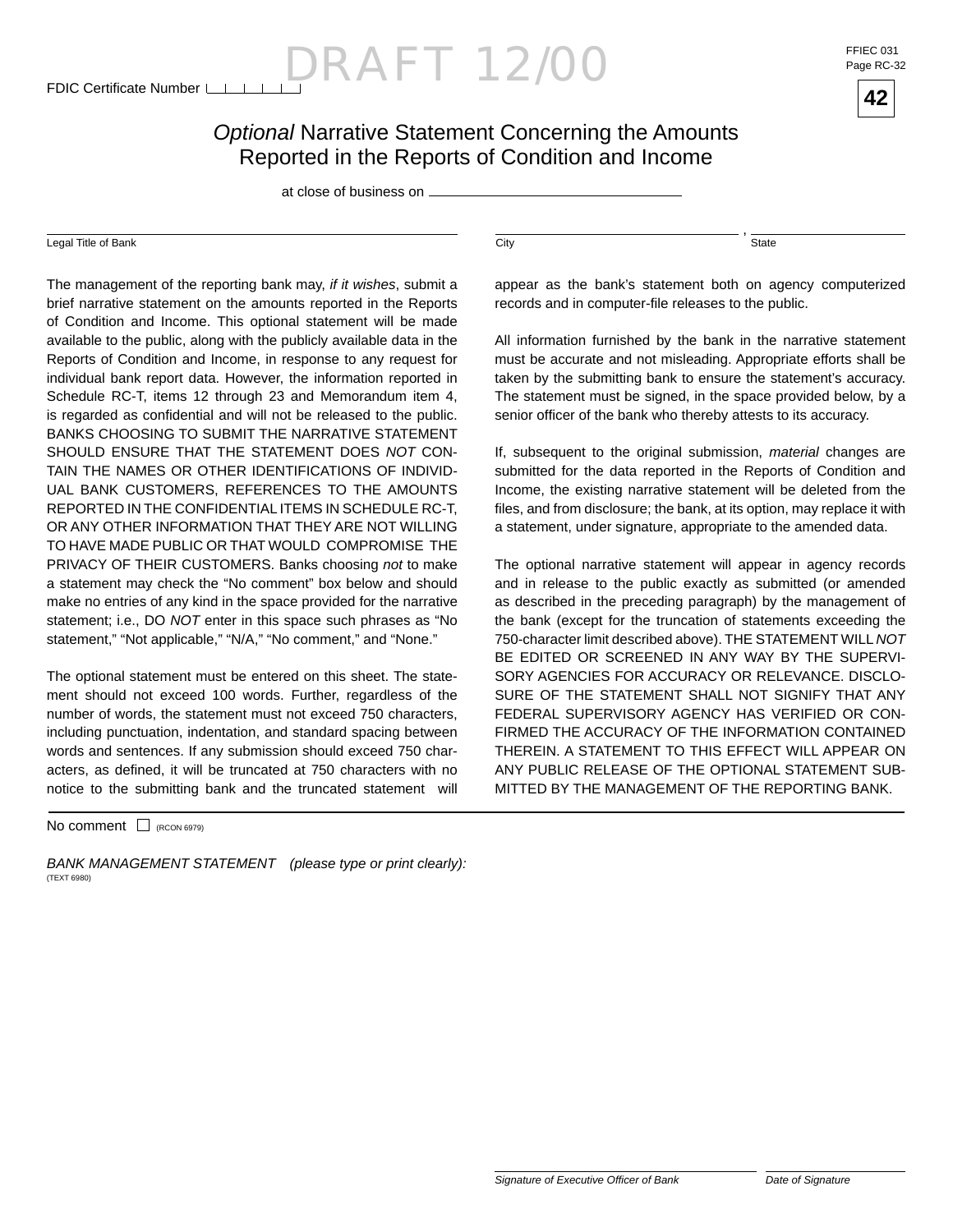$D$ RAFT 12/00 FFIEC 031

Page RC-32



#### *Optional* Narrative Statement Concerning the Amounts Reported in the Reports of Condition and Income

at close of business on

#### Legal Title of Bank City

The management of the reporting bank may, *if it wishes*, submit a brief narrative statement on the amounts reported in the Reports of Condition and Income. This optional statement will be made available to the public, along with the publicly available data in the Reports of Condition and Income, in response to any request for individual bank report data. However, the information reported in Schedule RC-T, items 12 through 23 and Memorandum item 4, is regarded as confidential and will not be released to the public. BANKS CHOOSING TO SUBMIT THE NARRATIVE STATEMENT SHOULD ENSURE THAT THE STATEMENT DOES *NOT* CON-TAIN THE NAMES OR OTHER IDENTIFICATIONS OF INDIVID-UAL BANK CUSTOMERS, REFERENCES TO THE AMOUNTS REPORTED IN THE CONFIDENTIAL ITEMS IN SCHEDULE RC-T, OR ANY OTHER INFORMATION THAT THEY ARE NOT WILLING TO HAVE MADE PUBLIC OR THAT WOULD COMPROMISE THE PRIVACY OF THEIR CUSTOMERS. Banks choosing *not* to make a statement may check the "No comment" box below and should make no entries of any kind in the space provided for the narrative statement; i.e., DO *NOT* enter in this space such phrases as "No statement," "Not applicable," "N/A," "No comment," and "None."

The optional statement must be entered on this sheet. The statement should not exceed 100 words. Further, regardless of the number of words, the statement must not exceed 750 characters, including punctuation, indentation, and standard spacing between words and sentences. If any submission should exceed 750 characters, as defined, it will be truncated at 750 characters with no notice to the submitting bank and the truncated statement will

 $No$  comment  $\Box$  (RCON 6979)

*BANK MANAGEMENT STATEMENT (please type or print clearly):* (TEXT 6980)

State

,

appear as the bank's statement both on agency computerized records and in computer-file releases to the public.

All information furnished by the bank in the narrative statement must be accurate and not misleading. Appropriate efforts shall be taken by the submitting bank to ensure the statement's accuracy. The statement must be signed, in the space provided below, by a senior officer of the bank who thereby attests to its accuracy.

If, subsequent to the original submission, *material* changes are submitted for the data reported in the Reports of Condition and Income, the existing narrative statement will be deleted from the files, and from disclosure; the bank, at its option, may replace it with a statement, under signature, appropriate to the amended data.

The optional narrative statement will appear in agency records and in release to the public exactly as submitted (or amended as described in the preceding paragraph) by the management of the bank (except for the truncation of statements exceeding the 750-character limit described above). THE STATEMENT WILL *NOT* BE EDITED OR SCREENED IN ANY WAY BY THE SUPERVI-SORY AGENCIES FOR ACCURACY OR RELEVANCE. DISCLO-SURE OF THE STATEMENT SHALL NOT SIGNIFY THAT ANY FEDERAL SUPERVISORY AGENCY HAS VERIFIED OR CON-FIRMED THE ACCURACY OF THE INFORMATION CONTAINED THEREIN. A STATEMENT TO THIS EFFECT WILL APPEAR ON ANY PUBLIC RELEASE OF THE OPTIONAL STATEMENT SUB-MITTED BY THE MANAGEMENT OF THE REPORTING BANK.